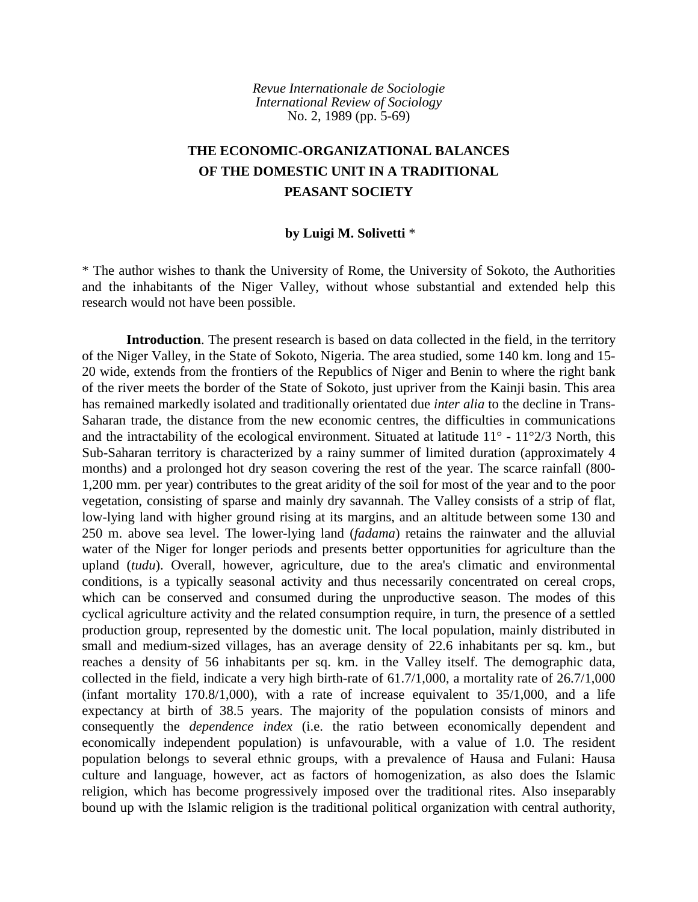*Revue Internationale de Sociologie International Review of Sociology* No. 2, 1989 (pp. 5-69)

# **THE ECONOMIC-ORGANIZATIONAL BALANCES OF THE DOMESTIC UNIT IN A TRADITIONAL PEASANT SOCIETY**

## **by Luigi M. Solivetti** \*

\* The author wishes to thank the University of Rome, the University of Sokoto, the Authorities and the inhabitants of the Niger Valley, without whose substantial and extended help this research would not have been possible.

**Introduction**. The present research is based on data collected in the field, in the territory of the Niger Valley, in the State of Sokoto, Nigeria. The area studied, some 140 km. long and 15- 20 wide, extends from the frontiers of the Republics of Niger and Benin to where the right bank of the river meets the border of the State of Sokoto, just upriver from the Kainji basin. This area has remained markedly isolated and traditionally orientated due *inter alia* to the decline in Trans-Saharan trade, the distance from the new economic centres, the difficulties in communications and the intractability of the ecological environment. Situated at latitude  $11^{\circ}$  -  $11^{\circ}2/3$  North, this Sub-Saharan territory is characterized by a rainy summer of limited duration (approximately 4 months) and a prolonged hot dry season covering the rest of the year. The scarce rainfall (800- 1,200 mm. per year) contributes to the great aridity of the soil for most of the year and to the poor vegetation, consisting of sparse and mainly dry savannah. The Valley consists of a strip of flat, low-lying land with higher ground rising at its margins, and an altitude between some 130 and 250 m. above sea level. The lower-lying land (*fadama*) retains the rainwater and the alluvial water of the Niger for longer periods and presents better opportunities for agriculture than the upland (*tudu*). Overall, however, agriculture, due to the area's climatic and environmental conditions, is a typically seasonal activity and thus necessarily concentrated on cereal crops, which can be conserved and consumed during the unproductive season. The modes of this cyclical agriculture activity and the related consumption require, in turn, the presence of a settled production group, represented by the domestic unit. The local population, mainly distributed in small and medium-sized villages, has an average density of 22.6 inhabitants per sq. km., but reaches a density of 56 inhabitants per sq. km. in the Valley itself. The demographic data, collected in the field, indicate a very high birth-rate of 61.7/1,000, a mortality rate of 26.7/1,000 (infant mortality  $170.8/1,000$ ), with a rate of increase equivalent to  $35/1,000$ , and a life expectancy at birth of 38.5 years. The majority of the population consists of minors and consequently the *dependence index* (i.e. the ratio between economically dependent and economically independent population) is unfavourable, with a value of 1.0. The resident population belongs to several ethnic groups, with a prevalence of Hausa and Fulani: Hausa culture and language, however, act as factors of homogenization, as also does the Islamic religion, which has become progressively imposed over the traditional rites. Also inseparably bound up with the Islamic religion is the traditional political organization with central authority,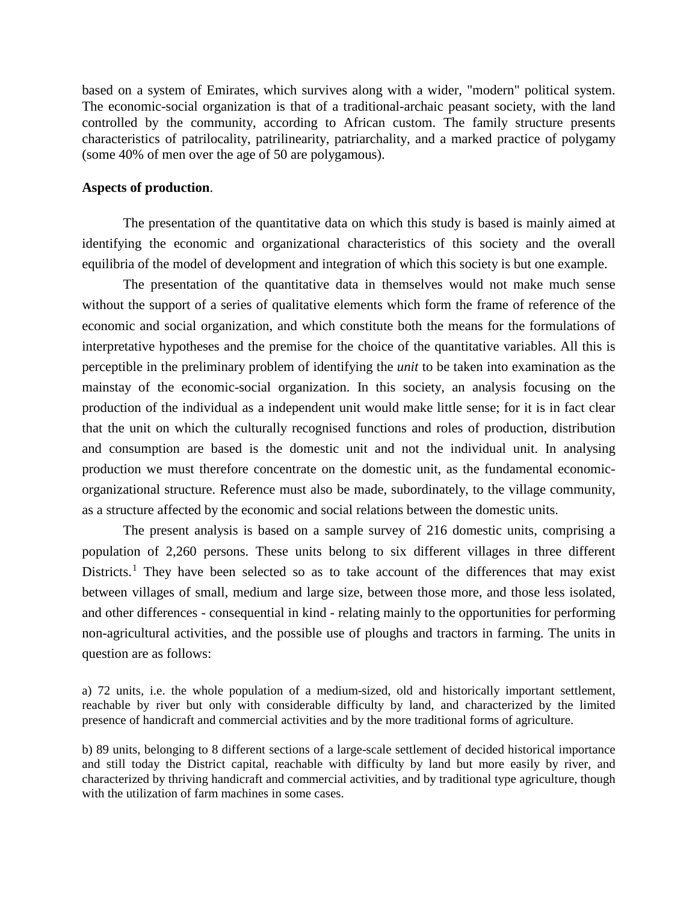based on a system of Emirates, which survives along with a wider, "modern" political system. The economic-social organization is that of a traditional-archaic peasant society, with the land controlled by the community, according to African custom. The family structure presents characteristics of patrilocality, patrilinearity, patriarchality, and a marked practice of polygamy (some 40% of men over the age of 50 are polygamous).

## **Aspects of production**.

The presentation of the quantitative data on which this study is based is mainly aimed at identifying the economic and organizational characteristics of this society and the overall equilibria of the model of development and integration of which this society is but one example.

The presentation of the quantitative data in themselves would not make much sense without the support of a series of qualitative elements which form the frame of reference of the economic and social organization, and which constitute both the means for the formulations of interpretative hypotheses and the premise for the choice of the quantitative variables. All this is perceptible in the preliminary problem of identifying the *unit* to be taken into examination as the mainstay of the economic-social organization. In this society, an analysis focusing on the production of the individual as a independent unit would make little sense; for it is in fact clear that the unit on which the culturally recognised functions and roles of production, distribution and consumption are based is the domestic unit and not the individual unit. In analysing production we must therefore concentrate on the domestic unit, as the fundamental economicorganizational structure. Reference must also be made, subordinately, to the village community, as a structure affected by the economic and social relations between the domestic units.

The present analysis is based on a sample survey of 216 domestic units, comprising a population of 2,260 persons. These units belong to six different villages in three different Districts.<sup>[1](#page-44-0)</sup> They have been selected so as to take account of the differences that may exist between villages of small, medium and large size, between those more, and those less isolated, and other differences - consequential in kind - relating mainly to the opportunities for performing non-agricultural activities, and the possible use of ploughs and tractors in farming. The units in question are as follows:

a) 72 units, i.e. the whole population of a medium-sized, old and historically important settlement, reachable by river but only with considerable difficulty by land, and characterized by the limited presence of handicraft and commercial activities and by the more traditional forms of agriculture.

b) 89 units, belonging to 8 different sections of a large-scale settlement of decided historical importance and still today the District capital, reachable with difficulty by land but more easily by river, and characterized by thriving handicraft and commercial activities, and by traditional type agriculture, though with the utilization of farm machines in some cases.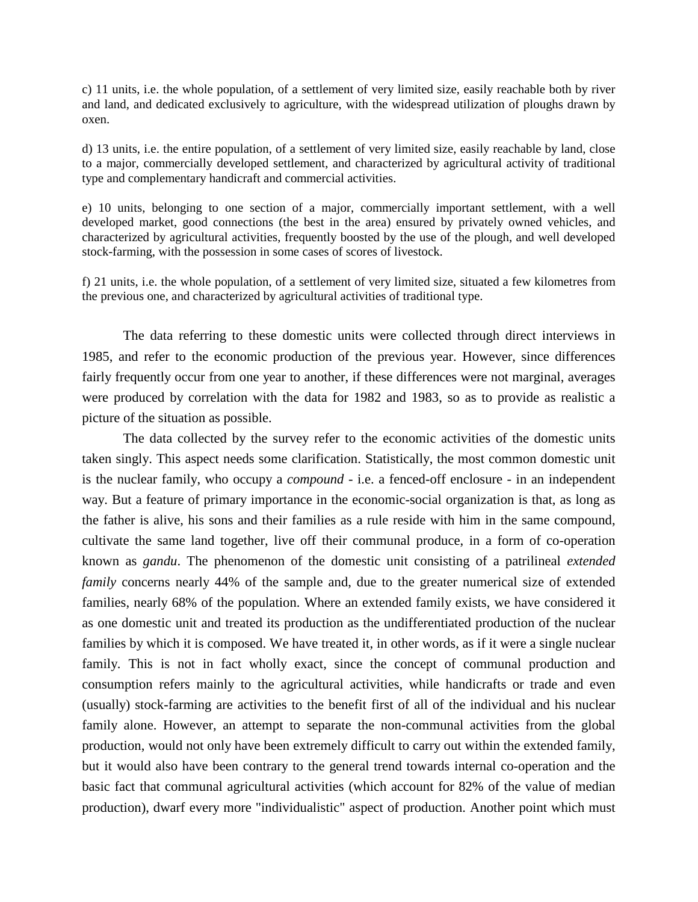c) 11 units, i.e. the whole population, of a settlement of very limited size, easily reachable both by river and land, and dedicated exclusively to agriculture, with the widespread utilization of ploughs drawn by oxen.

d) 13 units, i.e. the entire population, of a settlement of very limited size, easily reachable by land, close to a major, commercially developed settlement, and characterized by agricultural activity of traditional type and complementary handicraft and commercial activities.

e) 10 units, belonging to one section of a major, commercially important settlement, with a well developed market, good connections (the best in the area) ensured by privately owned vehicles, and characterized by agricultural activities, frequently boosted by the use of the plough, and well developed stock-farming, with the possession in some cases of scores of livestock.

f) 21 units, i.e. the whole population, of a settlement of very limited size, situated a few kilometres from the previous one, and characterized by agricultural activities of traditional type.

The data referring to these domestic units were collected through direct interviews in 1985, and refer to the economic production of the previous year. However, since differences fairly frequently occur from one year to another, if these differences were not marginal, averages were produced by correlation with the data for 1982 and 1983, so as to provide as realistic a picture of the situation as possible.

The data collected by the survey refer to the economic activities of the domestic units taken singly. This aspect needs some clarification. Statistically, the most common domestic unit is the nuclear family, who occupy a *compound* - i.e. a fenced-off enclosure - in an independent way. But a feature of primary importance in the economic-social organization is that, as long as the father is alive, his sons and their families as a rule reside with him in the same compound, cultivate the same land together, live off their communal produce, in a form of co-operation known as *gandu*. The phenomenon of the domestic unit consisting of a patrilineal *extended family* concerns nearly 44% of the sample and, due to the greater numerical size of extended families, nearly 68% of the population. Where an extended family exists, we have considered it as one domestic unit and treated its production as the undifferentiated production of the nuclear families by which it is composed. We have treated it, in other words, as if it were a single nuclear family. This is not in fact wholly exact, since the concept of communal production and consumption refers mainly to the agricultural activities, while handicrafts or trade and even (usually) stock-farming are activities to the benefit first of all of the individual and his nuclear family alone. However, an attempt to separate the non-communal activities from the global production, would not only have been extremely difficult to carry out within the extended family, but it would also have been contrary to the general trend towards internal co-operation and the basic fact that communal agricultural activities (which account for 82% of the value of median production), dwarf every more "individualistic" aspect of production. Another point which must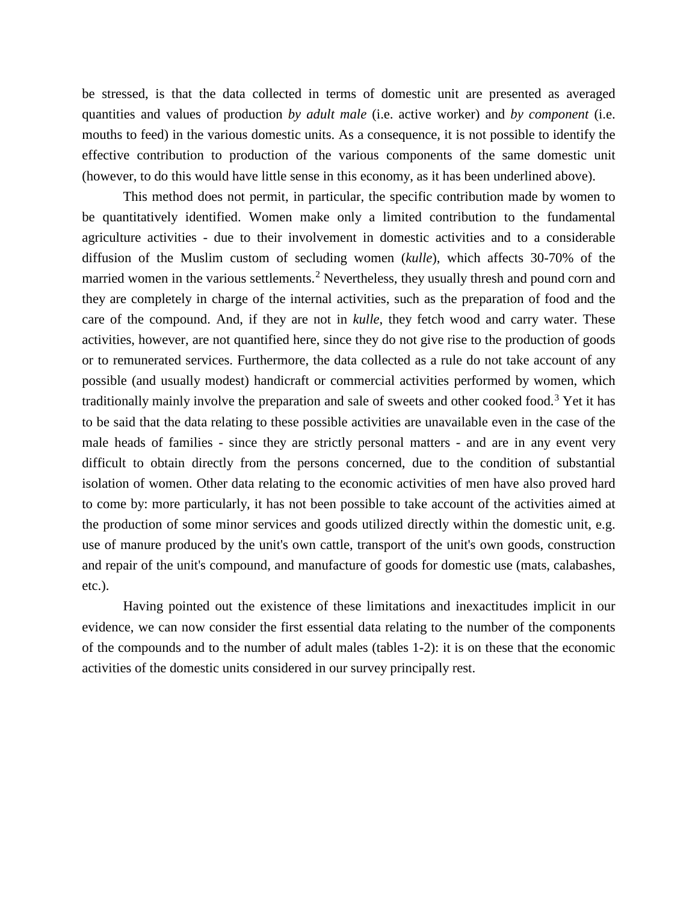be stressed, is that the data collected in terms of domestic unit are presented as averaged quantities and values of production *by adult male* (i.e. active worker) and *by component* (i.e. mouths to feed) in the various domestic units. As a consequence, it is not possible to identify the effective contribution to production of the various components of the same domestic unit (however, to do this would have little sense in this economy, as it has been underlined above).

This method does not permit, in particular, the specific contribution made by women to be quantitatively identified. Women make only a limited contribution to the fundamental agriculture activities - due to their involvement in domestic activities and to a considerable diffusion of the Muslim custom of secluding women (*kulle*), which affects 30-70% of the married women in the various settlements.<sup>[2](#page-44-1)</sup> Nevertheless, they usually thresh and pound corn and they are completely in charge of the internal activities, such as the preparation of food and the care of the compound. And, if they are not in *kulle*, they fetch wood and carry water. These activities, however, are not quantified here, since they do not give rise to the production of goods or to remunerated services. Furthermore, the data collected as a rule do not take account of any possible (and usually modest) handicraft or commercial activities performed by women, which traditionally mainly involve the preparation and sale of sweets and other cooked food.[3](#page-44-2) Yet it has to be said that the data relating to these possible activities are unavailable even in the case of the male heads of families - since they are strictly personal matters - and are in any event very difficult to obtain directly from the persons concerned, due to the condition of substantial isolation of women. Other data relating to the economic activities of men have also proved hard to come by: more particularly, it has not been possible to take account of the activities aimed at the production of some minor services and goods utilized directly within the domestic unit, e.g. use of manure produced by the unit's own cattle, transport of the unit's own goods, construction and repair of the unit's compound, and manufacture of goods for domestic use (mats, calabashes, etc.).

Having pointed out the existence of these limitations and inexactitudes implicit in our evidence, we can now consider the first essential data relating to the number of the components of the compounds and to the number of adult males (tables 1-2): it is on these that the economic activities of the domestic units considered in our survey principally rest.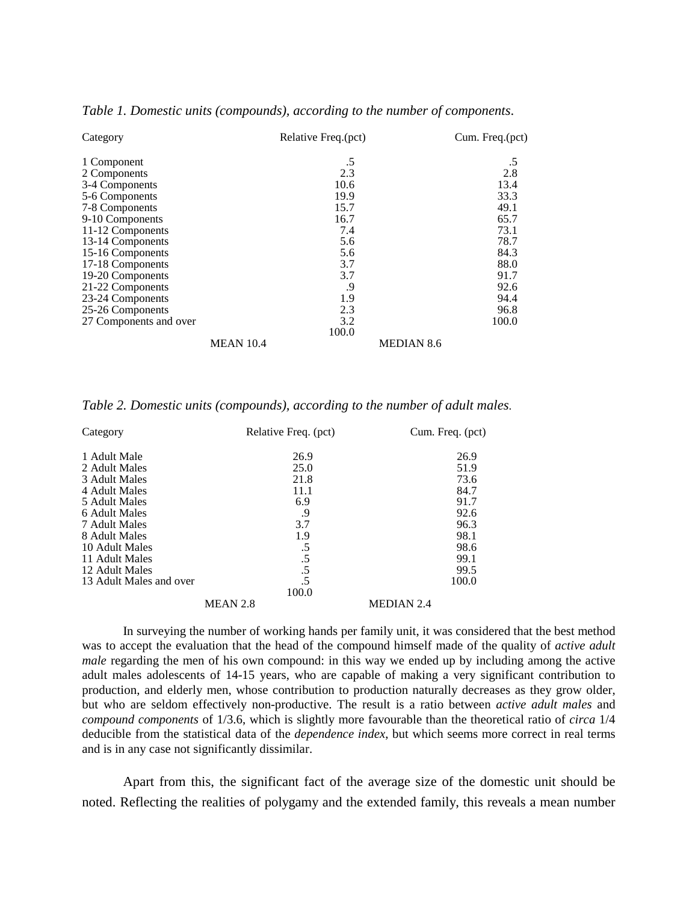| Category               |                  | Relative Freq.(pct) |                   | Cum. Freq.(pct) |  |
|------------------------|------------------|---------------------|-------------------|-----------------|--|
| 1 Component            |                  | .5                  |                   | .5              |  |
| 2 Components           |                  | 2.3                 |                   | 2.8             |  |
| 3-4 Components         |                  | 10.6                |                   | 13.4            |  |
| 5-6 Components         |                  | 19.9                |                   | 33.3            |  |
| 7-8 Components         |                  | 15.7                |                   | 49.1            |  |
| 9-10 Components        |                  | 16.7                |                   | 65.7            |  |
| 11-12 Components       |                  | 7.4                 |                   | 73.1            |  |
| 13-14 Components       |                  | 5.6                 |                   | 78.7            |  |
| 15-16 Components       |                  | 5.6                 |                   | 84.3            |  |
| 17-18 Components       |                  | 3.7                 |                   | 88.0            |  |
| 19-20 Components       |                  | 3.7                 |                   | 91.7            |  |
| 21-22 Components       |                  | .9                  |                   | 92.6            |  |
| 23-24 Components       |                  | 1.9                 |                   | 94.4            |  |
| 25-26 Components       |                  | 2.3                 |                   | 96.8            |  |
| 27 Components and over |                  | 3.2                 |                   | 100.0           |  |
|                        |                  | 100.0               |                   |                 |  |
|                        | <b>MEAN 10.4</b> |                     | <b>MEDIAN 8.6</b> |                 |  |

#### *Table 1. Domestic units (compounds), according to the number of components*.

*Table 2. Domestic units (compounds), according to the number of adult males*.

| Category                | Relative Freq. (pct) | Cum. Freq. (pct)  |
|-------------------------|----------------------|-------------------|
| 1 Adult Male            | 26.9                 | 26.9              |
| 2 Adult Males           | 25.0                 | 51.9              |
| 3 Adult Males           | 21.8                 | 73.6              |
| 4 Adult Males           | 11.1                 | 84.7              |
| 5 Adult Males           | 6.9                  | 91.7              |
| 6 Adult Males           | .9                   | 92.6              |
| 7 Adult Males           | 3.7                  | 96.3              |
| 8 Adult Males           | 1.9                  | 98.1              |
| 10 Adult Males          | .5                   | 98.6              |
| 11 Adult Males          | .5                   | 99.1              |
| 12 Adult Males          | .5                   | 99.5              |
| 13 Adult Males and over | .5                   | 100.0             |
|                         | 100.0                |                   |
|                         | MEAN 2.8             | <b>MEDIAN 2.4</b> |

In surveying the number of working hands per family unit, it was considered that the best method was to accept the evaluation that the head of the compound himself made of the quality of *active adult male* regarding the men of his own compound: in this way we ended up by including among the active adult males adolescents of 14-15 years, who are capable of making a very significant contribution to production, and elderly men, whose contribution to production naturally decreases as they grow older, but who are seldom effectively non-productive. The result is a ratio between *active adult males* and *compound components* of 1/3.6, which is slightly more favourable than the theoretical ratio of *circa* 1/4 deducible from the statistical data of the *dependence index*, but which seems more correct in real terms and is in any case not significantly dissimilar.

Apart from this, the significant fact of the average size of the domestic unit should be noted. Reflecting the realities of polygamy and the extended family, this reveals a mean number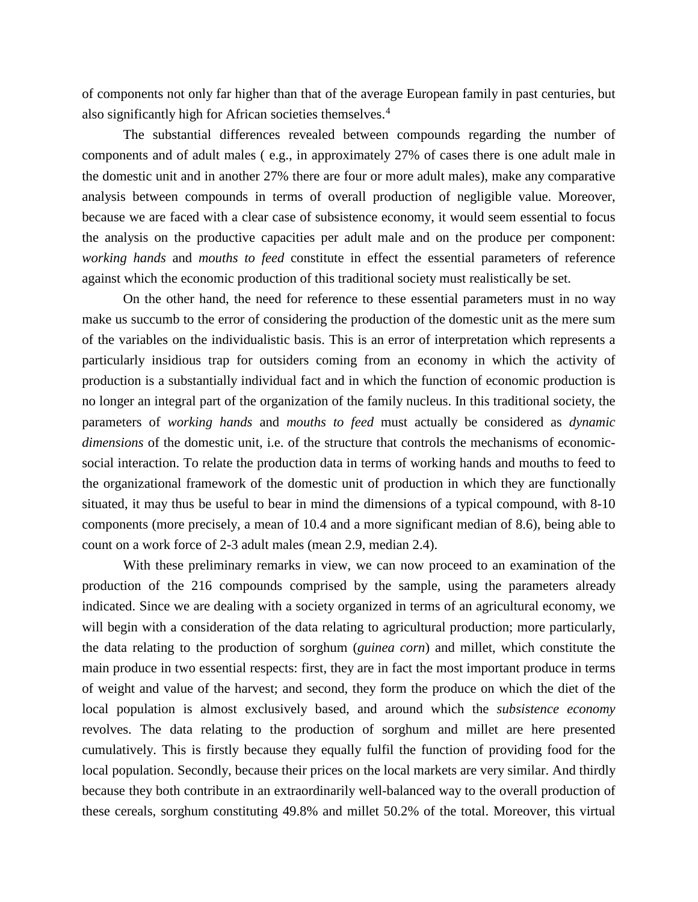of components not only far higher than that of the average European family in past centuries, but also significantly high for African societies themselves.[4](#page-44-3)

The substantial differences revealed between compounds regarding the number of components and of adult males ( e.g., in approximately 27% of cases there is one adult male in the domestic unit and in another 27% there are four or more adult males), make any comparative analysis between compounds in terms of overall production of negligible value. Moreover, because we are faced with a clear case of subsistence economy, it would seem essential to focus the analysis on the productive capacities per adult male and on the produce per component: *working hands* and *mouths to feed* constitute in effect the essential parameters of reference against which the economic production of this traditional society must realistically be set.

On the other hand, the need for reference to these essential parameters must in no way make us succumb to the error of considering the production of the domestic unit as the mere sum of the variables on the individualistic basis. This is an error of interpretation which represents a particularly insidious trap for outsiders coming from an economy in which the activity of production is a substantially individual fact and in which the function of economic production is no longer an integral part of the organization of the family nucleus. In this traditional society, the parameters of *working hands* and *mouths to feed* must actually be considered as *dynamic dimensions* of the domestic unit, i.e. of the structure that controls the mechanisms of economicsocial interaction. To relate the production data in terms of working hands and mouths to feed to the organizational framework of the domestic unit of production in which they are functionally situated, it may thus be useful to bear in mind the dimensions of a typical compound, with 8-10 components (more precisely, a mean of 10.4 and a more significant median of 8.6), being able to count on a work force of 2-3 adult males (mean 2.9, median 2.4).

With these preliminary remarks in view, we can now proceed to an examination of the production of the 216 compounds comprised by the sample, using the parameters already indicated. Since we are dealing with a society organized in terms of an agricultural economy, we will begin with a consideration of the data relating to agricultural production; more particularly, the data relating to the production of sorghum (*guinea corn*) and millet, which constitute the main produce in two essential respects: first, they are in fact the most important produce in terms of weight and value of the harvest; and second, they form the produce on which the diet of the local population is almost exclusively based, and around which the *subsistence economy* revolves. The data relating to the production of sorghum and millet are here presented cumulatively. This is firstly because they equally fulfil the function of providing food for the local population. Secondly, because their prices on the local markets are very similar. And thirdly because they both contribute in an extraordinarily well-balanced way to the overall production of these cereals, sorghum constituting 49.8% and millet 50.2% of the total. Moreover, this virtual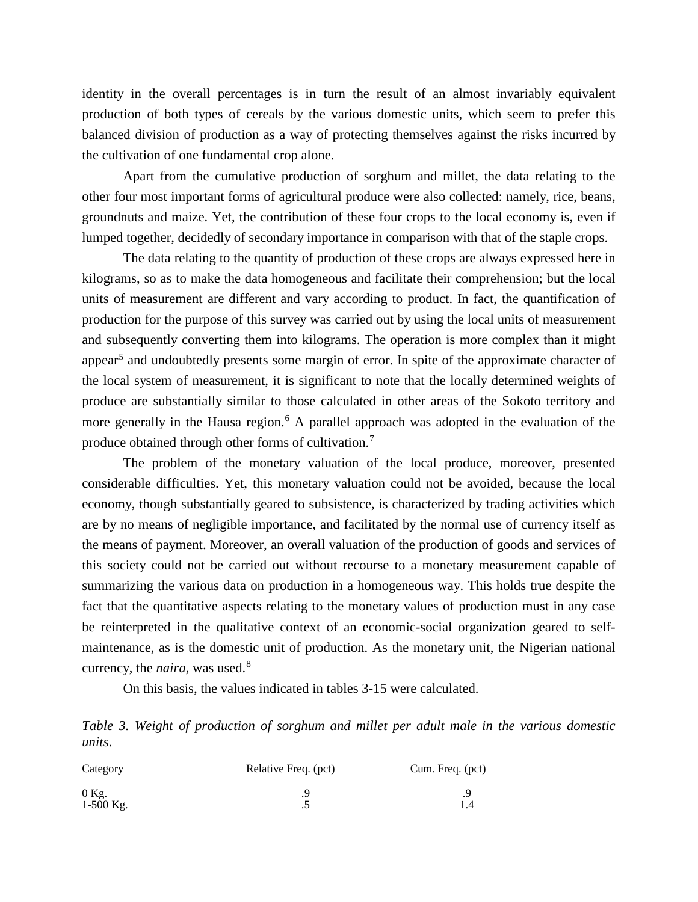identity in the overall percentages is in turn the result of an almost invariably equivalent production of both types of cereals by the various domestic units, which seem to prefer this balanced division of production as a way of protecting themselves against the risks incurred by the cultivation of one fundamental crop alone.

Apart from the cumulative production of sorghum and millet, the data relating to the other four most important forms of agricultural produce were also collected: namely, rice, beans, groundnuts and maize. Yet, the contribution of these four crops to the local economy is, even if lumped together, decidedly of secondary importance in comparison with that of the staple crops.

The data relating to the quantity of production of these crops are always expressed here in kilograms, so as to make the data homogeneous and facilitate their comprehension; but the local units of measurement are different and vary according to product. In fact, the quantification of production for the purpose of this survey was carried out by using the local units of measurement and subsequently converting them into kilograms. The operation is more complex than it might appear<sup>[5](#page-44-4)</sup> and undoubtedly presents some margin of error. In spite of the approximate character of the local system of measurement, it is significant to note that the locally determined weights of produce are substantially similar to those calculated in other areas of the Sokoto territory and more generally in the Hausa region.<sup>[6](#page-44-5)</sup> A parallel approach was adopted in the evaluation of the produce obtained through other forms of cultivation.[7](#page-44-6)

The problem of the monetary valuation of the local produce, moreover, presented considerable difficulties. Yet, this monetary valuation could not be avoided, because the local economy, though substantially geared to subsistence, is characterized by trading activities which are by no means of negligible importance, and facilitated by the normal use of currency itself as the means of payment. Moreover, an overall valuation of the production of goods and services of this society could not be carried out without recourse to a monetary measurement capable of summarizing the various data on production in a homogeneous way. This holds true despite the fact that the quantitative aspects relating to the monetary values of production must in any case be reinterpreted in the qualitative context of an economic-social organization geared to selfmaintenance, as is the domestic unit of production. As the monetary unit, the Nigerian national currency, the *naira*, was used.[8](#page-44-7)

On this basis, the values indicated in tables 3-15 were calculated.

*Table 3. Weight of production of sorghum and millet per adult male in the various domestic units*.

| Category               | Relative Freq. (pct) | Cum. Freq. (pct) |  |
|------------------------|----------------------|------------------|--|
| $0$ Kg.<br>$1-500$ Kg. | $\cdot$ .            |                  |  |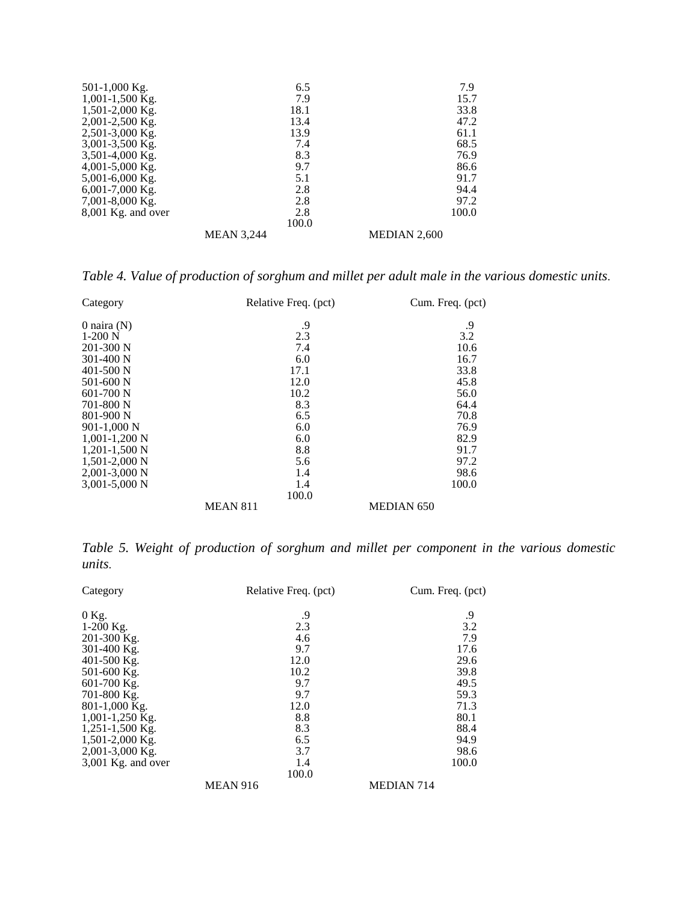| 501-1,000 Kg.        | 6.5               | 7.9          |
|----------------------|-------------------|--------------|
| $1,001-1,500$ Kg.    | 7.9               | 15.7         |
| $1,501-2,000$ Kg.    | 18.1              | 33.8         |
| $2,001-2,500$ Kg.    | 13.4              | 47.2         |
| 2,501-3,000 Kg.      | 13.9              | 61.1         |
| 3,001-3,500 Kg.      | 7.4               | 68.5         |
| $3,501-4,000$ Kg.    | 8.3               | 76.9         |
| 4,001-5,000 Kg.      | 9.7               | 86.6         |
| 5,001-6,000 Kg.      | 5.1               | 91.7         |
| $6,001-7,000$ Kg.    | 2.8               | 94.4         |
| $7,001-8,000$ Kg.    | 2.8               | 97.2         |
| $8,001$ Kg. and over | 2.8               | 100.0        |
|                      | 100.0             |              |
|                      | <b>MEAN 3,244</b> | MEDIAN 2,600 |

*Table 4. Value of production of sorghum and millet per adult male in the various domestic units*.

| Category          | Relative Freq. (pct) | Cum. Freq. (pct)  |
|-------------------|----------------------|-------------------|
| 0 naira $(N)$     | .9                   | .9                |
| $1-200$ N         | 2.3                  | 3.2               |
| $201-300$ N       | 7.4                  | 10.6              |
| $301 - 400$ N     | 6.0                  | 16.7              |
| $401 - 500$ N     | 17.1                 | 33.8              |
| $501 - 600$ N     | 12.0                 | 45.8              |
| $601 - 700$ N     | 10.2                 | 56.0              |
| 701-800 N         | 8.3                  | 64.4              |
| 801-900 N         | 6.5                  | 70.8              |
| $901-1,000$ N     | 6.0                  | 76.9              |
| $1,001-1,200$ N   | 6.0                  | 82.9              |
| $1,201-1,500$ N   | 8.8                  | 91.7              |
| $1,501-2,000$ N   | 5.6                  | 97.2              |
| $2,001-3,000$ N   | 1.4                  | 98.6              |
| $3,001 - 5,000$ N | 1.4                  | 100.0             |
|                   | 100.0                |                   |
|                   | <b>MEAN 811</b>      | <b>MEDIAN 650</b> |

*Table 5. Weight of production of sorghum and millet per component in the various domestic units*.

| Category             | Relative Freq. (pct) | Cum. Freq. (pct)  |  |
|----------------------|----------------------|-------------------|--|
| $0$ Kg.              | .9                   | .9                |  |
| 1-200 Kg.            | 2.3                  | 3.2               |  |
| 201-300 Kg.          | 4.6                  | 7.9               |  |
| 301-400 Kg.          | 9.7                  | 17.6              |  |
| 401-500 Kg.          | 12.0                 | 29.6              |  |
| 501-600 Kg.          | 10.2                 | 39.8              |  |
| 601-700 Kg.          | 9.7                  | 49.5              |  |
| 701-800 Kg.          | 9.7                  | 59.3              |  |
| 801-1,000 Kg.        | 12.0                 | 71.3              |  |
| 1,001-1,250 Kg.      | 8.8                  | 80.1              |  |
| 1,251-1,500 Kg.      | 8.3                  | 88.4              |  |
| 1,501-2,000 Kg.      | 6.5                  | 94.9              |  |
| 2,001-3,000 Kg.      | 3.7                  | 98.6              |  |
| $3,001$ Kg. and over | 1.4                  | 100.0             |  |
|                      | 100.0                |                   |  |
|                      | <b>MEAN 916</b>      | <b>MEDIAN 714</b> |  |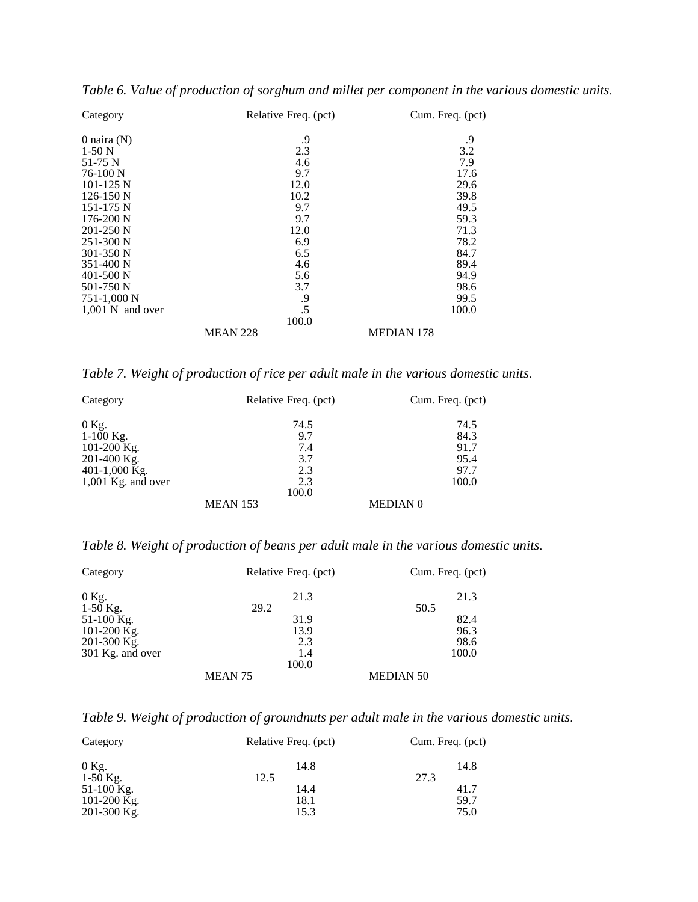| Category           |                 | Relative Freq. (pct) | Cum. Freq. (pct)  |  |
|--------------------|-----------------|----------------------|-------------------|--|
| 0 naira $(N)$      |                 | .9                   | .9                |  |
| $1-50N$            |                 | 2.3                  | 3.2               |  |
| 51-75 N            |                 | 4.6                  | 7.9               |  |
| 76-100 N           |                 | 9.7                  | 17.6              |  |
| $101 - 125$ N      |                 | 12.0                 | 29.6              |  |
| $126-150$ N        |                 | 10.2                 | 39.8              |  |
| $151 - 175$ N      |                 | 9.7                  | 49.5              |  |
| $176 - 200$ N      |                 | 9.7                  | 59.3              |  |
| $201-250$ N        |                 | 12.0                 | 71.3              |  |
| $251 - 300$ N      |                 | 6.9                  | 78.2              |  |
| 301-350 N          |                 | 6.5                  | 84.7              |  |
| $351 - 400$ N      |                 | 4.6                  | 89.4              |  |
| $401 - 500$ N      |                 | 5.6                  | 94.9              |  |
| 501-750 N          |                 | 3.7                  | 98.6              |  |
| 751-1,000 N        |                 | .9                   | 99.5              |  |
| $1,001$ N and over |                 | .5                   | 100.0             |  |
|                    |                 | 100.0                |                   |  |
|                    | <b>MEAN 228</b> |                      | <b>MEDIAN 178</b> |  |

*Table 6. Value of production of sorghum and millet per component in the various domestic units*.

*Table 7. Weight of production of rice per adult male in the various domestic units*.

| Category             | Relative Freq. (pct) | Cum. Freq. (pct) |
|----------------------|----------------------|------------------|
| $0$ Kg.              | 74.5                 | 74.5             |
| $1-100$ Kg.          | 9.7                  | 84.3             |
| 101-200 Kg.          | 7.4                  | 91.7             |
| $201-400$ Kg.        | 3.7                  | 95.4             |
| 401-1,000 Kg.        | 2.3                  | 97.7             |
| $1,001$ Kg. and over | 2.3                  | 100.0            |
|                      | 100.0                |                  |
|                      | <b>MEAN 153</b>      | <b>MEDIAN 0</b>  |

*Table 8. Weight of production of beans per adult male in the various domestic units*.

| Category         | Relative Freq. (pct) | Cum. Freq. (pct) |
|------------------|----------------------|------------------|
| 0 Kg.            | 21.3                 | 21.3             |
| $1-50$ Kg.       | 29.2                 | 50.5             |
| 51-100 Kg.       | 31.9                 | 82.4             |
| 101-200 Kg.      | 13.9                 | 96.3             |
| $201-300$ Kg.    | 2.3                  | 98.6             |
| 301 Kg. and over | 1.4                  | 100.0            |
|                  | 100.0                |                  |
|                  | MEAN <sub>75</sub>   | <b>MEDIAN 50</b> |

*Table 9. Weight of production of groundnuts per adult male in the various domestic units*.

| Category      | Relative Freq. (pct) | Cum. Freq. (pct) |  |
|---------------|----------------------|------------------|--|
| $0$ Kg.       | 14.8                 | 14.8             |  |
| $1-50$ Kg.    | 12.5                 | 27.3             |  |
| 51-100 Kg.    | 14.4                 | 41.7             |  |
| 101-200 Kg.   | 18.1                 | 59.7             |  |
| $201-300$ Kg. | 15.3                 | 75.0             |  |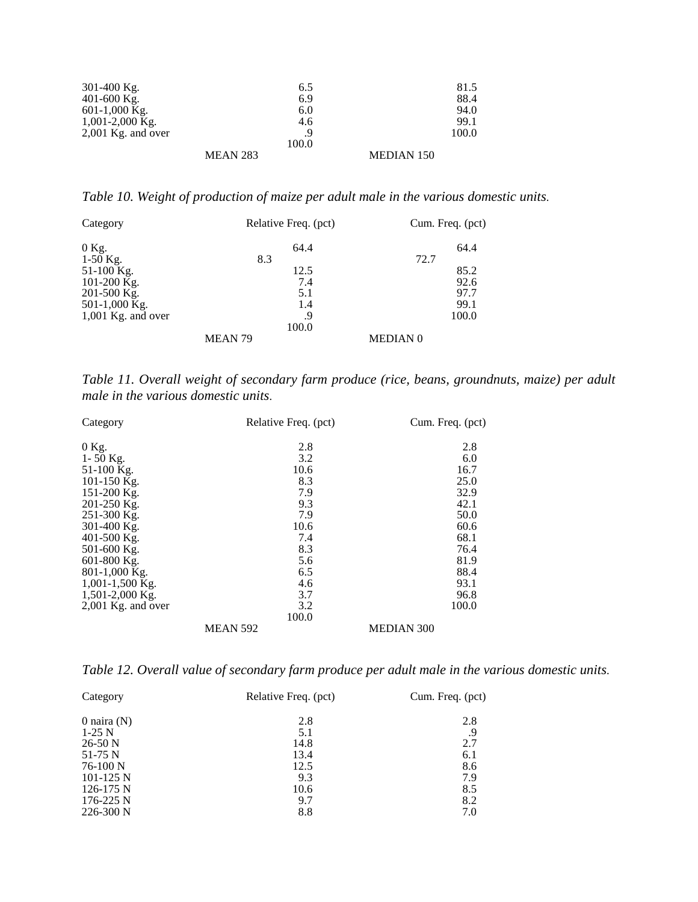| 301-400 Kg.          |                 | 6.5   |                   | 81.5  |
|----------------------|-----------------|-------|-------------------|-------|
| $401 - 600$ Kg.      |                 | 6.9   |                   | 88.4  |
| $601-1,000$ Kg.      |                 | 6.0   |                   | 94.0  |
| $1,001-2,000$ Kg.    |                 | 4.6   |                   | 99.1  |
| $2,001$ Kg. and over |                 | .9    |                   | 100.0 |
|                      |                 | 100.0 |                   |       |
|                      | <b>MEAN 283</b> |       | <b>MEDIAN 150</b> |       |

*Table 10. Weight of production of maize per adult male in the various domestic units*.

| Category             | Relative Freq. (pct) |       | Cum. Freq. (pct) |       |
|----------------------|----------------------|-------|------------------|-------|
| $0$ Kg.              |                      | 64.4  |                  | 64.4  |
| $1-50$ Kg.           | 8.3                  |       | 72.7             |       |
| 51-100 Kg.           |                      | 12.5  |                  | 85.2  |
| 101-200 Kg.          |                      | 7.4   |                  | 92.6  |
| 201-500 Kg.          |                      | 5.1   |                  | 97.7  |
| 501-1,000 Kg.        |                      | 1.4   |                  | 99.1  |
| $1,001$ Kg. and over |                      | .9    |                  | 100.0 |
|                      |                      | 100.0 |                  |       |
|                      | MEAN <sub>79</sub>   |       | <b>MEDIAN 0</b>  |       |

*Table 11. Overall weight of secondary farm produce (rice, beans, groundnuts, maize) per adult male in the various domestic units*.

| Category           | Relative Freq. (pct) | Cum. Freq. (pct)  |
|--------------------|----------------------|-------------------|
| $0$ Kg.            | 2.8                  | 2.8               |
| 1-50 Kg.           | 3.2                  | 6.0               |
| 51-100 Kg.         | 10.6                 | 16.7              |
| 101-150 Kg.        | 8.3                  | 25.0              |
| 151-200 Kg.        | 7.9                  | 32.9              |
| 201-250 Kg.        | 9.3                  | 42.1              |
| 251-300 Kg.        | 7.9                  | 50.0              |
| 301-400 Kg.        | 10.6                 | 60.6              |
| 401-500 Kg.        | 7.4                  | 68.1              |
| 501-600 Kg.        | 8.3                  | 76.4              |
| 601-800 Kg.        | 5.6                  | 81.9              |
| 801-1,000 Kg.      | 6.5                  | 88.4              |
| $1,001-1,500$ Kg.  | 4.6                  | 93.1              |
| 1,501-2,000 Kg.    | 3.7                  | 96.8              |
| 2,001 Kg. and over | 3.2                  | 100.0             |
|                    | 100.0                |                   |
|                    | <b>MEAN 592</b>      | <b>MEDIAN 300</b> |

*Table 12. Overall value of secondary farm produce per adult male in the various domestic units*.

| Category      | Relative Freq. (pct) | Cum. Freq. (pct) |
|---------------|----------------------|------------------|
| 0 naira $(N)$ | 2.8                  | 2.8              |
| $1-25$ N      | 5.1                  | .9               |
| $26-50$ N     | 14.8                 | 2.7              |
| $51-75$ N     | 13.4                 | 6.1              |
| 76-100 N      | 12.5                 | 8.6              |
| $101-125$ N   | 9.3                  | 7.9              |
| $126-175$ N   | 10.6                 | 8.5              |
| $176 - 225$ N | 9.7                  | 8.2              |
| $226 - 300$ N | 8.8                  | 7.0              |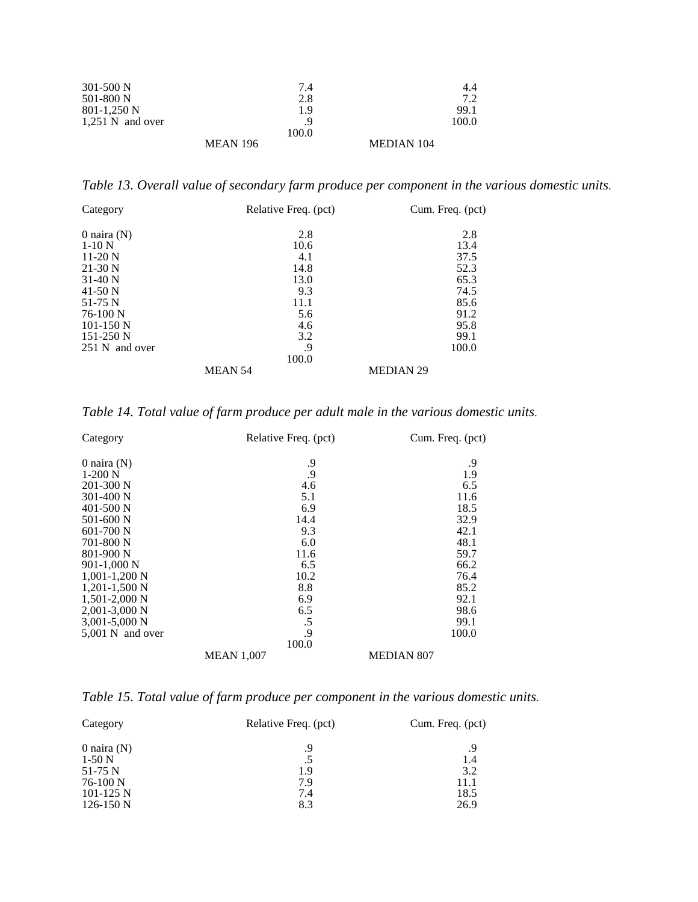| $301 - 500$ N      |                 | 7.4   |                   | 4.4   |
|--------------------|-----------------|-------|-------------------|-------|
| $501-800$ N        |                 | 2.8   |                   | 7.2   |
| $801-1,250$ N      |                 | 1.9   |                   | 99.1  |
| $1,251$ N and over |                 | Q     |                   | 100.0 |
|                    |                 | 100.0 |                   |       |
|                    | <b>MEAN 196</b> |       | <b>MEDIAN 104</b> |       |

*Table 13. Overall value of secondary farm produce per component in the various domestic units*.

| Category       | Relative Freq. (pct) | Cum. Freq. (pct) |
|----------------|----------------------|------------------|
| 0 naira $(N)$  | 2.8                  | 2.8              |
| $1-10N$        | 10.6                 | 13.4             |
| $11-20$ N      | 4.1                  | 37.5             |
| $21-30$ N      | 14.8                 | 52.3             |
| $31-40$ N      | 13.0                 | 65.3             |
| 41-50 N        | 9.3                  | 74.5             |
| $51-75$ N      | 11.1                 | 85.6             |
| $76-100$ N     | 5.6                  | 91.2             |
| $101-150$ N    | 4.6                  | 95.8             |
| $151-250$ N    | 3.2                  | 99.1             |
| 251 N and over | .9                   | 100.0            |
|                | 100.0                |                  |
|                | <b>MEAN 54</b>       | <b>MEDIAN 29</b> |

*Table 14. Total value of farm produce per adult male in the various domestic units*.

| Category           | Relative Freq. (pct) | Cum. Freq. (pct)  |
|--------------------|----------------------|-------------------|
| 0 naira $(N)$      | .9                   | .9                |
| $1-200$ N          | .9                   | 1.9               |
| $201-300$ N        | 4.6                  | 6.5               |
| $301 - 400$ N      | 5.1                  | 11.6              |
| $401 - 500$ N      | 6.9                  | 18.5              |
| 501-600 N          | 14.4                 | 32.9              |
| $601-700$ N        | 9.3                  | 42.1              |
| 701-800 N          | 6.0                  | 48.1              |
| 801-900 N          | 11.6                 | 59.7              |
| $901-1,000$ N      | 6.5                  | 66.2              |
| $1,001-1,200$ N    | 10.2                 | 76.4              |
| $1,201-1,500$ N    | 8.8                  | 85.2              |
| $1,501-2,000$ N    | 6.9                  | 92.1              |
| $2,001-3,000$ N    | 6.5                  | 98.6              |
| $3,001 - 5,000$ N  | .5                   | 99.1              |
| $5,001$ N and over | .9                   | 100.0             |
|                    | 100.0                |                   |
|                    | <b>MEAN 1,007</b>    | <b>MEDIAN 807</b> |

*Table 15. Total value of farm produce per component in the various domestic units*.

| Category      | Relative Freq. (pct) | Cum. Freq. (pct) |
|---------------|----------------------|------------------|
| 0 naira $(N)$ | .9                   | .9               |
| $1-50N$       | .5                   | 1.4              |
| $51-75$ N     | 1.9                  | 3.2              |
| 76-100 N      | 7.9                  | 11.1             |
| $101-125$ N   | 7.4                  | 18.5             |
| $126-150$ N   | 8.3                  | 26.9             |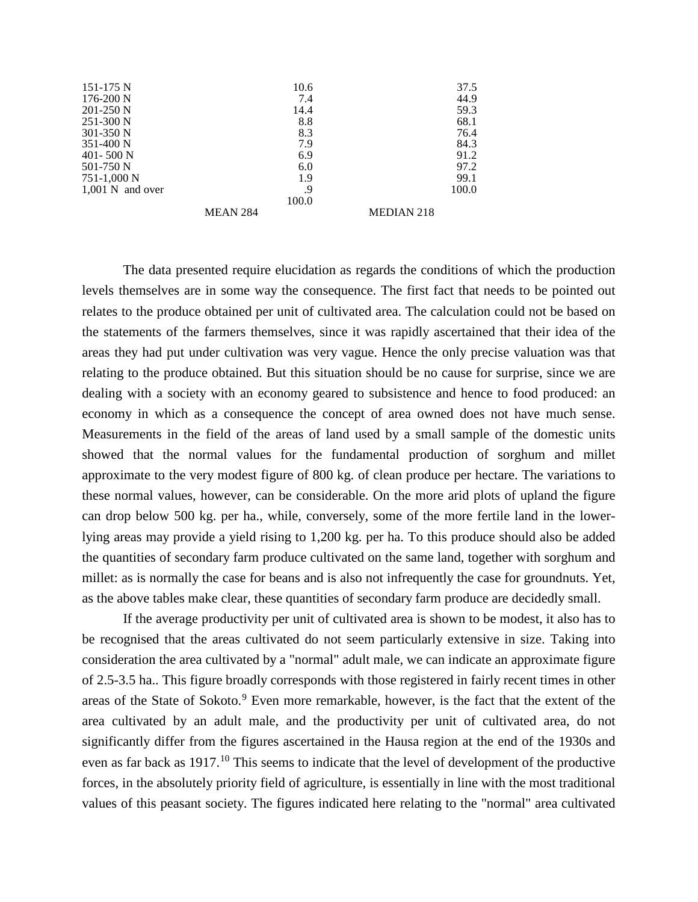| 151-175 N          |                 | 10.6  |                   | 37.5  |
|--------------------|-----------------|-------|-------------------|-------|
| $176-200$ N        |                 | 7.4   |                   | 44.9  |
| $201 - 250$ N      |                 | 14.4  |                   | 59.3  |
| $251 - 300$ N      |                 | 8.8   |                   | 68.1  |
| $301 - 350$ N      |                 | 8.3   |                   | 76.4  |
| $351-400$ N        |                 | 7.9   |                   | 84.3  |
| $401 - 500$ N      |                 | 6.9   |                   | 91.2  |
| 501-750 N          |                 | 6.0   |                   | 97.2  |
| 751-1,000 N        |                 | 1.9   |                   | 99.1  |
| $1,001$ N and over |                 | .9    |                   | 100.0 |
|                    |                 | 100.0 |                   |       |
|                    | <b>MEAN 284</b> |       | <b>MEDIAN 218</b> |       |

The data presented require elucidation as regards the conditions of which the production levels themselves are in some way the consequence. The first fact that needs to be pointed out relates to the produce obtained per unit of cultivated area. The calculation could not be based on the statements of the farmers themselves, since it was rapidly ascertained that their idea of the areas they had put under cultivation was very vague. Hence the only precise valuation was that relating to the produce obtained. But this situation should be no cause for surprise, since we are dealing with a society with an economy geared to subsistence and hence to food produced: an economy in which as a consequence the concept of area owned does not have much sense. Measurements in the field of the areas of land used by a small sample of the domestic units showed that the normal values for the fundamental production of sorghum and millet approximate to the very modest figure of 800 kg. of clean produce per hectare. The variations to these normal values, however, can be considerable. On the more arid plots of upland the figure can drop below 500 kg. per ha., while, conversely, some of the more fertile land in the lowerlying areas may provide a yield rising to 1,200 kg. per ha. To this produce should also be added the quantities of secondary farm produce cultivated on the same land, together with sorghum and millet: as is normally the case for beans and is also not infrequently the case for groundnuts. Yet, as the above tables make clear, these quantities of secondary farm produce are decidedly small.

If the average productivity per unit of cultivated area is shown to be modest, it also has to be recognised that the areas cultivated do not seem particularly extensive in size. Taking into consideration the area cultivated by a "normal" adult male, we can indicate an approximate figure of 2.5-3.5 ha.. This figure broadly corresponds with those registered in fairly recent times in other areas of the State of Sokoto.<sup>[9](#page-45-0)</sup> Even more remarkable, however, is the fact that the extent of the area cultivated by an adult male, and the productivity per unit of cultivated area, do not significantly differ from the figures ascertained in the Hausa region at the end of the 1930s and even as far back as 1917.<sup>[10](#page-45-1)</sup> This seems to indicate that the level of development of the productive forces, in the absolutely priority field of agriculture, is essentially in line with the most traditional values of this peasant society. The figures indicated here relating to the "normal" area cultivated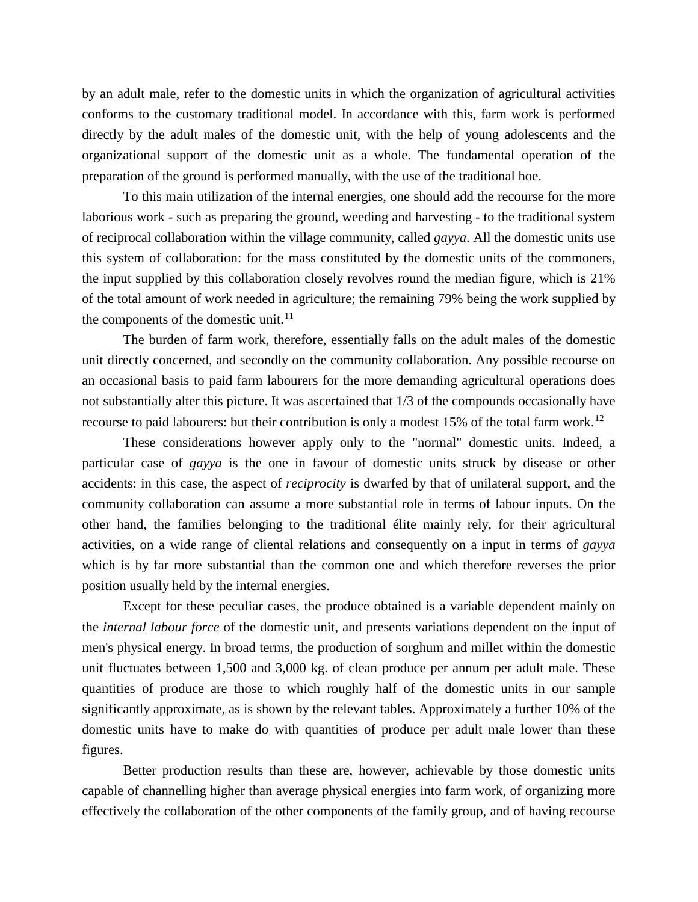by an adult male, refer to the domestic units in which the organization of agricultural activities conforms to the customary traditional model. In accordance with this, farm work is performed directly by the adult males of the domestic unit, with the help of young adolescents and the organizational support of the domestic unit as a whole. The fundamental operation of the preparation of the ground is performed manually, with the use of the traditional hoe.

To this main utilization of the internal energies, one should add the recourse for the more laborious work - such as preparing the ground, weeding and harvesting - to the traditional system of reciprocal collaboration within the village community, called *gayya*. All the domestic units use this system of collaboration: for the mass constituted by the domestic units of the commoners, the input supplied by this collaboration closely revolves round the median figure, which is 21% of the total amount of work needed in agriculture; the remaining 79% being the work supplied by the components of the domestic unit. $^{11}$  $^{11}$  $^{11}$ 

The burden of farm work, therefore, essentially falls on the adult males of the domestic unit directly concerned, and secondly on the community collaboration. Any possible recourse on an occasional basis to paid farm labourers for the more demanding agricultural operations does not substantially alter this picture. It was ascertained that 1/3 of the compounds occasionally have recourse to paid labourers: but their contribution is only a modest 15% of the total farm work.<sup>[12](#page-45-3)</sup>

These considerations however apply only to the "normal" domestic units. Indeed, a particular case of *gayya* is the one in favour of domestic units struck by disease or other accidents: in this case, the aspect of *reciprocity* is dwarfed by that of unilateral support, and the community collaboration can assume a more substantial role in terms of labour inputs. On the other hand, the families belonging to the traditional élite mainly rely, for their agricultural activities, on a wide range of cliental relations and consequently on a input in terms of *gayya* which is by far more substantial than the common one and which therefore reverses the prior position usually held by the internal energies.

Except for these peculiar cases, the produce obtained is a variable dependent mainly on the *internal labour force* of the domestic unit, and presents variations dependent on the input of men's physical energy. In broad terms, the production of sorghum and millet within the domestic unit fluctuates between 1,500 and 3,000 kg. of clean produce per annum per adult male. These quantities of produce are those to which roughly half of the domestic units in our sample significantly approximate, as is shown by the relevant tables. Approximately a further 10% of the domestic units have to make do with quantities of produce per adult male lower than these figures.

Better production results than these are, however, achievable by those domestic units capable of channelling higher than average physical energies into farm work, of organizing more effectively the collaboration of the other components of the family group, and of having recourse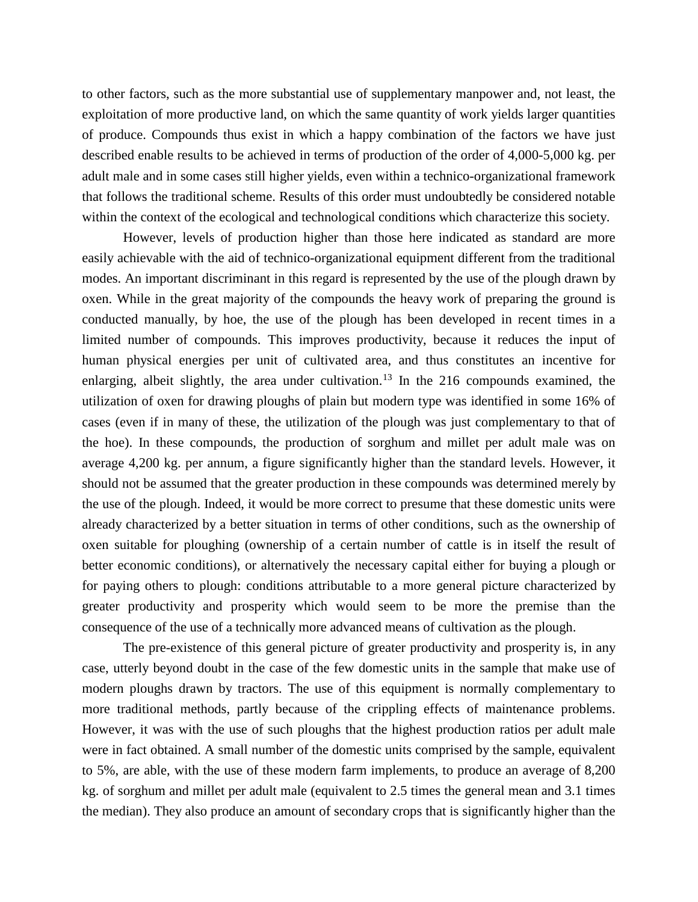to other factors, such as the more substantial use of supplementary manpower and, not least, the exploitation of more productive land, on which the same quantity of work yields larger quantities of produce. Compounds thus exist in which a happy combination of the factors we have just described enable results to be achieved in terms of production of the order of 4,000-5,000 kg. per adult male and in some cases still higher yields, even within a technico-organizational framework that follows the traditional scheme. Results of this order must undoubtedly be considered notable within the context of the ecological and technological conditions which characterize this society.

However, levels of production higher than those here indicated as standard are more easily achievable with the aid of technico-organizational equipment different from the traditional modes. An important discriminant in this regard is represented by the use of the plough drawn by oxen. While in the great majority of the compounds the heavy work of preparing the ground is conducted manually, by hoe, the use of the plough has been developed in recent times in a limited number of compounds. This improves productivity, because it reduces the input of human physical energies per unit of cultivated area, and thus constitutes an incentive for enlarging, albeit slightly, the area under cultivation.<sup>[13](#page-45-4)</sup> In the 216 compounds examined, the utilization of oxen for drawing ploughs of plain but modern type was identified in some 16% of cases (even if in many of these, the utilization of the plough was just complementary to that of the hoe). In these compounds, the production of sorghum and millet per adult male was on average 4,200 kg. per annum, a figure significantly higher than the standard levels. However, it should not be assumed that the greater production in these compounds was determined merely by the use of the plough. Indeed, it would be more correct to presume that these domestic units were already characterized by a better situation in terms of other conditions, such as the ownership of oxen suitable for ploughing (ownership of a certain number of cattle is in itself the result of better economic conditions), or alternatively the necessary capital either for buying a plough or for paying others to plough: conditions attributable to a more general picture characterized by greater productivity and prosperity which would seem to be more the premise than the consequence of the use of a technically more advanced means of cultivation as the plough.

The pre-existence of this general picture of greater productivity and prosperity is, in any case, utterly beyond doubt in the case of the few domestic units in the sample that make use of modern ploughs drawn by tractors. The use of this equipment is normally complementary to more traditional methods, partly because of the crippling effects of maintenance problems. However, it was with the use of such ploughs that the highest production ratios per adult male were in fact obtained. A small number of the domestic units comprised by the sample, equivalent to 5%, are able, with the use of these modern farm implements, to produce an average of 8,200 kg. of sorghum and millet per adult male (equivalent to 2.5 times the general mean and 3.1 times the median). They also produce an amount of secondary crops that is significantly higher than the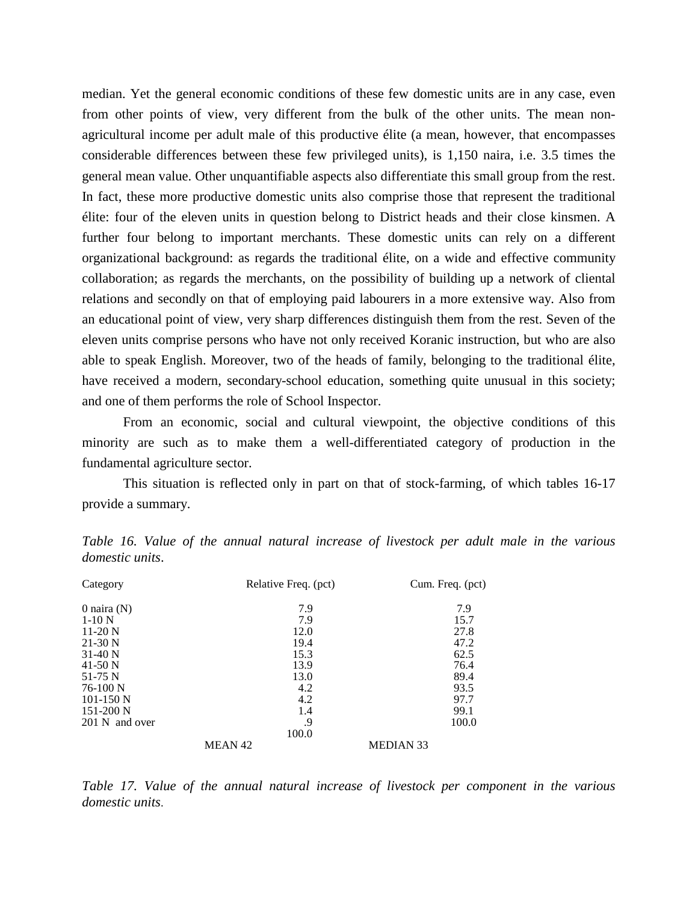median. Yet the general economic conditions of these few domestic units are in any case, even from other points of view, very different from the bulk of the other units. The mean nonagricultural income per adult male of this productive élite (a mean, however, that encompasses considerable differences between these few privileged units), is 1,150 naira, i.e. 3.5 times the general mean value. Other unquantifiable aspects also differentiate this small group from the rest. In fact, these more productive domestic units also comprise those that represent the traditional élite: four of the eleven units in question belong to District heads and their close kinsmen. A further four belong to important merchants. These domestic units can rely on a different organizational background: as regards the traditional élite, on a wide and effective community collaboration; as regards the merchants, on the possibility of building up a network of cliental relations and secondly on that of employing paid labourers in a more extensive way. Also from an educational point of view, very sharp differences distinguish them from the rest. Seven of the eleven units comprise persons who have not only received Koranic instruction, but who are also able to speak English. Moreover, two of the heads of family, belonging to the traditional élite, have received a modern, secondary-school education, something quite unusual in this society; and one of them performs the role of School Inspector.

From an economic, social and cultural viewpoint, the objective conditions of this minority are such as to make them a well-differentiated category of production in the fundamental agriculture sector.

This situation is reflected only in part on that of stock-farming, of which tables 16-17 provide a summary.

| Category       | Relative Freq. (pct) |                  | Cum. Freq. (pct) |
|----------------|----------------------|------------------|------------------|
| 0 naira $(N)$  |                      | 7.9              | 7.9              |
| $1-10N$        |                      | 7.9              | 15.7             |
| $11-20$ N      | 12.0                 |                  | 27.8             |
| $21-30$ N      | 19.4                 |                  | 47.2             |
| $31-40$ N      | 15.3                 |                  | 62.5             |
| 41-50 N        | 13.9                 |                  | 76.4             |
| $51-75$ N      | 13.0                 |                  | 89.4             |
| $76-100$ N     |                      | 4.2              | 93.5             |
| $101 - 150$ N  |                      | 4.2              | 97.7             |
| $151-200$ N    |                      | 1.4              | 99.1             |
| 201 N and over |                      | .9               | 100.0            |
|                | 100.0                |                  |                  |
|                | <b>MEAN 42</b>       | <b>MEDIAN 33</b> |                  |

*Table 16. Value of the annual natural increase of livestock per adult male in the various domestic units*.

*Table 17. Value of the annual natural increase of livestock per component in the various domestic units*.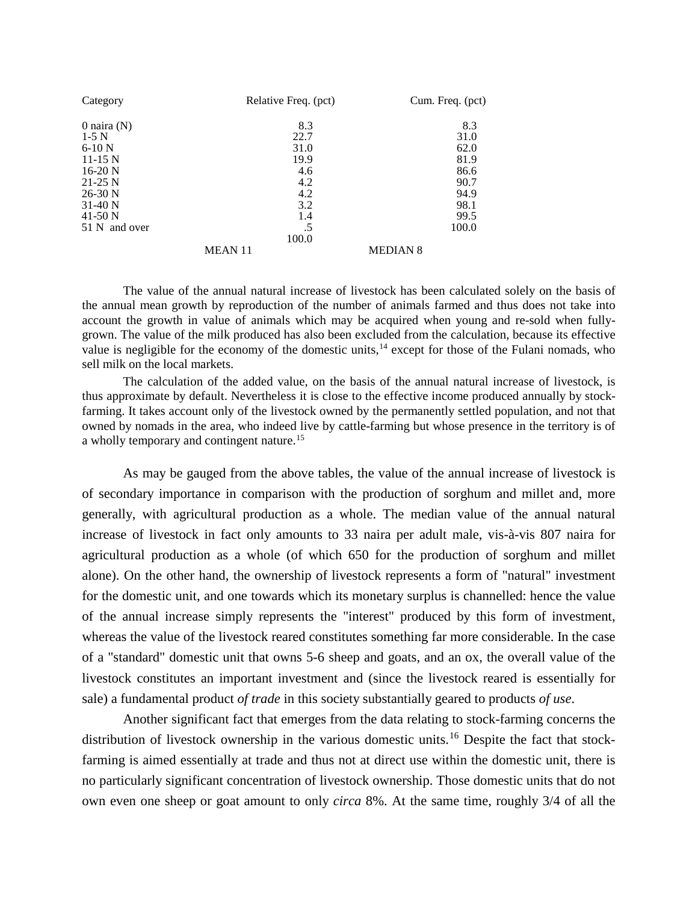| Category      | Relative Freq. (pct) | Cum. Freq. (pct) |
|---------------|----------------------|------------------|
| 0 naira $(N)$ | 8.3                  | 8.3              |
| $1-5$ N       | 22.7                 | 31.0             |
| $6-10$ N      | 31.0                 | 62.0             |
| $11-15$ N     | 19.9                 | 81.9             |
| $16-20$ N     | 4.6                  | 86.6             |
| $21-25$ N     | 4.2                  | 90.7             |
| $26-30$ N     | 4.2                  | 94.9             |
| $31-40$ N     | 3.2                  | 98.1             |
| 41-50 N       | 1.4                  | 99.5             |
| 51 N and over | .5                   | 100.0            |
|               | 100.0                |                  |
|               | <b>MEAN11</b>        | <b>MEDIAN 8</b>  |

The value of the annual natural increase of livestock has been calculated solely on the basis of the annual mean growth by reproduction of the number of animals farmed and thus does not take into account the growth in value of animals which may be acquired when young and re-sold when fullygrown. The value of the milk produced has also been excluded from the calculation, because its effective value is negligible for the economy of the domestic units,<sup>[14](#page-45-5)</sup> except for those of the Fulani nomads, who sell milk on the local markets.

The calculation of the added value, on the basis of the annual natural increase of livestock, is thus approximate by default. Nevertheless it is close to the effective income produced annually by stockfarming. It takes account only of the livestock owned by the permanently settled population, and not that owned by nomads in the area, who indeed live by cattle-farming but whose presence in the territory is of a wholly temporary and contingent nature.<sup>[15](#page-45-6)</sup>

As may be gauged from the above tables, the value of the annual increase of livestock is of secondary importance in comparison with the production of sorghum and millet and, more generally, with agricultural production as a whole. The median value of the annual natural increase of livestock in fact only amounts to 33 naira per adult male, vis-à-vis 807 naira for agricultural production as a whole (of which 650 for the production of sorghum and millet alone). On the other hand, the ownership of livestock represents a form of "natural" investment for the domestic unit, and one towards which its monetary surplus is channelled: hence the value of the annual increase simply represents the "interest" produced by this form of investment, whereas the value of the livestock reared constitutes something far more considerable. In the case of a "standard" domestic unit that owns 5-6 sheep and goats, and an ox, the overall value of the livestock constitutes an important investment and (since the livestock reared is essentially for sale) a fundamental product *of trade* in this society substantially geared to products *of use*.

Another significant fact that emerges from the data relating to stock-farming concerns the distribution of livestock ownership in the various domestic units.<sup>[16](#page-45-7)</sup> Despite the fact that stockfarming is aimed essentially at trade and thus not at direct use within the domestic unit, there is no particularly significant concentration of livestock ownership. Those domestic units that do not own even one sheep or goat amount to only *circa* 8%. At the same time, roughly 3/4 of all the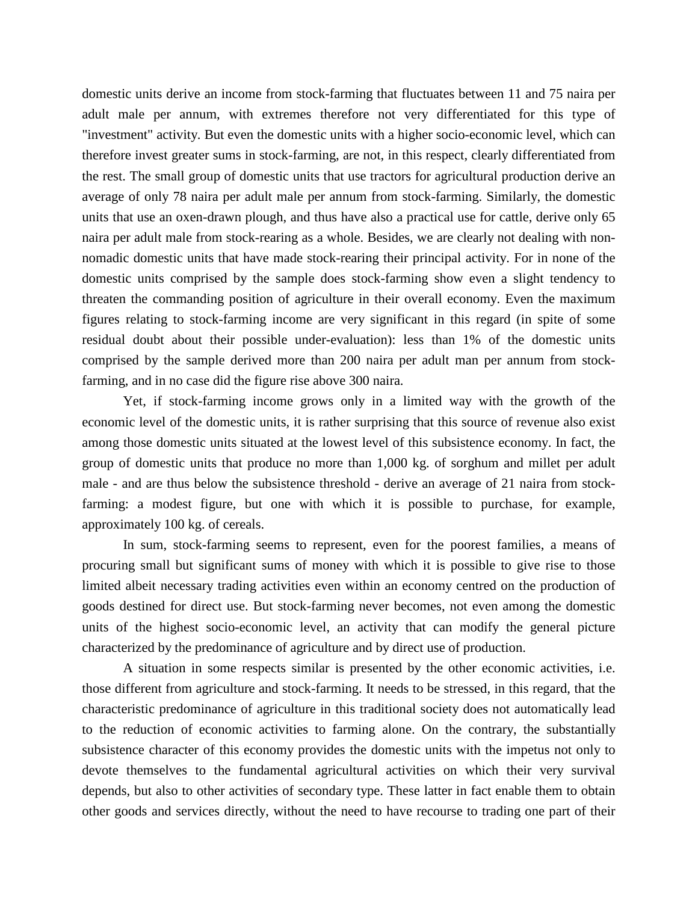domestic units derive an income from stock-farming that fluctuates between 11 and 75 naira per adult male per annum, with extremes therefore not very differentiated for this type of "investment" activity. But even the domestic units with a higher socio-economic level, which can therefore invest greater sums in stock-farming, are not, in this respect, clearly differentiated from the rest. The small group of domestic units that use tractors for agricultural production derive an average of only 78 naira per adult male per annum from stock-farming. Similarly, the domestic units that use an oxen-drawn plough, and thus have also a practical use for cattle, derive only 65 naira per adult male from stock-rearing as a whole. Besides, we are clearly not dealing with nonnomadic domestic units that have made stock-rearing their principal activity. For in none of the domestic units comprised by the sample does stock-farming show even a slight tendency to threaten the commanding position of agriculture in their overall economy. Even the maximum figures relating to stock-farming income are very significant in this regard (in spite of some residual doubt about their possible under-evaluation): less than 1% of the domestic units comprised by the sample derived more than 200 naira per adult man per annum from stockfarming, and in no case did the figure rise above 300 naira.

Yet, if stock-farming income grows only in a limited way with the growth of the economic level of the domestic units, it is rather surprising that this source of revenue also exist among those domestic units situated at the lowest level of this subsistence economy. In fact, the group of domestic units that produce no more than 1,000 kg. of sorghum and millet per adult male - and are thus below the subsistence threshold - derive an average of 21 naira from stockfarming: a modest figure, but one with which it is possible to purchase, for example, approximately 100 kg. of cereals.

In sum, stock-farming seems to represent, even for the poorest families, a means of procuring small but significant sums of money with which it is possible to give rise to those limited albeit necessary trading activities even within an economy centred on the production of goods destined for direct use. But stock-farming never becomes, not even among the domestic units of the highest socio-economic level, an activity that can modify the general picture characterized by the predominance of agriculture and by direct use of production.

A situation in some respects similar is presented by the other economic activities, i.e. those different from agriculture and stock-farming. It needs to be stressed, in this regard, that the characteristic predominance of agriculture in this traditional society does not automatically lead to the reduction of economic activities to farming alone. On the contrary, the substantially subsistence character of this economy provides the domestic units with the impetus not only to devote themselves to the fundamental agricultural activities on which their very survival depends, but also to other activities of secondary type. These latter in fact enable them to obtain other goods and services directly, without the need to have recourse to trading one part of their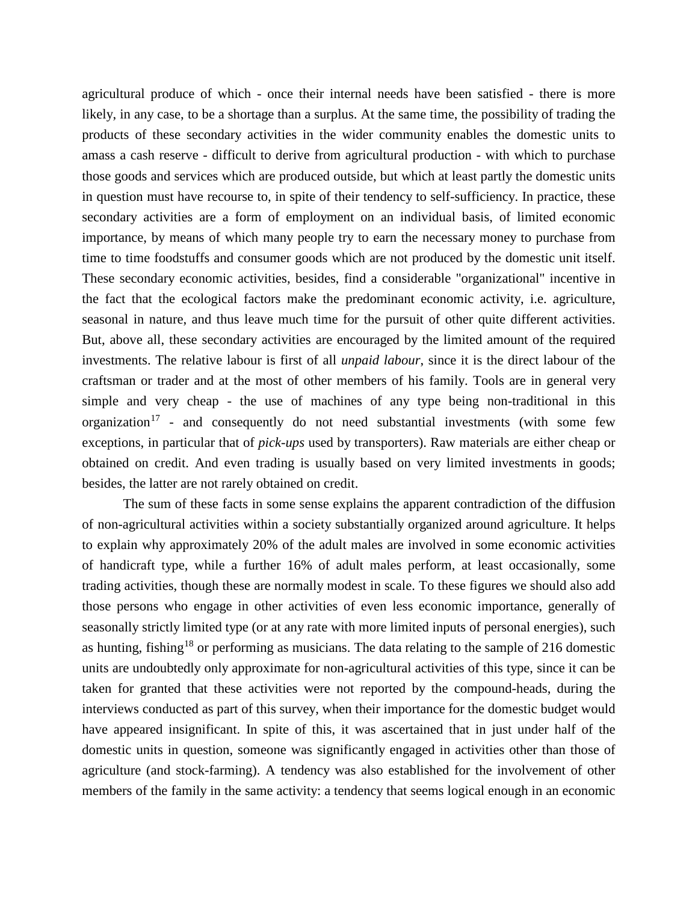agricultural produce of which - once their internal needs have been satisfied - there is more likely, in any case, to be a shortage than a surplus. At the same time, the possibility of trading the products of these secondary activities in the wider community enables the domestic units to amass a cash reserve - difficult to derive from agricultural production - with which to purchase those goods and services which are produced outside, but which at least partly the domestic units in question must have recourse to, in spite of their tendency to self-sufficiency. In practice, these secondary activities are a form of employment on an individual basis, of limited economic importance, by means of which many people try to earn the necessary money to purchase from time to time foodstuffs and consumer goods which are not produced by the domestic unit itself. These secondary economic activities, besides, find a considerable "organizational" incentive in the fact that the ecological factors make the predominant economic activity, i.e. agriculture, seasonal in nature, and thus leave much time for the pursuit of other quite different activities. But, above all, these secondary activities are encouraged by the limited amount of the required investments. The relative labour is first of all *unpaid labour*, since it is the direct labour of the craftsman or trader and at the most of other members of his family. Tools are in general very simple and very cheap - the use of machines of any type being non-traditional in this organization<sup>[17](#page-45-8)</sup> - and consequently do not need substantial investments (with some few exceptions, in particular that of *pick-ups* used by transporters). Raw materials are either cheap or obtained on credit. And even trading is usually based on very limited investments in goods; besides, the latter are not rarely obtained on credit.

The sum of these facts in some sense explains the apparent contradiction of the diffusion of non-agricultural activities within a society substantially organized around agriculture. It helps to explain why approximately 20% of the adult males are involved in some economic activities of handicraft type, while a further 16% of adult males perform, at least occasionally, some trading activities, though these are normally modest in scale. To these figures we should also add those persons who engage in other activities of even less economic importance, generally of seasonally strictly limited type (or at any rate with more limited inputs of personal energies), such as hunting, fishing<sup>[18](#page-45-9)</sup> or performing as musicians. The data relating to the sample of 216 domestic units are undoubtedly only approximate for non-agricultural activities of this type, since it can be taken for granted that these activities were not reported by the compound-heads, during the interviews conducted as part of this survey, when their importance for the domestic budget would have appeared insignificant. In spite of this, it was ascertained that in just under half of the domestic units in question, someone was significantly engaged in activities other than those of agriculture (and stock-farming). A tendency was also established for the involvement of other members of the family in the same activity: a tendency that seems logical enough in an economic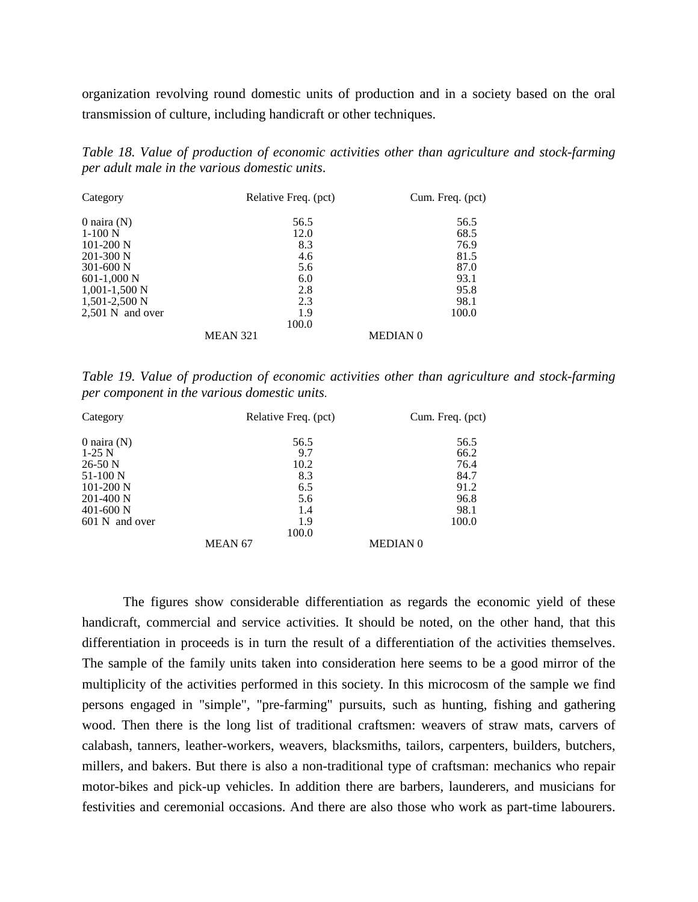organization revolving round domestic units of production and in a society based on the oral transmission of culture, including handicraft or other techniques.

*Table 18. Value of production of economic activities other than agriculture and stock-farming per adult male in the various domestic units*.

| Category           | Relative Freq. (pct) | Cum. Freq. (pct) |
|--------------------|----------------------|------------------|
| 0 naira $(N)$      | 56.5                 | 56.5             |
| $1-100$ N          | 12.0                 | 68.5             |
| $101-200$ N        | 8.3                  | 76.9             |
| $201-300$ N        | 4.6                  | 81.5             |
| $301 - 600$ N      | 5.6                  | 87.0             |
| $601-1,000$ N      | 6.0                  | 93.1             |
| $1,001-1,500$ N    | 2.8                  | 95.8             |
| $1,501-2,500$ N    | 2.3                  | 98.1             |
| $2,501$ N and over | 1.9                  | 100.0            |
|                    | 100.0                |                  |
|                    | <b>MEAN 321</b>      | <b>MEDIAN 0</b>  |

*Table 19. Value of production of economic activities other than agriculture and stock-farming per component in the various domestic units*.

| Category       | Relative Freq. (pct) | Cum. Freq. (pct) |
|----------------|----------------------|------------------|
| 0 naira $(N)$  | 56.5                 | 56.5             |
| $1-25$ N       | 9.7                  | 66.2             |
| $26-50$ N      | 10.2                 | 76.4             |
| $51-100$ N     | 8.3                  | 84.7             |
| $101-200$ N    | 6.5                  | 91.2             |
| $201-400$ N    | 5.6                  | 96.8             |
| $401 - 600$ N  | 1.4                  | 98.1             |
| 601 N and over | 1.9                  | 100.0            |
|                | 100.0                |                  |
|                | MEAN <sub>67</sub>   | <b>MEDIAN 0</b>  |

The figures show considerable differentiation as regards the economic yield of these handicraft, commercial and service activities. It should be noted, on the other hand, that this differentiation in proceeds is in turn the result of a differentiation of the activities themselves. The sample of the family units taken into consideration here seems to be a good mirror of the multiplicity of the activities performed in this society. In this microcosm of the sample we find persons engaged in "simple", "pre-farming" pursuits, such as hunting, fishing and gathering wood. Then there is the long list of traditional craftsmen: weavers of straw mats, carvers of calabash, tanners, leather-workers, weavers, blacksmiths, tailors, carpenters, builders, butchers, millers, and bakers. But there is also a non-traditional type of craftsman: mechanics who repair motor-bikes and pick-up vehicles. In addition there are barbers, launderers, and musicians for festivities and ceremonial occasions. And there are also those who work as part-time labourers.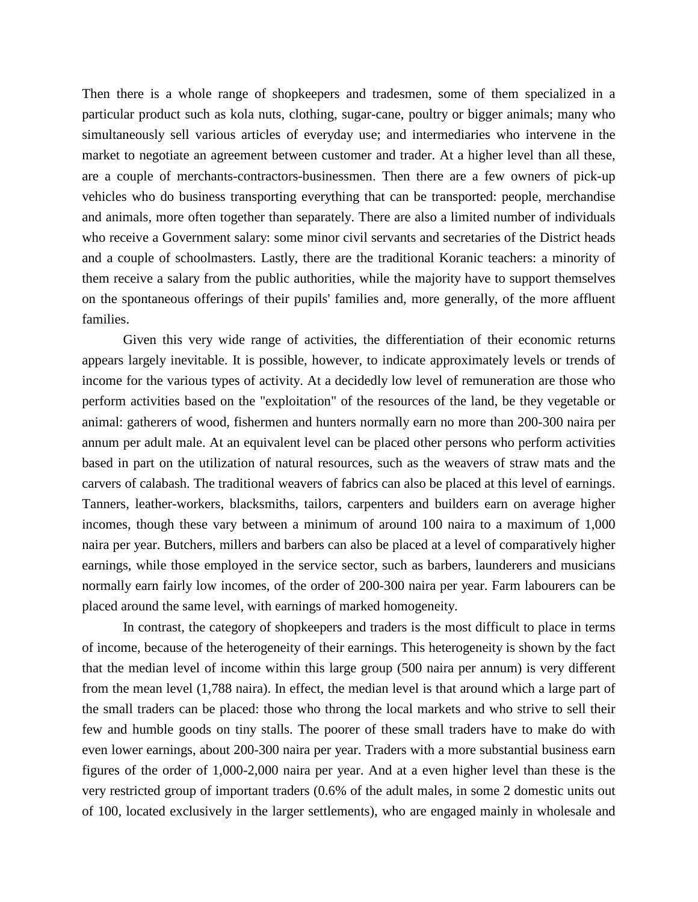Then there is a whole range of shopkeepers and tradesmen, some of them specialized in a particular product such as kola nuts, clothing, sugar-cane, poultry or bigger animals; many who simultaneously sell various articles of everyday use; and intermediaries who intervene in the market to negotiate an agreement between customer and trader. At a higher level than all these, are a couple of merchants-contractors-businessmen. Then there are a few owners of pick-up vehicles who do business transporting everything that can be transported: people, merchandise and animals, more often together than separately. There are also a limited number of individuals who receive a Government salary: some minor civil servants and secretaries of the District heads and a couple of schoolmasters. Lastly, there are the traditional Koranic teachers: a minority of them receive a salary from the public authorities, while the majority have to support themselves on the spontaneous offerings of their pupils' families and, more generally, of the more affluent families.

Given this very wide range of activities, the differentiation of their economic returns appears largely inevitable. It is possible, however, to indicate approximately levels or trends of income for the various types of activity. At a decidedly low level of remuneration are those who perform activities based on the "exploitation" of the resources of the land, be they vegetable or animal: gatherers of wood, fishermen and hunters normally earn no more than 200-300 naira per annum per adult male. At an equivalent level can be placed other persons who perform activities based in part on the utilization of natural resources, such as the weavers of straw mats and the carvers of calabash. The traditional weavers of fabrics can also be placed at this level of earnings. Tanners, leather-workers, blacksmiths, tailors, carpenters and builders earn on average higher incomes, though these vary between a minimum of around 100 naira to a maximum of 1,000 naira per year. Butchers, millers and barbers can also be placed at a level of comparatively higher earnings, while those employed in the service sector, such as barbers, launderers and musicians normally earn fairly low incomes, of the order of 200-300 naira per year. Farm labourers can be placed around the same level, with earnings of marked homogeneity.

In contrast, the category of shopkeepers and traders is the most difficult to place in terms of income, because of the heterogeneity of their earnings. This heterogeneity is shown by the fact that the median level of income within this large group (500 naira per annum) is very different from the mean level (1,788 naira). In effect, the median level is that around which a large part of the small traders can be placed: those who throng the local markets and who strive to sell their few and humble goods on tiny stalls. The poorer of these small traders have to make do with even lower earnings, about 200-300 naira per year. Traders with a more substantial business earn figures of the order of 1,000-2,000 naira per year. And at a even higher level than these is the very restricted group of important traders (0.6% of the adult males, in some 2 domestic units out of 100, located exclusively in the larger settlements), who are engaged mainly in wholesale and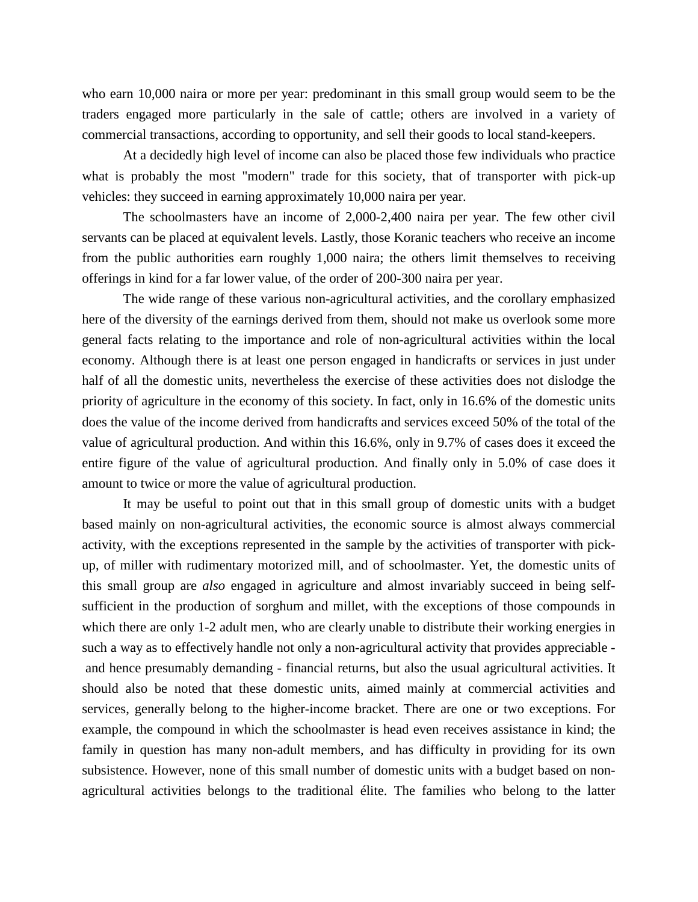who earn 10,000 naira or more per year: predominant in this small group would seem to be the traders engaged more particularly in the sale of cattle; others are involved in a variety of commercial transactions, according to opportunity, and sell their goods to local stand-keepers.

At a decidedly high level of income can also be placed those few individuals who practice what is probably the most "modern" trade for this society, that of transporter with pick-up vehicles: they succeed in earning approximately 10,000 naira per year.

The schoolmasters have an income of 2,000-2,400 naira per year. The few other civil servants can be placed at equivalent levels. Lastly, those Koranic teachers who receive an income from the public authorities earn roughly 1,000 naira; the others limit themselves to receiving offerings in kind for a far lower value, of the order of 200-300 naira per year.

The wide range of these various non-agricultural activities, and the corollary emphasized here of the diversity of the earnings derived from them, should not make us overlook some more general facts relating to the importance and role of non-agricultural activities within the local economy. Although there is at least one person engaged in handicrafts or services in just under half of all the domestic units, nevertheless the exercise of these activities does not dislodge the priority of agriculture in the economy of this society. In fact, only in 16.6% of the domestic units does the value of the income derived from handicrafts and services exceed 50% of the total of the value of agricultural production. And within this 16.6%, only in 9.7% of cases does it exceed the entire figure of the value of agricultural production. And finally only in 5.0% of case does it amount to twice or more the value of agricultural production.

It may be useful to point out that in this small group of domestic units with a budget based mainly on non-agricultural activities, the economic source is almost always commercial activity, with the exceptions represented in the sample by the activities of transporter with pickup, of miller with rudimentary motorized mill, and of schoolmaster. Yet, the domestic units of this small group are *also* engaged in agriculture and almost invariably succeed in being selfsufficient in the production of sorghum and millet, with the exceptions of those compounds in which there are only 1-2 adult men, who are clearly unable to distribute their working energies in such a way as to effectively handle not only a non-agricultural activity that provides appreciable and hence presumably demanding - financial returns, but also the usual agricultural activities. It should also be noted that these domestic units, aimed mainly at commercial activities and services, generally belong to the higher-income bracket. There are one or two exceptions. For example, the compound in which the schoolmaster is head even receives assistance in kind; the family in question has many non-adult members, and has difficulty in providing for its own subsistence. However, none of this small number of domestic units with a budget based on nonagricultural activities belongs to the traditional élite. The families who belong to the latter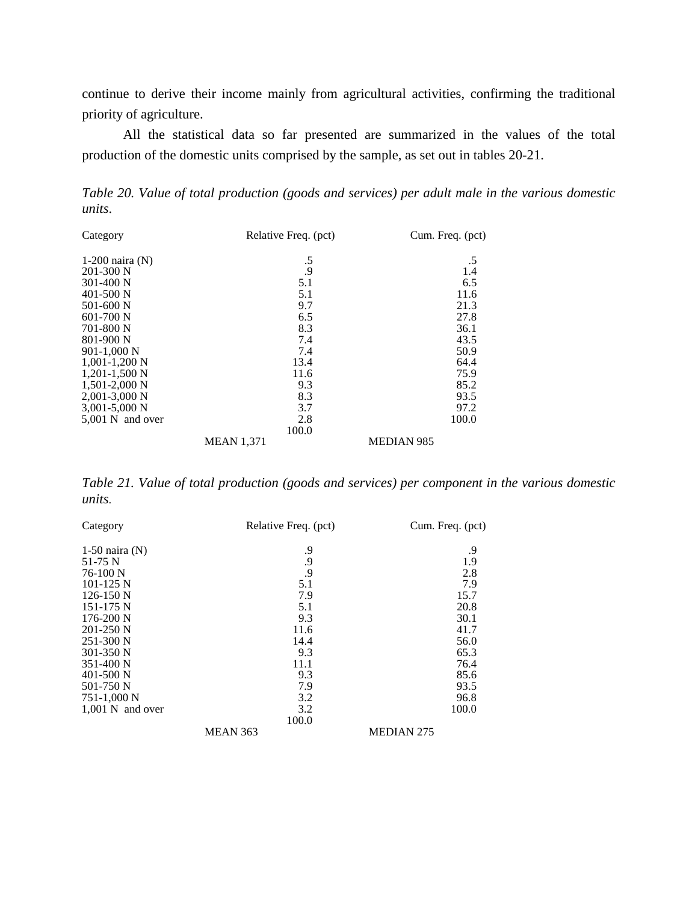continue to derive their income mainly from agricultural activities, confirming the traditional priority of agriculture.

All the statistical data so far presented are summarized in the values of the total production of the domestic units comprised by the sample, as set out in tables 20-21.

*Table 20. Value of total production (goods and services) per adult male in the various domestic units*.

| Category            | Relative Freq. (pct) | Cum. Freq. (pct)  |
|---------------------|----------------------|-------------------|
| $1-200$ naira $(N)$ | .5                   | .5                |
| $201 - 300$ N       | .9                   | 1.4               |
| $301 - 400$ N       | 5.1                  | 6.5               |
| 401-500 N           | 5.1                  | 11.6              |
| 501-600 N           | 9.7                  | 21.3              |
| $601 - 700$ N       | 6.5                  | 27.8              |
| 701-800 N           | 8.3                  | 36.1              |
| 801-900 N           | 7.4                  | 43.5              |
| 901-1,000 N         | 7.4                  | 50.9              |
| $1,001-1,200$ N     | 13.4                 | 64.4              |
| $1,201-1,500$ N     | 11.6                 | 75.9              |
| $1,501-2,000$ N     | 9.3                  | 85.2              |
| $2,001-3,000$ N     | 8.3                  | 93.5              |
| $3,001 - 5,000$ N   | 3.7                  | 97.2              |
| 5,001 N and over    | 2.8                  | 100.0             |
|                     | 100.0                |                   |
|                     | <b>MEAN 1,371</b>    | <b>MEDIAN 985</b> |

*Table 21. Value of total production (goods and services) per component in the various domestic units*.

| Category           | Relative Freq. (pct) | Cum. Freq. (pct)  |
|--------------------|----------------------|-------------------|
| $1-50$ naira (N)   | .9                   | .9                |
| 51-75 N            | .9                   | 1.9               |
| $76-100$ N         | .9                   | 2.8               |
| $101 - 125$ N      | 5.1                  | 7.9               |
| $126-150$ N        | 7.9                  | 15.7              |
| 151-175 N          | 5.1                  | 20.8              |
| $176-200$ N        | 9.3                  | 30.1              |
| $201 - 250$ N      | 11.6                 | 41.7              |
| $251 - 300$ N      | 14.4                 | 56.0              |
| 301-350 N          | 9.3                  | 65.3              |
| 351-400 N          | 11.1                 | 76.4              |
| $401 - 500$ N      | 9.3                  | 85.6              |
| 501-750 N          | 7.9                  | 93.5              |
| 751-1,000 N        | 3.2                  | 96.8              |
| $1,001$ N and over | 3.2                  | 100.0             |
|                    | 100.0                |                   |
|                    | <b>MEAN 363</b>      | <b>MEDIAN 275</b> |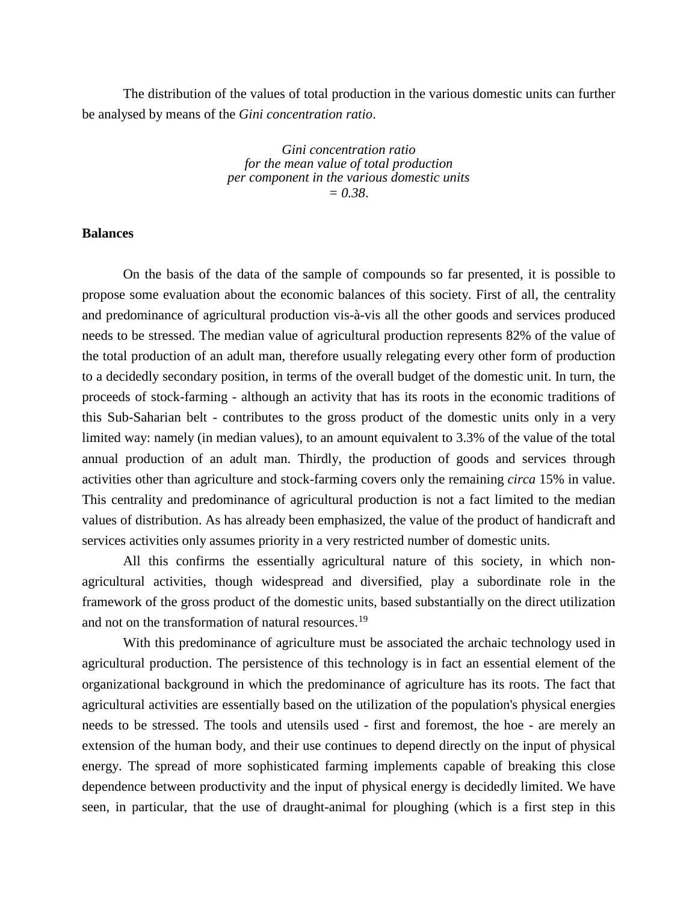The distribution of the values of total production in the various domestic units can further be analysed by means of the *Gini concentration ratio*.

> *Gini concentration ratio for the mean value of total production per component in the various domestic units = 0.38*.

#### **Balances**

On the basis of the data of the sample of compounds so far presented, it is possible to propose some evaluation about the economic balances of this society. First of all, the centrality and predominance of agricultural production vis-à-vis all the other goods and services produced needs to be stressed. The median value of agricultural production represents 82% of the value of the total production of an adult man, therefore usually relegating every other form of production to a decidedly secondary position, in terms of the overall budget of the domestic unit. In turn, the proceeds of stock-farming - although an activity that has its roots in the economic traditions of this Sub-Saharian belt - contributes to the gross product of the domestic units only in a very limited way: namely (in median values), to an amount equivalent to 3.3% of the value of the total annual production of an adult man. Thirdly, the production of goods and services through activities other than agriculture and stock-farming covers only the remaining *circa* 15% in value. This centrality and predominance of agricultural production is not a fact limited to the median values of distribution. As has already been emphasized, the value of the product of handicraft and services activities only assumes priority in a very restricted number of domestic units.

All this confirms the essentially agricultural nature of this society, in which nonagricultural activities, though widespread and diversified, play a subordinate role in the framework of the gross product of the domestic units, based substantially on the direct utilization and not on the transformation of natural resources.<sup>[19](#page-45-10)</sup>

With this predominance of agriculture must be associated the archaic technology used in agricultural production. The persistence of this technology is in fact an essential element of the organizational background in which the predominance of agriculture has its roots. The fact that agricultural activities are essentially based on the utilization of the population's physical energies needs to be stressed. The tools and utensils used - first and foremost, the hoe - are merely an extension of the human body, and their use continues to depend directly on the input of physical energy. The spread of more sophisticated farming implements capable of breaking this close dependence between productivity and the input of physical energy is decidedly limited. We have seen, in particular, that the use of draught-animal for ploughing (which is a first step in this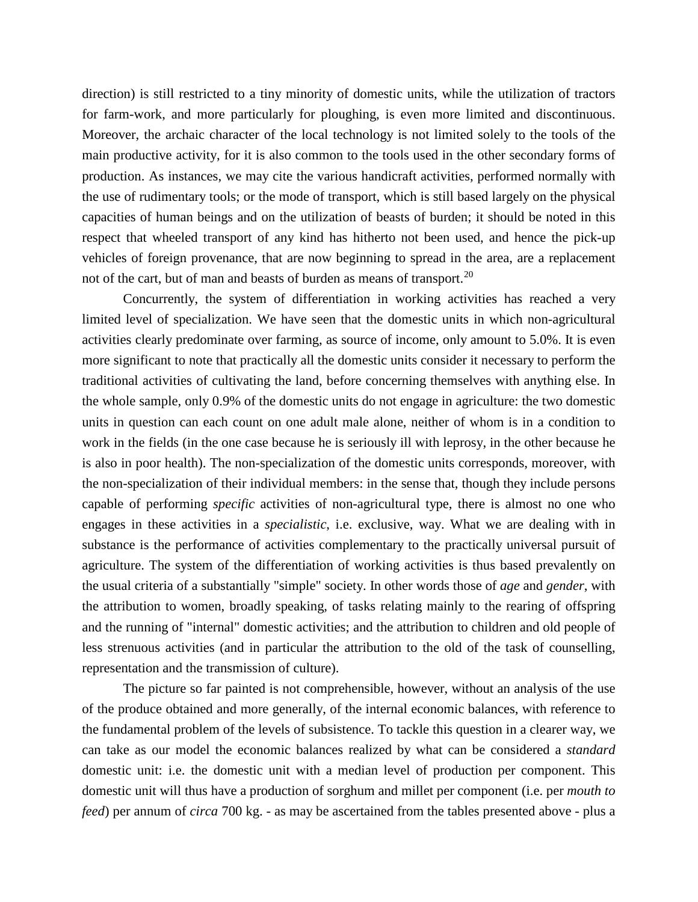direction) is still restricted to a tiny minority of domestic units, while the utilization of tractors for farm-work, and more particularly for ploughing, is even more limited and discontinuous. Moreover, the archaic character of the local technology is not limited solely to the tools of the main productive activity, for it is also common to the tools used in the other secondary forms of production. As instances, we may cite the various handicraft activities, performed normally with the use of rudimentary tools; or the mode of transport, which is still based largely on the physical capacities of human beings and on the utilization of beasts of burden; it should be noted in this respect that wheeled transport of any kind has hitherto not been used, and hence the pick-up vehicles of foreign provenance, that are now beginning to spread in the area, are a replacement not of the cart, but of man and beasts of burden as means of transport.<sup>[20](#page-45-11)</sup>

Concurrently, the system of differentiation in working activities has reached a very limited level of specialization. We have seen that the domestic units in which non-agricultural activities clearly predominate over farming, as source of income, only amount to 5.0%. It is even more significant to note that practically all the domestic units consider it necessary to perform the traditional activities of cultivating the land, before concerning themselves with anything else. In the whole sample, only 0.9% of the domestic units do not engage in agriculture: the two domestic units in question can each count on one adult male alone, neither of whom is in a condition to work in the fields (in the one case because he is seriously ill with leprosy, in the other because he is also in poor health). The non-specialization of the domestic units corresponds, moreover, with the non-specialization of their individual members: in the sense that, though they include persons capable of performing *specific* activities of non-agricultural type, there is almost no one who engages in these activities in a *specialistic*, i.e. exclusive, way. What we are dealing with in substance is the performance of activities complementary to the practically universal pursuit of agriculture. The system of the differentiation of working activities is thus based prevalently on the usual criteria of a substantially "simple" society. In other words those of *age* and *gender*, with the attribution to women, broadly speaking, of tasks relating mainly to the rearing of offspring and the running of "internal" domestic activities; and the attribution to children and old people of less strenuous activities (and in particular the attribution to the old of the task of counselling, representation and the transmission of culture).

The picture so far painted is not comprehensible, however, without an analysis of the use of the produce obtained and more generally, of the internal economic balances, with reference to the fundamental problem of the levels of subsistence. To tackle this question in a clearer way, we can take as our model the economic balances realized by what can be considered a *standard* domestic unit: i.e. the domestic unit with a median level of production per component. This domestic unit will thus have a production of sorghum and millet per component (i.e. per *mouth to feed*) per annum of *circa* 700 kg. - as may be ascertained from the tables presented above - plus a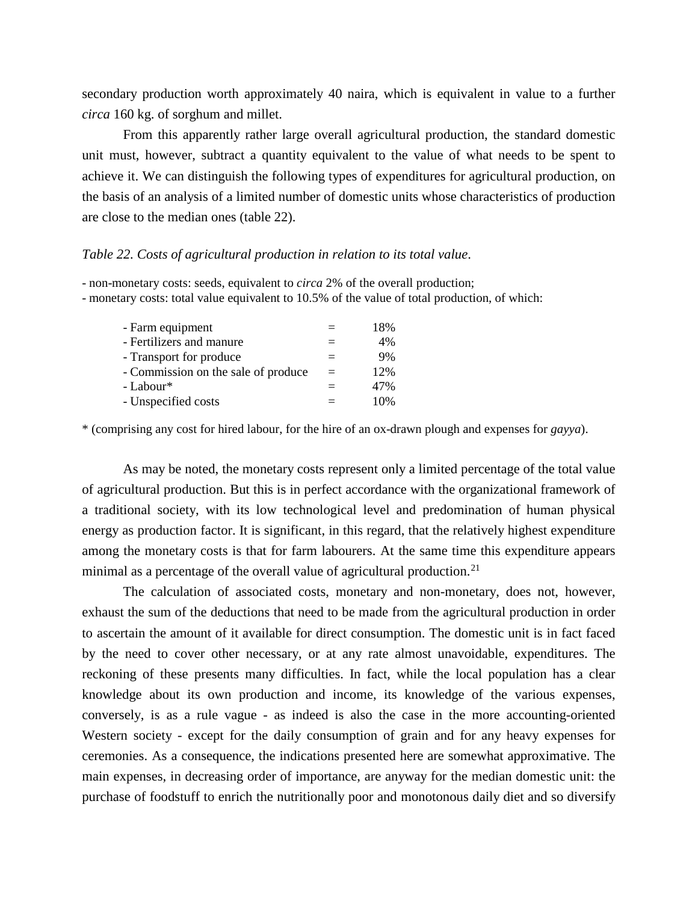secondary production worth approximately 40 naira, which is equivalent in value to a further *circa* 160 kg. of sorghum and millet.

From this apparently rather large overall agricultural production, the standard domestic unit must, however, subtract a quantity equivalent to the value of what needs to be spent to achieve it. We can distinguish the following types of expenditures for agricultural production, on the basis of an analysis of a limited number of domestic units whose characteristics of production are close to the median ones (table 22).

#### *Table 22. Costs of agricultural production in relation to its total value*.

- non-monetary costs: seeds, equivalent to *circa* 2% of the overall production;

- monetary costs: total value equivalent to 10.5% of the value of total production, of which:

| - Farm equipment                    |     | 18% |
|-------------------------------------|-----|-----|
| - Fertilizers and manure            |     | 4%  |
| - Transport for produce             | $=$ | 9%  |
| - Commission on the sale of produce | $=$ | 12% |
| - Labour*                           |     | 47% |
| - Unspecified costs                 |     | 10% |
|                                     |     |     |

\* (comprising any cost for hired labour, for the hire of an ox-drawn plough and expenses for *gayya*).

As may be noted, the monetary costs represent only a limited percentage of the total value of agricultural production. But this is in perfect accordance with the organizational framework of a traditional society, with its low technological level and predomination of human physical energy as production factor. It is significant, in this regard, that the relatively highest expenditure among the monetary costs is that for farm labourers. At the same time this expenditure appears minimal as a percentage of the overall value of agricultural production.<sup>[21](#page-46-0)</sup>

The calculation of associated costs, monetary and non-monetary, does not, however, exhaust the sum of the deductions that need to be made from the agricultural production in order to ascertain the amount of it available for direct consumption. The domestic unit is in fact faced by the need to cover other necessary, or at any rate almost unavoidable, expenditures. The reckoning of these presents many difficulties. In fact, while the local population has a clear knowledge about its own production and income, its knowledge of the various expenses, conversely, is as a rule vague - as indeed is also the case in the more accounting-oriented Western society - except for the daily consumption of grain and for any heavy expenses for ceremonies. As a consequence, the indications presented here are somewhat approximative. The main expenses, in decreasing order of importance, are anyway for the median domestic unit: the purchase of foodstuff to enrich the nutritionally poor and monotonous daily diet and so diversify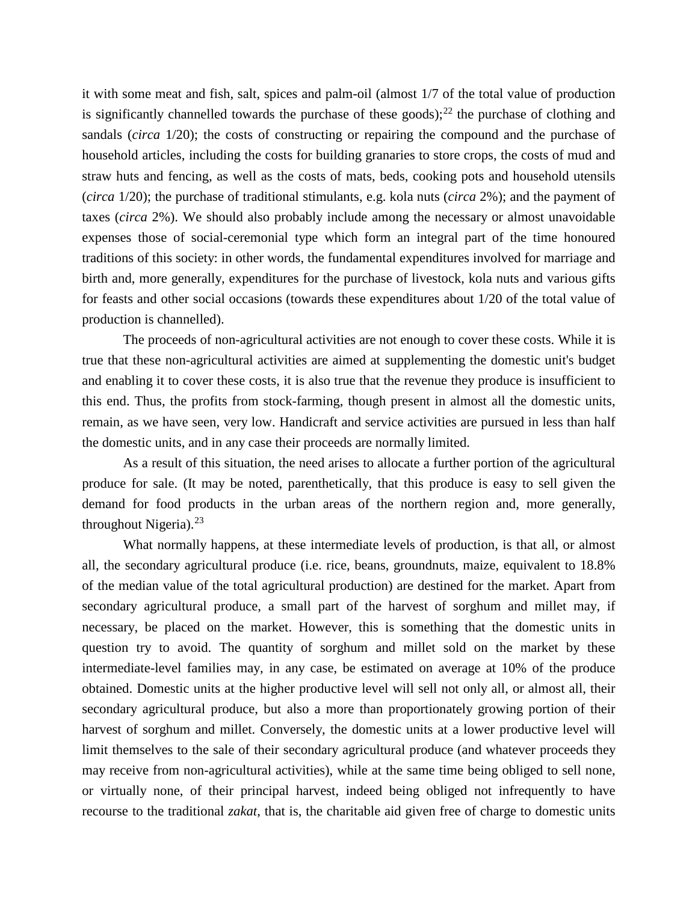it with some meat and fish, salt, spices and palm-oil (almost 1/7 of the total value of production is significantly channelled towards the purchase of these goods);<sup>[22](#page-46-1)</sup> the purchase of clothing and sandals (*circa* 1/20); the costs of constructing or repairing the compound and the purchase of household articles, including the costs for building granaries to store crops, the costs of mud and straw huts and fencing, as well as the costs of mats, beds, cooking pots and household utensils (*circa* 1/20); the purchase of traditional stimulants, e.g. kola nuts (*circa* 2%); and the payment of taxes (*circa* 2%). We should also probably include among the necessary or almost unavoidable expenses those of social-ceremonial type which form an integral part of the time honoured traditions of this society: in other words, the fundamental expenditures involved for marriage and birth and, more generally, expenditures for the purchase of livestock, kola nuts and various gifts for feasts and other social occasions (towards these expenditures about 1/20 of the total value of production is channelled).

The proceeds of non-agricultural activities are not enough to cover these costs. While it is true that these non-agricultural activities are aimed at supplementing the domestic unit's budget and enabling it to cover these costs, it is also true that the revenue they produce is insufficient to this end. Thus, the profits from stock-farming, though present in almost all the domestic units, remain, as we have seen, very low. Handicraft and service activities are pursued in less than half the domestic units, and in any case their proceeds are normally limited.

As a result of this situation, the need arises to allocate a further portion of the agricultural produce for sale. (It may be noted, parenthetically, that this produce is easy to sell given the demand for food products in the urban areas of the northern region and, more generally, throughout Nigeria).<sup>[23](#page-46-2)</sup>

What normally happens, at these intermediate levels of production, is that all, or almost all, the secondary agricultural produce (i.e. rice, beans, groundnuts, maize, equivalent to 18.8% of the median value of the total agricultural production) are destined for the market. Apart from secondary agricultural produce, a small part of the harvest of sorghum and millet may, if necessary, be placed on the market. However, this is something that the domestic units in question try to avoid. The quantity of sorghum and millet sold on the market by these intermediate-level families may, in any case, be estimated on average at 10% of the produce obtained. Domestic units at the higher productive level will sell not only all, or almost all, their secondary agricultural produce, but also a more than proportionately growing portion of their harvest of sorghum and millet. Conversely, the domestic units at a lower productive level will limit themselves to the sale of their secondary agricultural produce (and whatever proceeds they may receive from non-agricultural activities), while at the same time being obliged to sell none, or virtually none, of their principal harvest, indeed being obliged not infrequently to have recourse to the traditional *zakat*, that is, the charitable aid given free of charge to domestic units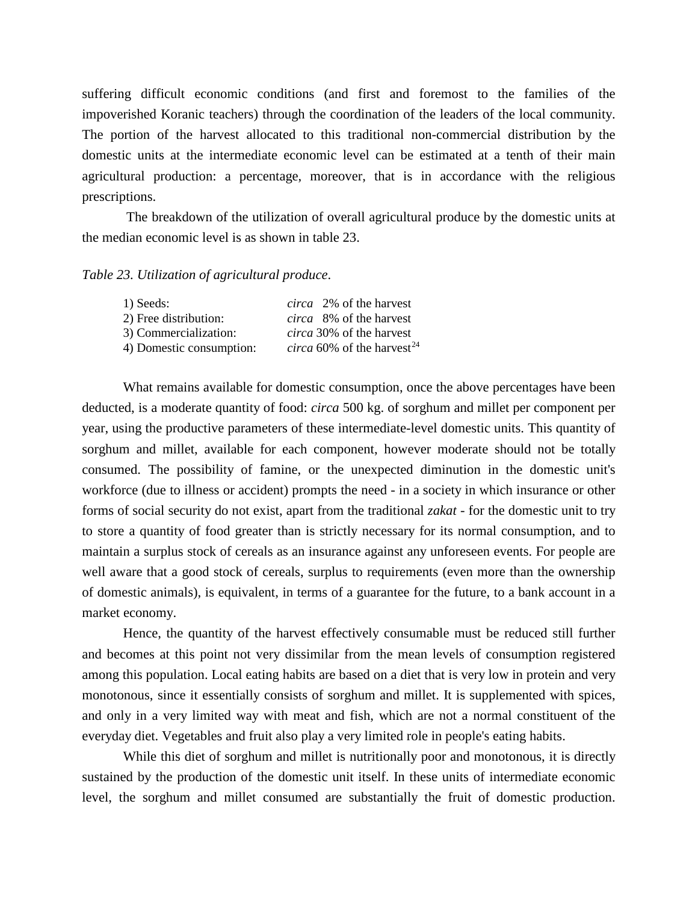suffering difficult economic conditions (and first and foremost to the families of the impoverished Koranic teachers) through the coordination of the leaders of the local community. The portion of the harvest allocated to this traditional non-commercial distribution by the domestic units at the intermediate economic level can be estimated at a tenth of their main agricultural production: a percentage, moreover, that is in accordance with the religious prescriptions.

The breakdown of the utilization of overall agricultural produce by the domestic units at the median economic level is as shown in table 23.

## *Table 23. Utilization of agricultural produce*.

| <i>circa</i> 2% of the harvest                |
|-----------------------------------------------|
| <i>circa</i> 8% of the harvest                |
| <i>circa</i> 30% of the harvest               |
| <i>circa</i> 60% of the harvest <sup>24</sup> |
|                                               |

What remains available for domestic consumption, once the above percentages have been deducted, is a moderate quantity of food: *circa* 500 kg. of sorghum and millet per component per year, using the productive parameters of these intermediate-level domestic units. This quantity of sorghum and millet, available for each component, however moderate should not be totally consumed. The possibility of famine, or the unexpected diminution in the domestic unit's workforce (due to illness or accident) prompts the need - in a society in which insurance or other forms of social security do not exist, apart from the traditional *zakat* - for the domestic unit to try to store a quantity of food greater than is strictly necessary for its normal consumption, and to maintain a surplus stock of cereals as an insurance against any unforeseen events. For people are well aware that a good stock of cereals, surplus to requirements (even more than the ownership of domestic animals), is equivalent, in terms of a guarantee for the future, to a bank account in a market economy.

Hence, the quantity of the harvest effectively consumable must be reduced still further and becomes at this point not very dissimilar from the mean levels of consumption registered among this population. Local eating habits are based on a diet that is very low in protein and very monotonous, since it essentially consists of sorghum and millet. It is supplemented with spices, and only in a very limited way with meat and fish, which are not a normal constituent of the everyday diet. Vegetables and fruit also play a very limited role in people's eating habits.

While this diet of sorghum and millet is nutritionally poor and monotonous, it is directly sustained by the production of the domestic unit itself. In these units of intermediate economic level, the sorghum and millet consumed are substantially the fruit of domestic production.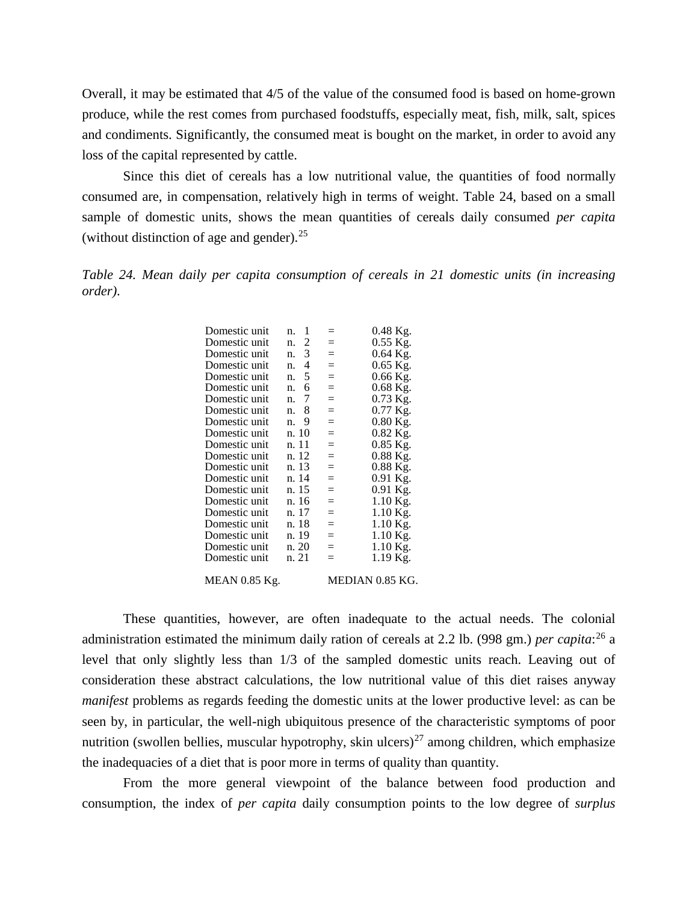Overall, it may be estimated that 4/5 of the value of the consumed food is based on home-grown produce, while the rest comes from purchased foodstuffs, especially meat, fish, milk, salt, spices and condiments. Significantly, the consumed meat is bought on the market, in order to avoid any loss of the capital represented by cattle.

Since this diet of cereals has a low nutritional value, the quantities of food normally consumed are, in compensation, relatively high in terms of weight. Table 24, based on a small sample of domestic units, shows the mean quantities of cereals daily consumed *per capita* (without distinction of age and gender).  $25$ 

*Table 24. Mean daily per capita consumption of cereals in 21 domestic units (in increasing order)*.

| Domestic unit        | 1<br>n. | $=$                | 0.48 Kg.        |
|----------------------|---------|--------------------|-----------------|
| Domestic unit        | n. 2    | $=$                | $0.55$ Kg.      |
| Domestic unit        | n. 3    | $=$ $-$            | $0.64$ Kg.      |
| Domestic unit        | n. 4    | $=$ $-$            | $0.65$ Kg.      |
| Domestic unit        | 5<br>n. | $=$                | $0.66$ Kg.      |
| Domestic unit        | 6<br>n. | $=$                | $0.68$ Kg.      |
| Domestic unit        | 7<br>n. | $=$                | $0.73$ Kg.      |
| Domestic unit        | n. 8    | $=$                | $0.77$ Kg.      |
| Domestic unit        | 9<br>n. | $=$                | $0.80$ Kg.      |
| Domestic unit        | n. 10   | $=$                | $0.82$ Kg.      |
| Domestic unit        | n. 11   | $=$                | $0.85$ Kg.      |
| Domestic unit        | n. 12   | $=$                | $0.88$ Kg.      |
| Domestic unit        | n. 13   | $=$                | $0.88$ Kg.      |
| Domestic unit        | n. 14   | $=$                | 0.91 Kg.        |
| Domestic unit        | n. 15   | $=$                | 0.91 Kg.        |
| Domestic unit        | n. 16   | $=$                | $1.10$ Kg.      |
| Domestic unit        | n. 17   | $=$                | $1.10$ Kg.      |
| Domestic unit        | n. 18   | $=$                | $1.10$ Kg.      |
| Domestic unit        | n. 19   | $=$ $\blacksquare$ | $1.10$ Kg.      |
| Domestic unit        | n. 20   | $=$                | $1.10$ Kg.      |
| Domestic unit        | n. 21   | $=$                | 1.19 Kg.        |
| <b>MEAN 0.85 Kg.</b> |         |                    | MEDIAN 0.85 KG. |
|                      |         |                    |                 |

These quantities, however, are often inadequate to the actual needs. The colonial administration estimated the minimum daily ration of cereals at 2.2 lb. (998 gm.) *per capita*: [26](#page-46-5) a level that only slightly less than 1/3 of the sampled domestic units reach. Leaving out of consideration these abstract calculations, the low nutritional value of this diet raises anyway *manifest* problems as regards feeding the domestic units at the lower productive level: as can be seen by, in particular, the well-nigh ubiquitous presence of the characteristic symptoms of poor nutrition (swollen bellies, muscular hypotrophy, skin ulcers)<sup>[27](#page-46-6)</sup> among children, which emphasize the inadequacies of a diet that is poor more in terms of quality than quantity.

From the more general viewpoint of the balance between food production and consumption, the index of *per capita* daily consumption points to the low degree of *surplus*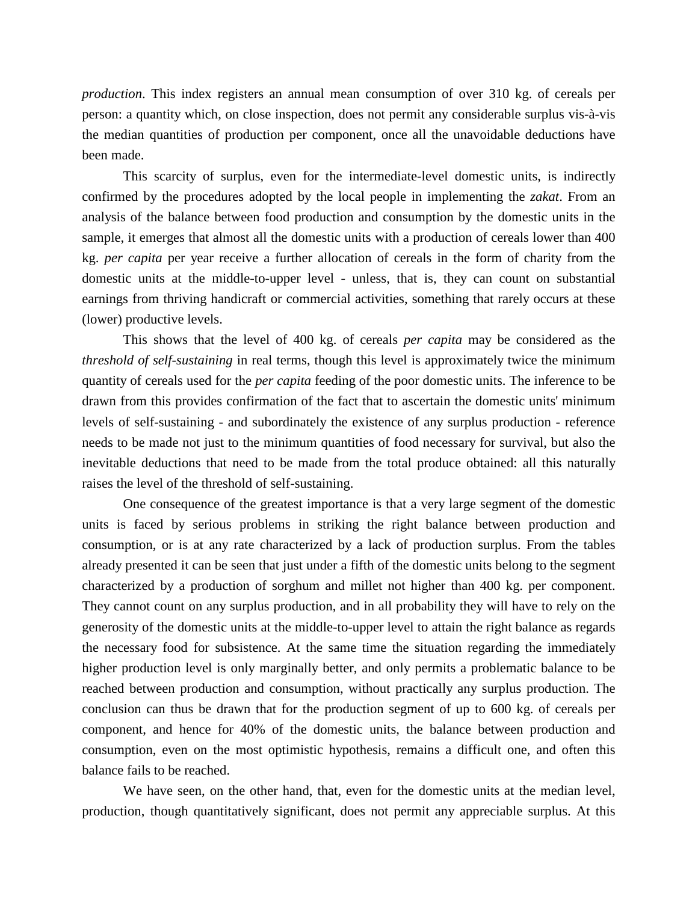*production*. This index registers an annual mean consumption of over 310 kg. of cereals per person: a quantity which, on close inspection, does not permit any considerable surplus vis-à-vis the median quantities of production per component, once all the unavoidable deductions have been made.

This scarcity of surplus, even for the intermediate-level domestic units, is indirectly confirmed by the procedures adopted by the local people in implementing the *zakat*. From an analysis of the balance between food production and consumption by the domestic units in the sample, it emerges that almost all the domestic units with a production of cereals lower than 400 kg. *per capita* per year receive a further allocation of cereals in the form of charity from the domestic units at the middle-to-upper level - unless, that is, they can count on substantial earnings from thriving handicraft or commercial activities, something that rarely occurs at these (lower) productive levels.

This shows that the level of 400 kg. of cereals *per capita* may be considered as the *threshold of self-sustaining* in real terms, though this level is approximately twice the minimum quantity of cereals used for the *per capita* feeding of the poor domestic units. The inference to be drawn from this provides confirmation of the fact that to ascertain the domestic units' minimum levels of self-sustaining - and subordinately the existence of any surplus production - reference needs to be made not just to the minimum quantities of food necessary for survival, but also the inevitable deductions that need to be made from the total produce obtained: all this naturally raises the level of the threshold of self-sustaining.

One consequence of the greatest importance is that a very large segment of the domestic units is faced by serious problems in striking the right balance between production and consumption, or is at any rate characterized by a lack of production surplus. From the tables already presented it can be seen that just under a fifth of the domestic units belong to the segment characterized by a production of sorghum and millet not higher than 400 kg. per component. They cannot count on any surplus production, and in all probability they will have to rely on the generosity of the domestic units at the middle-to-upper level to attain the right balance as regards the necessary food for subsistence. At the same time the situation regarding the immediately higher production level is only marginally better, and only permits a problematic balance to be reached between production and consumption, without practically any surplus production. The conclusion can thus be drawn that for the production segment of up to 600 kg. of cereals per component, and hence for 40% of the domestic units, the balance between production and consumption, even on the most optimistic hypothesis, remains a difficult one, and often this balance fails to be reached.

We have seen, on the other hand, that, even for the domestic units at the median level, production, though quantitatively significant, does not permit any appreciable surplus. At this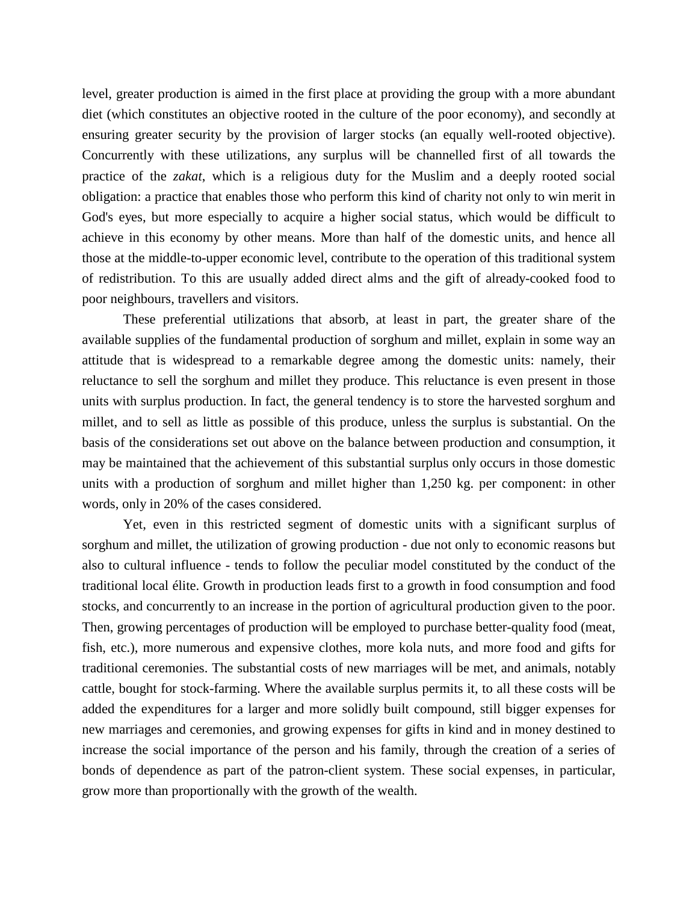level, greater production is aimed in the first place at providing the group with a more abundant diet (which constitutes an objective rooted in the culture of the poor economy), and secondly at ensuring greater security by the provision of larger stocks (an equally well-rooted objective). Concurrently with these utilizations, any surplus will be channelled first of all towards the practice of the *zakat*, which is a religious duty for the Muslim and a deeply rooted social obligation: a practice that enables those who perform this kind of charity not only to win merit in God's eyes, but more especially to acquire a higher social status, which would be difficult to achieve in this economy by other means. More than half of the domestic units, and hence all those at the middle-to-upper economic level, contribute to the operation of this traditional system of redistribution. To this are usually added direct alms and the gift of already-cooked food to poor neighbours, travellers and visitors.

These preferential utilizations that absorb, at least in part, the greater share of the available supplies of the fundamental production of sorghum and millet, explain in some way an attitude that is widespread to a remarkable degree among the domestic units: namely, their reluctance to sell the sorghum and millet they produce. This reluctance is even present in those units with surplus production. In fact, the general tendency is to store the harvested sorghum and millet, and to sell as little as possible of this produce, unless the surplus is substantial. On the basis of the considerations set out above on the balance between production and consumption, it may be maintained that the achievement of this substantial surplus only occurs in those domestic units with a production of sorghum and millet higher than 1,250 kg. per component: in other words, only in 20% of the cases considered.

Yet, even in this restricted segment of domestic units with a significant surplus of sorghum and millet, the utilization of growing production - due not only to economic reasons but also to cultural influence - tends to follow the peculiar model constituted by the conduct of the traditional local élite. Growth in production leads first to a growth in food consumption and food stocks, and concurrently to an increase in the portion of agricultural production given to the poor. Then, growing percentages of production will be employed to purchase better-quality food (meat, fish, etc.), more numerous and expensive clothes, more kola nuts, and more food and gifts for traditional ceremonies. The substantial costs of new marriages will be met, and animals, notably cattle, bought for stock-farming. Where the available surplus permits it, to all these costs will be added the expenditures for a larger and more solidly built compound, still bigger expenses for new marriages and ceremonies, and growing expenses for gifts in kind and in money destined to increase the social importance of the person and his family, through the creation of a series of bonds of dependence as part of the patron-client system. These social expenses, in particular, grow more than proportionally with the growth of the wealth.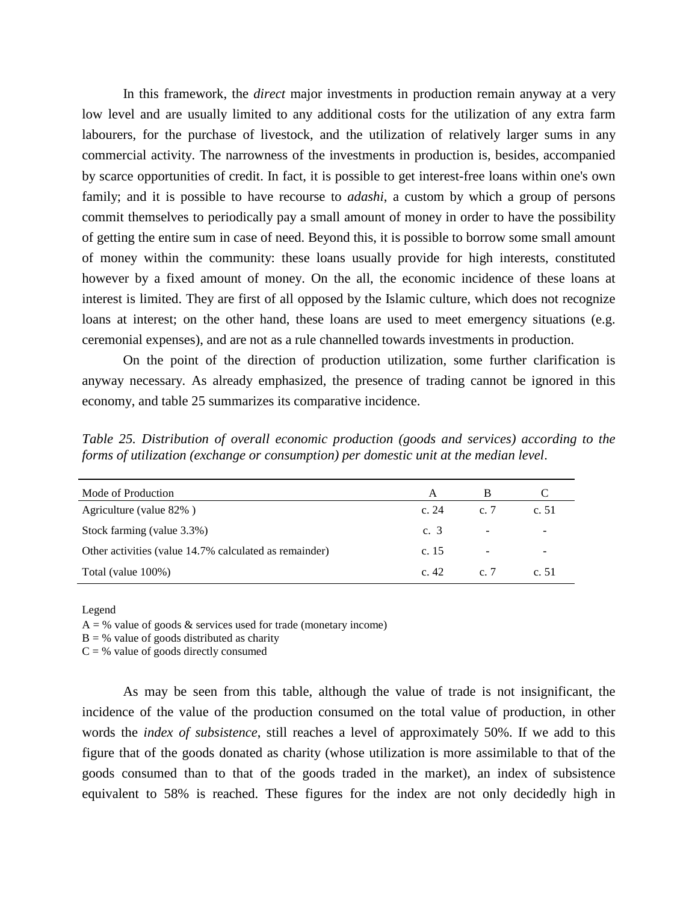In this framework, the *direct* major investments in production remain anyway at a very low level and are usually limited to any additional costs for the utilization of any extra farm labourers, for the purchase of livestock, and the utilization of relatively larger sums in any commercial activity. The narrowness of the investments in production is, besides, accompanied by scarce opportunities of credit. In fact, it is possible to get interest-free loans within one's own family; and it is possible to have recourse to *adashi*, a custom by which a group of persons commit themselves to periodically pay a small amount of money in order to have the possibility of getting the entire sum in case of need. Beyond this, it is possible to borrow some small amount of money within the community: these loans usually provide for high interests, constituted however by a fixed amount of money. On the all, the economic incidence of these loans at interest is limited. They are first of all opposed by the Islamic culture, which does not recognize loans at interest; on the other hand, these loans are used to meet emergency situations (e.g. ceremonial expenses), and are not as a rule channelled towards investments in production.

On the point of the direction of production utilization, some further clarification is anyway necessary. As already emphasized, the presence of trading cannot be ignored in this economy, and table 25 summarizes its comparative incidence.

*Table 25. Distribution of overall economic production (goods and services) according to the forms of utilization (exchange or consumption) per domestic unit at the median level*.

| A       | В      |         |
|---------|--------|---------|
| c. $24$ | c. $7$ | c. $51$ |
| c. 3    | -      | ۰       |
| c. $15$ |        |         |
| c. $42$ | c. $7$ | c.51    |
|         |        |         |

Legend

 $A = \%$  value of goods & services used for trade (monetary income)

 $B = \%$  value of goods distributed as charity

 $C = %$  value of goods directly consumed

As may be seen from this table, although the value of trade is not insignificant, the incidence of the value of the production consumed on the total value of production, in other words the *index of subsistence*, still reaches a level of approximately 50%. If we add to this figure that of the goods donated as charity (whose utilization is more assimilable to that of the goods consumed than to that of the goods traded in the market), an index of subsistence equivalent to 58% is reached. These figures for the index are not only decidedly high in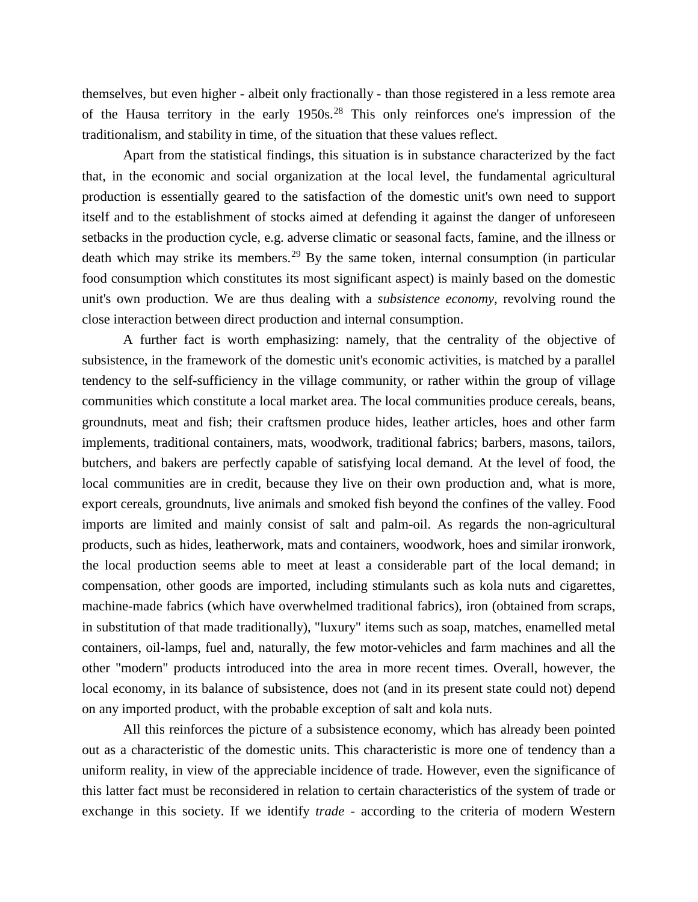themselves, but even higher - albeit only fractionally - than those registered in a less remote area of the Hausa territory in the early  $1950s<sup>28</sup>$  $1950s<sup>28</sup>$  $1950s<sup>28</sup>$ . This only reinforces one's impression of the traditionalism, and stability in time, of the situation that these values reflect.

Apart from the statistical findings, this situation is in substance characterized by the fact that, in the economic and social organization at the local level, the fundamental agricultural production is essentially geared to the satisfaction of the domestic unit's own need to support itself and to the establishment of stocks aimed at defending it against the danger of unforeseen setbacks in the production cycle, e.g. adverse climatic or seasonal facts, famine, and the illness or death which may strike its members.<sup>[29](#page-46-8)</sup> By the same token, internal consumption (in particular food consumption which constitutes its most significant aspect) is mainly based on the domestic unit's own production. We are thus dealing with a *subsistence economy*, revolving round the close interaction between direct production and internal consumption.

A further fact is worth emphasizing: namely, that the centrality of the objective of subsistence, in the framework of the domestic unit's economic activities, is matched by a parallel tendency to the self-sufficiency in the village community, or rather within the group of village communities which constitute a local market area. The local communities produce cereals, beans, groundnuts, meat and fish; their craftsmen produce hides, leather articles, hoes and other farm implements, traditional containers, mats, woodwork, traditional fabrics; barbers, masons, tailors, butchers, and bakers are perfectly capable of satisfying local demand. At the level of food, the local communities are in credit, because they live on their own production and, what is more, export cereals, groundnuts, live animals and smoked fish beyond the confines of the valley. Food imports are limited and mainly consist of salt and palm-oil. As regards the non-agricultural products, such as hides, leatherwork, mats and containers, woodwork, hoes and similar ironwork, the local production seems able to meet at least a considerable part of the local demand; in compensation, other goods are imported, including stimulants such as kola nuts and cigarettes, machine-made fabrics (which have overwhelmed traditional fabrics), iron (obtained from scraps, in substitution of that made traditionally), "luxury" items such as soap, matches, enamelled metal containers, oil-lamps, fuel and, naturally, the few motor-vehicles and farm machines and all the other "modern" products introduced into the area in more recent times. Overall, however, the local economy, in its balance of subsistence, does not (and in its present state could not) depend on any imported product, with the probable exception of salt and kola nuts.

All this reinforces the picture of a subsistence economy, which has already been pointed out as a characteristic of the domestic units. This characteristic is more one of tendency than a uniform reality, in view of the appreciable incidence of trade. However, even the significance of this latter fact must be reconsidered in relation to certain characteristics of the system of trade or exchange in this society. If we identify *trade* - according to the criteria of modern Western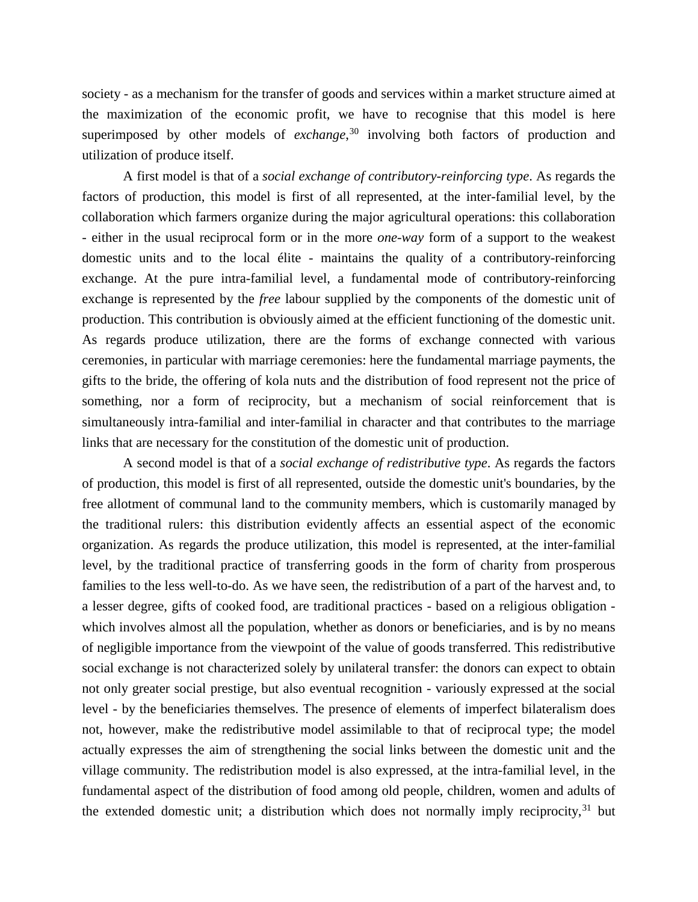society - as a mechanism for the transfer of goods and services within a market structure aimed at the maximization of the economic profit, we have to recognise that this model is here superimposed by other models of *exchange*, [30](#page-46-9) involving both factors of production and utilization of produce itself.

A first model is that of a *social exchange of contributory-reinforcing type*. As regards the factors of production, this model is first of all represented, at the inter-familial level, by the collaboration which farmers organize during the major agricultural operations: this collaboration - either in the usual reciprocal form or in the more *one-way* form of a support to the weakest domestic units and to the local élite - maintains the quality of a contributory-reinforcing exchange. At the pure intra-familial level, a fundamental mode of contributory-reinforcing exchange is represented by the *free* labour supplied by the components of the domestic unit of production. This contribution is obviously aimed at the efficient functioning of the domestic unit. As regards produce utilization, there are the forms of exchange connected with various ceremonies, in particular with marriage ceremonies: here the fundamental marriage payments, the gifts to the bride, the offering of kola nuts and the distribution of food represent not the price of something, nor a form of reciprocity, but a mechanism of social reinforcement that is simultaneously intra-familial and inter-familial in character and that contributes to the marriage links that are necessary for the constitution of the domestic unit of production.

A second model is that of a *social exchange of redistributive type*. As regards the factors of production, this model is first of all represented, outside the domestic unit's boundaries, by the free allotment of communal land to the community members, which is customarily managed by the traditional rulers: this distribution evidently affects an essential aspect of the economic organization. As regards the produce utilization, this model is represented, at the inter-familial level, by the traditional practice of transferring goods in the form of charity from prosperous families to the less well-to-do. As we have seen, the redistribution of a part of the harvest and, to a lesser degree, gifts of cooked food, are traditional practices - based on a religious obligation which involves almost all the population, whether as donors or beneficiaries, and is by no means of negligible importance from the viewpoint of the value of goods transferred. This redistributive social exchange is not characterized solely by unilateral transfer: the donors can expect to obtain not only greater social prestige, but also eventual recognition - variously expressed at the social level - by the beneficiaries themselves. The presence of elements of imperfect bilateralism does not, however, make the redistributive model assimilable to that of reciprocal type; the model actually expresses the aim of strengthening the social links between the domestic unit and the village community. The redistribution model is also expressed, at the intra-familial level, in the fundamental aspect of the distribution of food among old people, children, women and adults of the extended domestic unit; a distribution which does not normally imply reciprocity,  $31$  but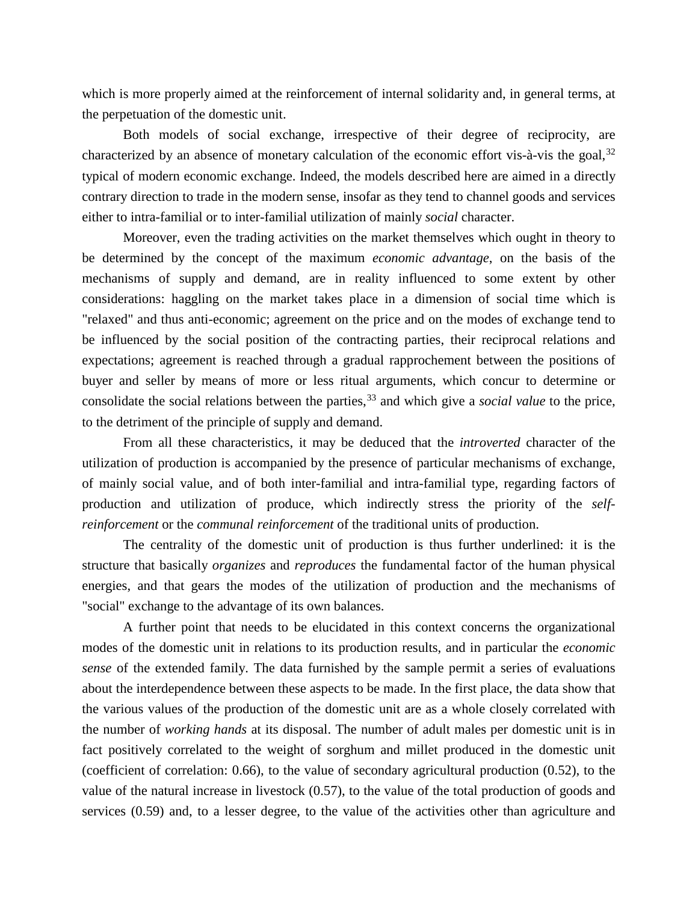which is more properly aimed at the reinforcement of internal solidarity and, in general terms, at the perpetuation of the domestic unit.

Both models of social exchange, irrespective of their degree of reciprocity, are characterized by an absence of monetary calculation of the economic effort vis- $\hat{a}$ -vis the goal,  $32$ typical of modern economic exchange. Indeed, the models described here are aimed in a directly contrary direction to trade in the modern sense, insofar as they tend to channel goods and services either to intra-familial or to inter-familial utilization of mainly *social* character.

Moreover, even the trading activities on the market themselves which ought in theory to be determined by the concept of the maximum *economic advantage*, on the basis of the mechanisms of supply and demand, are in reality influenced to some extent by other considerations: haggling on the market takes place in a dimension of social time which is "relaxed" and thus anti-economic; agreement on the price and on the modes of exchange tend to be influenced by the social position of the contracting parties, their reciprocal relations and expectations; agreement is reached through a gradual rapprochement between the positions of buyer and seller by means of more or less ritual arguments, which concur to determine or consolidate the social relations between the parties,<sup>[33](#page-46-12)</sup> and which give a *social value* to the price, to the detriment of the principle of supply and demand.

From all these characteristics, it may be deduced that the *introverted* character of the utilization of production is accompanied by the presence of particular mechanisms of exchange, of mainly social value, and of both inter-familial and intra-familial type, regarding factors of production and utilization of produce, which indirectly stress the priority of the *selfreinforcement* or the *communal reinforcement* of the traditional units of production.

The centrality of the domestic unit of production is thus further underlined: it is the structure that basically *organizes* and *reproduces* the fundamental factor of the human physical energies, and that gears the modes of the utilization of production and the mechanisms of "social" exchange to the advantage of its own balances.

A further point that needs to be elucidated in this context concerns the organizational modes of the domestic unit in relations to its production results, and in particular the *economic sense* of the extended family. The data furnished by the sample permit a series of evaluations about the interdependence between these aspects to be made. In the first place, the data show that the various values of the production of the domestic unit are as a whole closely correlated with the number of *working hands* at its disposal. The number of adult males per domestic unit is in fact positively correlated to the weight of sorghum and millet produced in the domestic unit (coefficient of correlation: 0.66), to the value of secondary agricultural production (0.52), to the value of the natural increase in livestock (0.57), to the value of the total production of goods and services (0.59) and, to a lesser degree, to the value of the activities other than agriculture and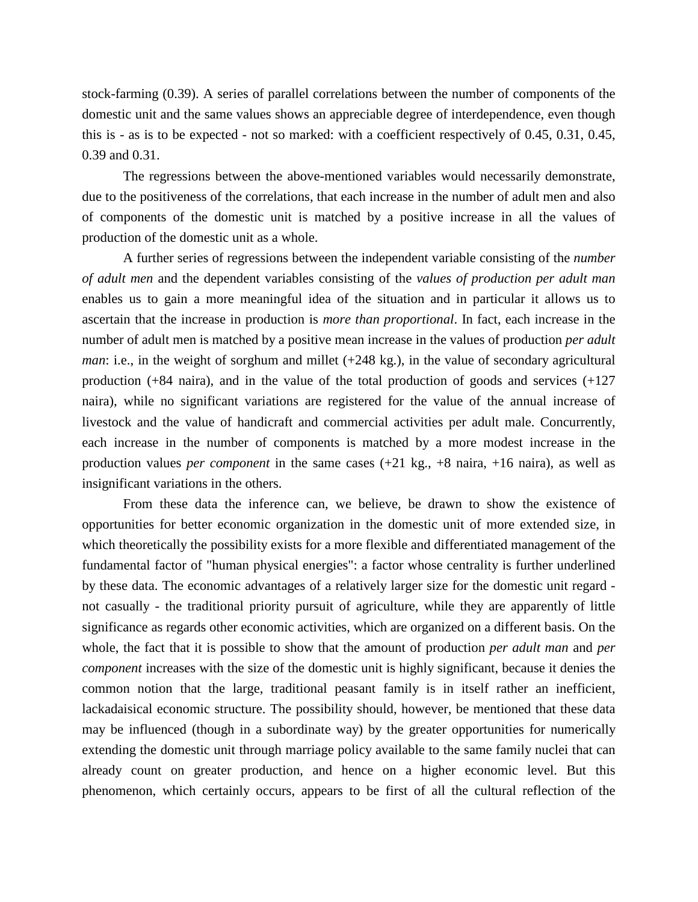stock-farming (0.39). A series of parallel correlations between the number of components of the domestic unit and the same values shows an appreciable degree of interdependence, even though this is - as is to be expected - not so marked: with a coefficient respectively of 0.45, 0.31, 0.45, 0.39 and 0.31.

The regressions between the above-mentioned variables would necessarily demonstrate, due to the positiveness of the correlations, that each increase in the number of adult men and also of components of the domestic unit is matched by a positive increase in all the values of production of the domestic unit as a whole.

A further series of regressions between the independent variable consisting of the *number of adult men* and the dependent variables consisting of the *values of production per adult man* enables us to gain a more meaningful idea of the situation and in particular it allows us to ascertain that the increase in production is *more than proportional*. In fact, each increase in the number of adult men is matched by a positive mean increase in the values of production *per adult man*: i.e., in the weight of sorghum and millet (+248 kg.), in the value of secondary agricultural production (+84 naira), and in the value of the total production of goods and services (+127 naira), while no significant variations are registered for the value of the annual increase of livestock and the value of handicraft and commercial activities per adult male. Concurrently, each increase in the number of components is matched by a more modest increase in the production values *per component* in the same cases (+21 kg., +8 naira, +16 naira), as well as insignificant variations in the others.

From these data the inference can, we believe, be drawn to show the existence of opportunities for better economic organization in the domestic unit of more extended size, in which theoretically the possibility exists for a more flexible and differentiated management of the fundamental factor of "human physical energies": a factor whose centrality is further underlined by these data. The economic advantages of a relatively larger size for the domestic unit regard not casually - the traditional priority pursuit of agriculture, while they are apparently of little significance as regards other economic activities, which are organized on a different basis. On the whole, the fact that it is possible to show that the amount of production *per adult man* and *per component* increases with the size of the domestic unit is highly significant, because it denies the common notion that the large, traditional peasant family is in itself rather an inefficient, lackadaisical economic structure. The possibility should, however, be mentioned that these data may be influenced (though in a subordinate way) by the greater opportunities for numerically extending the domestic unit through marriage policy available to the same family nuclei that can already count on greater production, and hence on a higher economic level. But this phenomenon, which certainly occurs, appears to be first of all the cultural reflection of the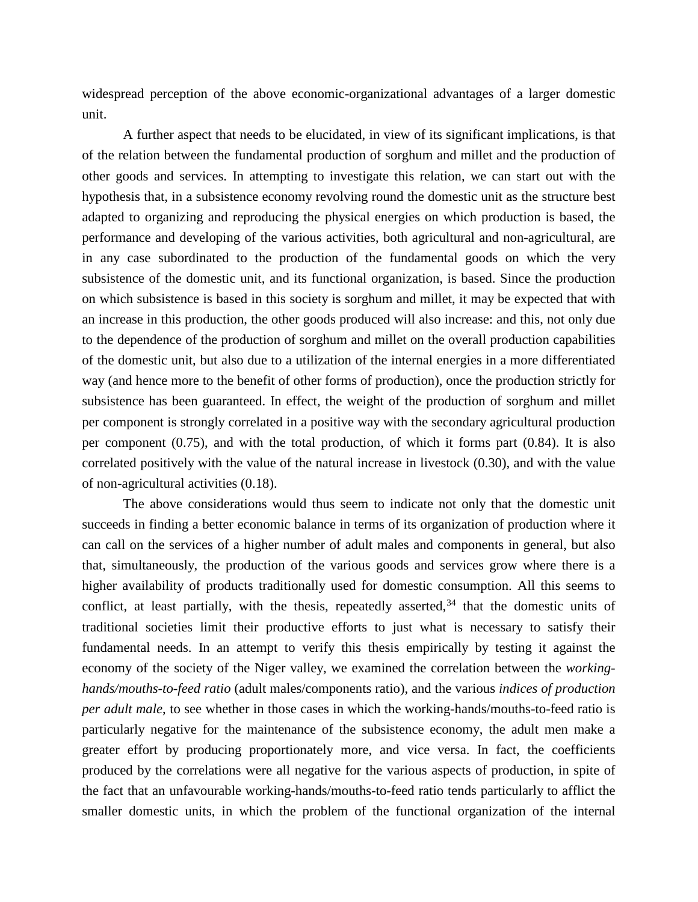widespread perception of the above economic-organizational advantages of a larger domestic unit.

A further aspect that needs to be elucidated, in view of its significant implications, is that of the relation between the fundamental production of sorghum and millet and the production of other goods and services. In attempting to investigate this relation, we can start out with the hypothesis that, in a subsistence economy revolving round the domestic unit as the structure best adapted to organizing and reproducing the physical energies on which production is based, the performance and developing of the various activities, both agricultural and non-agricultural, are in any case subordinated to the production of the fundamental goods on which the very subsistence of the domestic unit, and its functional organization, is based. Since the production on which subsistence is based in this society is sorghum and millet, it may be expected that with an increase in this production, the other goods produced will also increase: and this, not only due to the dependence of the production of sorghum and millet on the overall production capabilities of the domestic unit, but also due to a utilization of the internal energies in a more differentiated way (and hence more to the benefit of other forms of production), once the production strictly for subsistence has been guaranteed. In effect, the weight of the production of sorghum and millet per component is strongly correlated in a positive way with the secondary agricultural production per component (0.75), and with the total production, of which it forms part (0.84). It is also correlated positively with the value of the natural increase in livestock (0.30), and with the value of non-agricultural activities (0.18).

The above considerations would thus seem to indicate not only that the domestic unit succeeds in finding a better economic balance in terms of its organization of production where it can call on the services of a higher number of adult males and components in general, but also that, simultaneously, the production of the various goods and services grow where there is a higher availability of products traditionally used for domestic consumption. All this seems to conflict, at least partially, with the thesis, repeatedly asserted, $34$  that the domestic units of traditional societies limit their productive efforts to just what is necessary to satisfy their fundamental needs. In an attempt to verify this thesis empirically by testing it against the economy of the society of the Niger valley, we examined the correlation between the *workinghands/mouths-to-feed ratio* (adult males/components ratio), and the various *indices of production per adult male*, to see whether in those cases in which the working-hands/mouths-to-feed ratio is particularly negative for the maintenance of the subsistence economy, the adult men make a greater effort by producing proportionately more, and vice versa. In fact, the coefficients produced by the correlations were all negative for the various aspects of production, in spite of the fact that an unfavourable working-hands/mouths-to-feed ratio tends particularly to afflict the smaller domestic units, in which the problem of the functional organization of the internal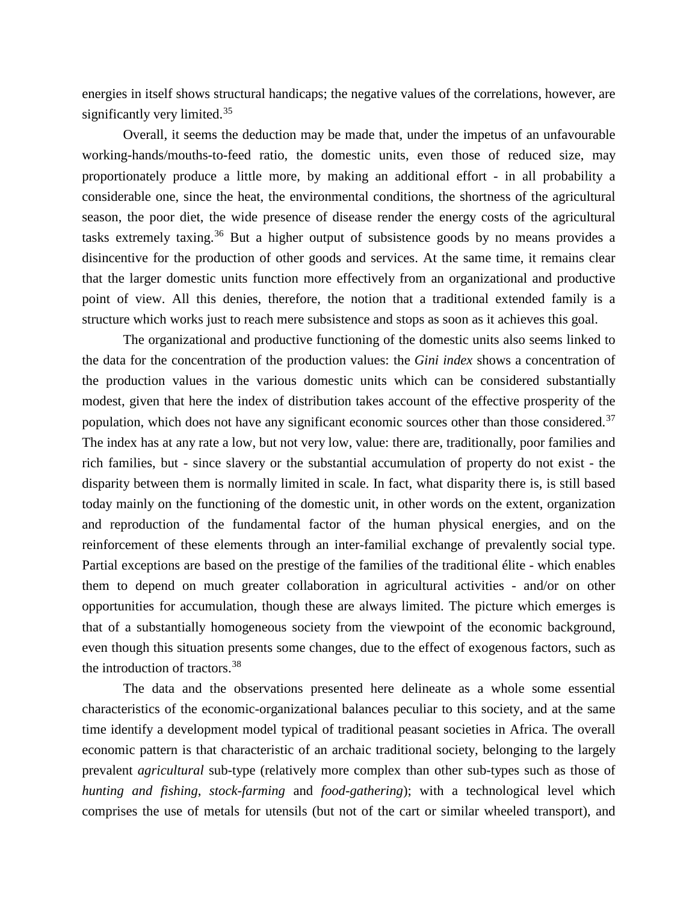energies in itself shows structural handicaps; the negative values of the correlations, however, are significantly very limited.<sup>[35](#page-47-0)</sup>

Overall, it seems the deduction may be made that, under the impetus of an unfavourable working-hands/mouths-to-feed ratio, the domestic units, even those of reduced size, may proportionately produce a little more, by making an additional effort - in all probability a considerable one, since the heat, the environmental conditions, the shortness of the agricultural season, the poor diet, the wide presence of disease render the energy costs of the agricultural tasks extremely taxing.<sup>[36](#page-47-1)</sup> But a higher output of subsistence goods by no means provides a disincentive for the production of other goods and services. At the same time, it remains clear that the larger domestic units function more effectively from an organizational and productive point of view. All this denies, therefore, the notion that a traditional extended family is a structure which works just to reach mere subsistence and stops as soon as it achieves this goal.

The organizational and productive functioning of the domestic units also seems linked to the data for the concentration of the production values: the *Gini index* shows a concentration of the production values in the various domestic units which can be considered substantially modest, given that here the index of distribution takes account of the effective prosperity of the population, which does not have any significant economic sources other than those considered.<sup>[37](#page-47-2)</sup> The index has at any rate a low, but not very low, value: there are, traditionally, poor families and rich families, but - since slavery or the substantial accumulation of property do not exist - the disparity between them is normally limited in scale. In fact, what disparity there is, is still based today mainly on the functioning of the domestic unit, in other words on the extent, organization and reproduction of the fundamental factor of the human physical energies, and on the reinforcement of these elements through an inter-familial exchange of prevalently social type. Partial exceptions are based on the prestige of the families of the traditional élite - which enables them to depend on much greater collaboration in agricultural activities - and/or on other opportunities for accumulation, though these are always limited. The picture which emerges is that of a substantially homogeneous society from the viewpoint of the economic background, even though this situation presents some changes, due to the effect of exogenous factors, such as the introduction of tractors.[38](#page-47-3)

The data and the observations presented here delineate as a whole some essential characteristics of the economic-organizational balances peculiar to this society, and at the same time identify a development model typical of traditional peasant societies in Africa. The overall economic pattern is that characteristic of an archaic traditional society, belonging to the largely prevalent *agricultural* sub-type (relatively more complex than other sub-types such as those of *hunting and fishing*, *stock-farming* and *food-gathering*); with a technological level which comprises the use of metals for utensils (but not of the cart or similar wheeled transport), and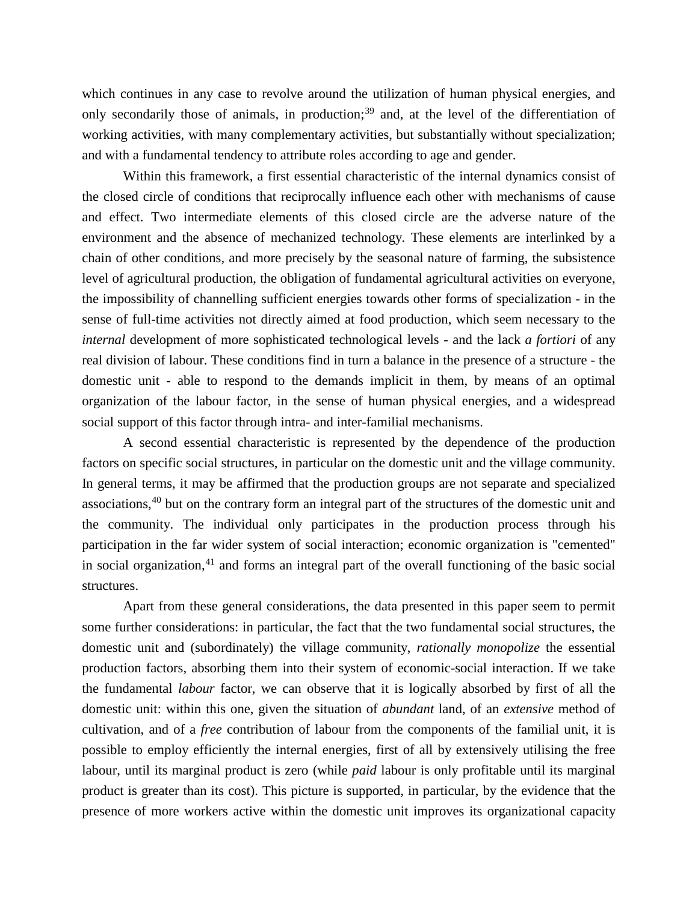which continues in any case to revolve around the utilization of human physical energies, and only secondarily those of animals, in production;<sup>[39](#page-47-4)</sup> and, at the level of the differentiation of working activities, with many complementary activities, but substantially without specialization; and with a fundamental tendency to attribute roles according to age and gender.

Within this framework, a first essential characteristic of the internal dynamics consist of the closed circle of conditions that reciprocally influence each other with mechanisms of cause and effect. Two intermediate elements of this closed circle are the adverse nature of the environment and the absence of mechanized technology. These elements are interlinked by a chain of other conditions, and more precisely by the seasonal nature of farming, the subsistence level of agricultural production, the obligation of fundamental agricultural activities on everyone, the impossibility of channelling sufficient energies towards other forms of specialization - in the sense of full-time activities not directly aimed at food production, which seem necessary to the *internal* development of more sophisticated technological levels - and the lack *a fortiori* of any real division of labour. These conditions find in turn a balance in the presence of a structure - the domestic unit - able to respond to the demands implicit in them, by means of an optimal organization of the labour factor, in the sense of human physical energies, and a widespread social support of this factor through intra- and inter-familial mechanisms.

A second essential characteristic is represented by the dependence of the production factors on specific social structures, in particular on the domestic unit and the village community. In general terms, it may be affirmed that the production groups are not separate and specialized associations,[40](#page-47-5) but on the contrary form an integral part of the structures of the domestic unit and the community. The individual only participates in the production process through his participation in the far wider system of social interaction; economic organization is "cemented" in social organization, $41$  and forms an integral part of the overall functioning of the basic social structures.

Apart from these general considerations, the data presented in this paper seem to permit some further considerations: in particular, the fact that the two fundamental social structures, the domestic unit and (subordinately) the village community, *rationally monopolize* the essential production factors, absorbing them into their system of economic-social interaction. If we take the fundamental *labour* factor, we can observe that it is logically absorbed by first of all the domestic unit: within this one, given the situation of *abundant* land, of an *extensive* method of cultivation, and of a *free* contribution of labour from the components of the familial unit, it is possible to employ efficiently the internal energies, first of all by extensively utilising the free labour, until its marginal product is zero (while *paid* labour is only profitable until its marginal product is greater than its cost). This picture is supported, in particular, by the evidence that the presence of more workers active within the domestic unit improves its organizational capacity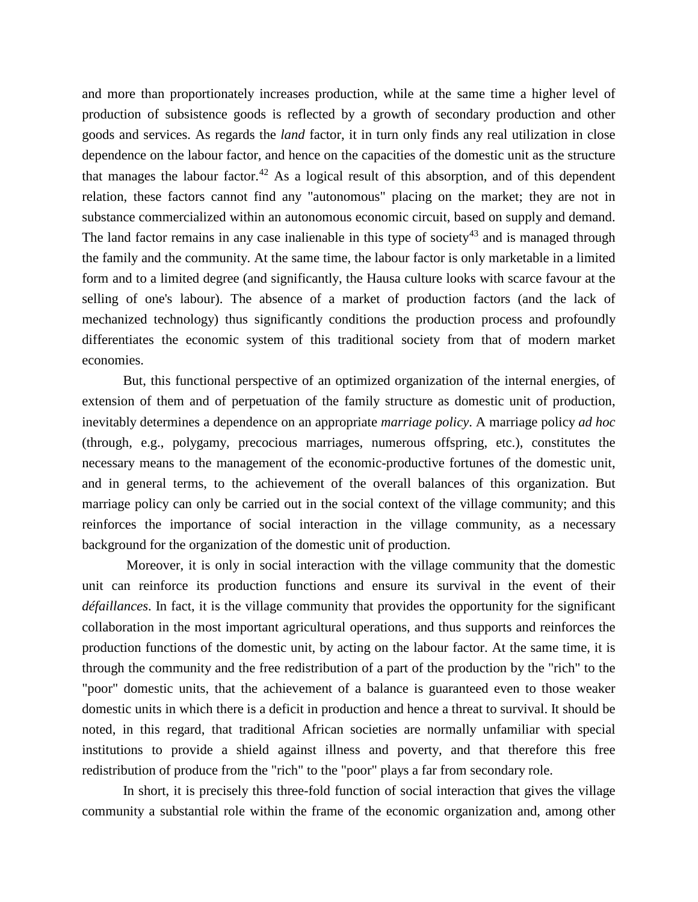and more than proportionately increases production, while at the same time a higher level of production of subsistence goods is reflected by a growth of secondary production and other goods and services. As regards the *land* factor, it in turn only finds any real utilization in close dependence on the labour factor, and hence on the capacities of the domestic unit as the structure that manages the labour factor.<sup>[42](#page-47-7)</sup> As a logical result of this absorption, and of this dependent relation, these factors cannot find any "autonomous" placing on the market; they are not in substance commercialized within an autonomous economic circuit, based on supply and demand. The land factor remains in any case inalienable in this type of society<sup>[43](#page-47-8)</sup> and is managed through the family and the community. At the same time, the labour factor is only marketable in a limited form and to a limited degree (and significantly, the Hausa culture looks with scarce favour at the selling of one's labour). The absence of a market of production factors (and the lack of mechanized technology) thus significantly conditions the production process and profoundly differentiates the economic system of this traditional society from that of modern market economies.

But, this functional perspective of an optimized organization of the internal energies, of extension of them and of perpetuation of the family structure as domestic unit of production, inevitably determines a dependence on an appropriate *marriage policy*. A marriage policy *ad hoc* (through, e.g., polygamy, precocious marriages, numerous offspring, etc.), constitutes the necessary means to the management of the economic-productive fortunes of the domestic unit, and in general terms, to the achievement of the overall balances of this organization. But marriage policy can only be carried out in the social context of the village community; and this reinforces the importance of social interaction in the village community, as a necessary background for the organization of the domestic unit of production.

Moreover, it is only in social interaction with the village community that the domestic unit can reinforce its production functions and ensure its survival in the event of their *défaillances*. In fact, it is the village community that provides the opportunity for the significant collaboration in the most important agricultural operations, and thus supports and reinforces the production functions of the domestic unit, by acting on the labour factor. At the same time, it is through the community and the free redistribution of a part of the production by the "rich" to the "poor" domestic units, that the achievement of a balance is guaranteed even to those weaker domestic units in which there is a deficit in production and hence a threat to survival. It should be noted, in this regard, that traditional African societies are normally unfamiliar with special institutions to provide a shield against illness and poverty, and that therefore this free redistribution of produce from the "rich" to the "poor" plays a far from secondary role.

In short, it is precisely this three-fold function of social interaction that gives the village community a substantial role within the frame of the economic organization and, among other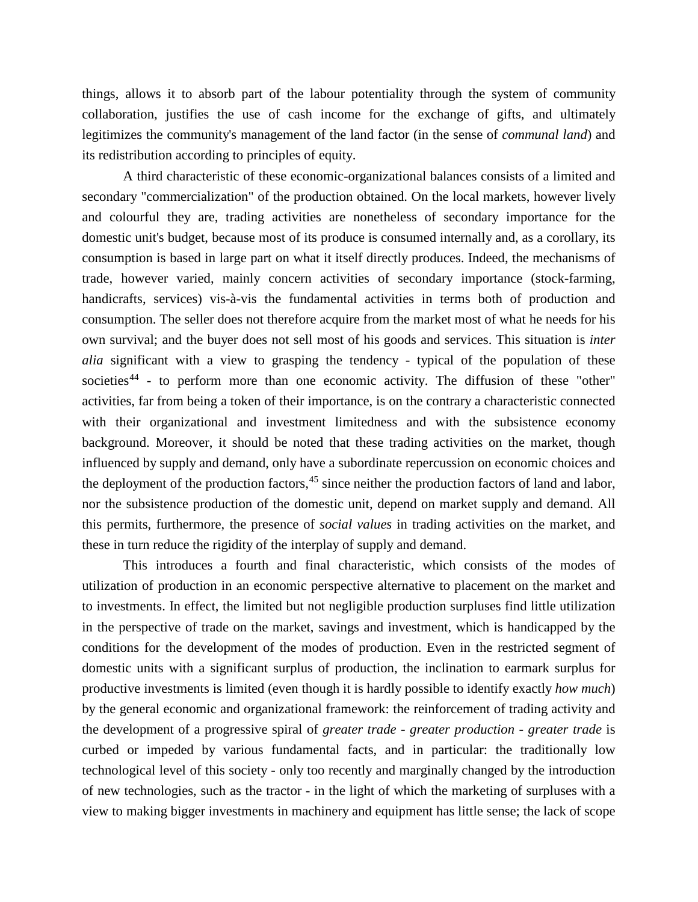things, allows it to absorb part of the labour potentiality through the system of community collaboration, justifies the use of cash income for the exchange of gifts, and ultimately legitimizes the community's management of the land factor (in the sense of *communal land*) and its redistribution according to principles of equity.

A third characteristic of these economic-organizational balances consists of a limited and secondary "commercialization" of the production obtained. On the local markets, however lively and colourful they are, trading activities are nonetheless of secondary importance for the domestic unit's budget, because most of its produce is consumed internally and, as a corollary, its consumption is based in large part on what it itself directly produces. Indeed, the mechanisms of trade, however varied, mainly concern activities of secondary importance (stock-farming, handicrafts, services) vis-à-vis the fundamental activities in terms both of production and consumption. The seller does not therefore acquire from the market most of what he needs for his own survival; and the buyer does not sell most of his goods and services. This situation is *inter alia* significant with a view to grasping the tendency - typical of the population of these societies<sup>[44](#page-47-9)</sup> - to perform more than one economic activity. The diffusion of these "other" activities, far from being a token of their importance, is on the contrary a characteristic connected with their organizational and investment limitedness and with the subsistence economy background. Moreover, it should be noted that these trading activities on the market, though influenced by supply and demand, only have a subordinate repercussion on economic choices and the deployment of the production factors,  $45$  since neither the production factors of land and labor, nor the subsistence production of the domestic unit, depend on market supply and demand. All this permits, furthermore, the presence of *social values* in trading activities on the market, and these in turn reduce the rigidity of the interplay of supply and demand.

This introduces a fourth and final characteristic, which consists of the modes of utilization of production in an economic perspective alternative to placement on the market and to investments. In effect, the limited but not negligible production surpluses find little utilization in the perspective of trade on the market, savings and investment, which is handicapped by the conditions for the development of the modes of production. Even in the restricted segment of domestic units with a significant surplus of production, the inclination to earmark surplus for productive investments is limited (even though it is hardly possible to identify exactly *how much*) by the general economic and organizational framework: the reinforcement of trading activity and the development of a progressive spiral of *greater trade - greater production - greater trade* is curbed or impeded by various fundamental facts, and in particular: the traditionally low technological level of this society - only too recently and marginally changed by the introduction of new technologies, such as the tractor - in the light of which the marketing of surpluses with a view to making bigger investments in machinery and equipment has little sense; the lack of scope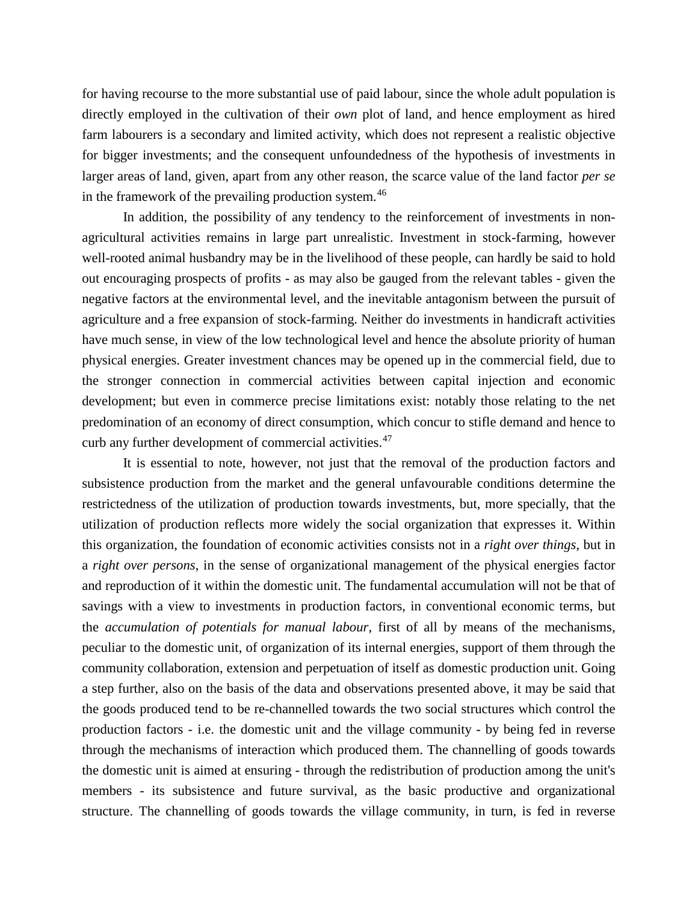for having recourse to the more substantial use of paid labour, since the whole adult population is directly employed in the cultivation of their *own* plot of land, and hence employment as hired farm labourers is a secondary and limited activity, which does not represent a realistic objective for bigger investments; and the consequent unfoundedness of the hypothesis of investments in larger areas of land, given, apart from any other reason, the scarce value of the land factor *per se* in the framework of the prevailing production system.<sup>[46](#page-47-11)</sup>

In addition, the possibility of any tendency to the reinforcement of investments in nonagricultural activities remains in large part unrealistic. Investment in stock-farming, however well-rooted animal husbandry may be in the livelihood of these people, can hardly be said to hold out encouraging prospects of profits - as may also be gauged from the relevant tables - given the negative factors at the environmental level, and the inevitable antagonism between the pursuit of agriculture and a free expansion of stock-farming. Neither do investments in handicraft activities have much sense, in view of the low technological level and hence the absolute priority of human physical energies. Greater investment chances may be opened up in the commercial field, due to the stronger connection in commercial activities between capital injection and economic development; but even in commerce precise limitations exist: notably those relating to the net predomination of an economy of direct consumption, which concur to stifle demand and hence to curb any further development of commercial activities.<sup>[47](#page-47-12)</sup>

It is essential to note, however, not just that the removal of the production factors and subsistence production from the market and the general unfavourable conditions determine the restrictedness of the utilization of production towards investments, but, more specially, that the utilization of production reflects more widely the social organization that expresses it. Within this organization, the foundation of economic activities consists not in a *right over things*, but in a *right over persons*, in the sense of organizational management of the physical energies factor and reproduction of it within the domestic unit. The fundamental accumulation will not be that of savings with a view to investments in production factors, in conventional economic terms, but the *accumulation of potentials for manual labour*, first of all by means of the mechanisms, peculiar to the domestic unit, of organization of its internal energies, support of them through the community collaboration, extension and perpetuation of itself as domestic production unit. Going a step further, also on the basis of the data and observations presented above, it may be said that the goods produced tend to be re-channelled towards the two social structures which control the production factors - i.e. the domestic unit and the village community - by being fed in reverse through the mechanisms of interaction which produced them. The channelling of goods towards the domestic unit is aimed at ensuring - through the redistribution of production among the unit's members - its subsistence and future survival, as the basic productive and organizational structure. The channelling of goods towards the village community, in turn, is fed in reverse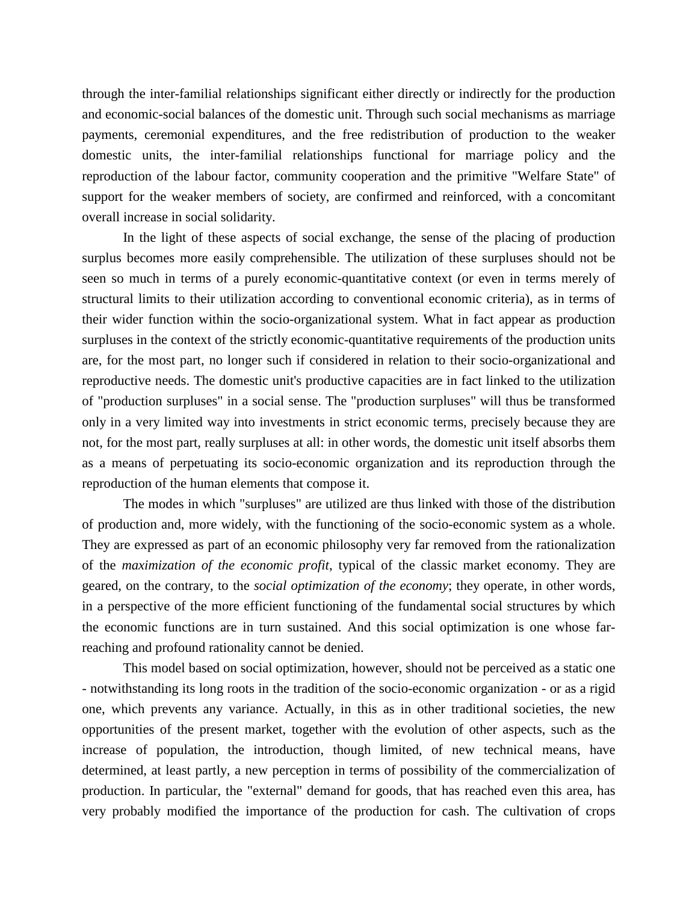through the inter-familial relationships significant either directly or indirectly for the production and economic-social balances of the domestic unit. Through such social mechanisms as marriage payments, ceremonial expenditures, and the free redistribution of production to the weaker domestic units, the inter-familial relationships functional for marriage policy and the reproduction of the labour factor, community cooperation and the primitive "Welfare State" of support for the weaker members of society, are confirmed and reinforced, with a concomitant overall increase in social solidarity.

In the light of these aspects of social exchange, the sense of the placing of production surplus becomes more easily comprehensible. The utilization of these surpluses should not be seen so much in terms of a purely economic-quantitative context (or even in terms merely of structural limits to their utilization according to conventional economic criteria), as in terms of their wider function within the socio-organizational system. What in fact appear as production surpluses in the context of the strictly economic-quantitative requirements of the production units are, for the most part, no longer such if considered in relation to their socio-organizational and reproductive needs. The domestic unit's productive capacities are in fact linked to the utilization of "production surpluses" in a social sense. The "production surpluses" will thus be transformed only in a very limited way into investments in strict economic terms, precisely because they are not, for the most part, really surpluses at all: in other words, the domestic unit itself absorbs them as a means of perpetuating its socio-economic organization and its reproduction through the reproduction of the human elements that compose it.

The modes in which "surpluses" are utilized are thus linked with those of the distribution of production and, more widely, with the functioning of the socio-economic system as a whole. They are expressed as part of an economic philosophy very far removed from the rationalization of the *maximization of the economic profit*, typical of the classic market economy. They are geared, on the contrary, to the *social optimization of the economy*; they operate, in other words, in a perspective of the more efficient functioning of the fundamental social structures by which the economic functions are in turn sustained. And this social optimization is one whose farreaching and profound rationality cannot be denied.

This model based on social optimization, however, should not be perceived as a static one - notwithstanding its long roots in the tradition of the socio-economic organization - or as a rigid one, which prevents any variance. Actually, in this as in other traditional societies, the new opportunities of the present market, together with the evolution of other aspects, such as the increase of population, the introduction, though limited, of new technical means, have determined, at least partly, a new perception in terms of possibility of the commercialization of production. In particular, the "external" demand for goods, that has reached even this area, has very probably modified the importance of the production for cash. The cultivation of crops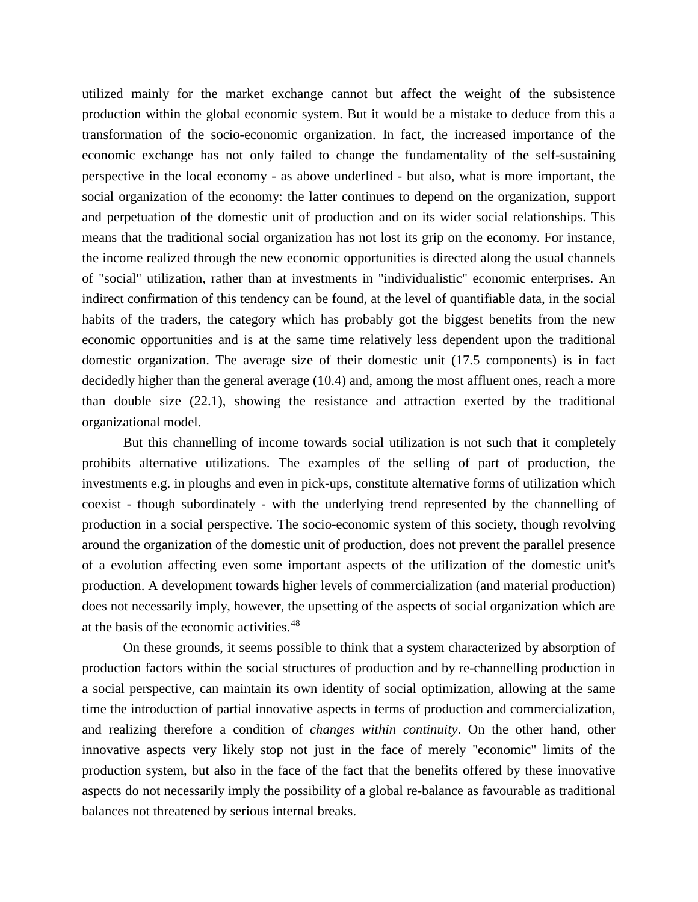utilized mainly for the market exchange cannot but affect the weight of the subsistence production within the global economic system. But it would be a mistake to deduce from this a transformation of the socio-economic organization. In fact, the increased importance of the economic exchange has not only failed to change the fundamentality of the self-sustaining perspective in the local economy - as above underlined - but also, what is more important, the social organization of the economy: the latter continues to depend on the organization, support and perpetuation of the domestic unit of production and on its wider social relationships. This means that the traditional social organization has not lost its grip on the economy. For instance, the income realized through the new economic opportunities is directed along the usual channels of "social" utilization, rather than at investments in "individualistic" economic enterprises. An indirect confirmation of this tendency can be found, at the level of quantifiable data, in the social habits of the traders, the category which has probably got the biggest benefits from the new economic opportunities and is at the same time relatively less dependent upon the traditional domestic organization. The average size of their domestic unit (17.5 components) is in fact decidedly higher than the general average (10.4) and, among the most affluent ones, reach a more than double size (22.1), showing the resistance and attraction exerted by the traditional organizational model.

But this channelling of income towards social utilization is not such that it completely prohibits alternative utilizations. The examples of the selling of part of production, the investments e.g. in ploughs and even in pick-ups, constitute alternative forms of utilization which coexist - though subordinately - with the underlying trend represented by the channelling of production in a social perspective. The socio-economic system of this society, though revolving around the organization of the domestic unit of production, does not prevent the parallel presence of a evolution affecting even some important aspects of the utilization of the domestic unit's production. A development towards higher levels of commercialization (and material production) does not necessarily imply, however, the upsetting of the aspects of social organization which are at the basis of the economic activities.<sup>[48](#page-48-0)</sup>

On these grounds, it seems possible to think that a system characterized by absorption of production factors within the social structures of production and by re-channelling production in a social perspective, can maintain its own identity of social optimization, allowing at the same time the introduction of partial innovative aspects in terms of production and commercialization, and realizing therefore a condition of *changes within continuity*. On the other hand, other innovative aspects very likely stop not just in the face of merely "economic" limits of the production system, but also in the face of the fact that the benefits offered by these innovative aspects do not necessarily imply the possibility of a global re-balance as favourable as traditional balances not threatened by serious internal breaks.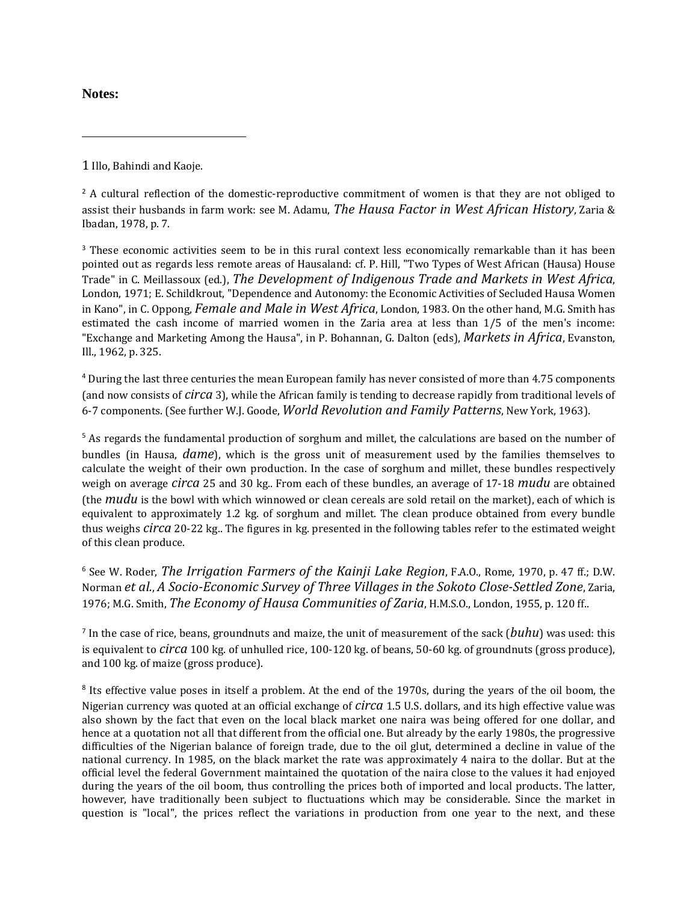## **Notes:**

 $\overline{a}$ 

<span id="page-44-0"></span>1 Illo, Bahindi and Kaoje.

<span id="page-44-1"></span> $2$  A cultural reflection of the domestic-reproductive commitment of women is that they are not obliged to assist their husbands in farm work: see M. Adamu, *The Hausa Factor in West African History*, Zaria & Ibadan, 1978, p. 7.

<span id="page-44-2"></span><sup>3</sup> These economic activities seem to be in this rural context less economically remarkable than it has been pointed out as regards less remote areas of Hausaland: cf. P. Hill, "Two Types of West African (Hausa) House Trade" in C. Meillassoux (ed.), *The Development of Indigenous Trade and Markets in West Africa*, London, 1971; E. Schildkrout, "Dependence and Autonomy: the Economic Activities of Secluded Hausa Women in Kano", in C. Oppong, *Female and Male in West Africa*, London, 1983. On the other hand, M.G. Smith has estimated the cash income of married women in the Zaria area at less than 1/5 of the men's income: "Exchange and Marketing Among the Hausa", in P. Bohannan, G. Dalton (eds), *Markets in Africa*, Evanston, Ill., 1962, p. 325.

<span id="page-44-3"></span><sup>4</sup> During the last three centuries the mean European family has never consisted of more than 4.75 components (and now consists of *circa* 3), while the African family is tending to decrease rapidly from traditional levels of 6-7 components. (See further W.J. Goode, *World Revolution and Family Patterns*, New York, 1963).

<span id="page-44-4"></span><sup>5</sup> As regards the fundamental production of sorghum and millet, the calculations are based on the number of bundles (in Hausa, *dame*), which is the gross unit of measurement used by the families themselves to calculate the weight of their own production. In the case of sorghum and millet, these bundles respectively weigh on average *circa* 25 and 30 kg.. From each of these bundles, an average of 17-18 *mudu* are obtained (the *mudu* is the bowl with which winnowed or clean cereals are sold retail on the market), each of which is equivalent to approximately 1.2 kg. of sorghum and millet. The clean produce obtained from every bundle thus weighs *circa* 20-22 kg.. The figures in kg. presented in the following tables refer to the estimated weight of this clean produce.

<span id="page-44-5"></span><sup>6</sup> See W. Roder, *The Irrigation Farmers of the Kainji Lake Region*, F.A.O., Rome, 1970, p. 47 ff.; D.W. Norman *et al.*, *A Socio-Economic Survey of Three Villages in the Sokoto Close-Settled Zone*, Zaria, 1976; M.G. Smith, *The Economy of Hausa Communities of Zaria*, H.M.S.O., London, 1955, p. 120 ff..

<span id="page-44-6"></span><sup>7</sup> In the case of rice, beans, groundnuts and maize, the unit of measurement of the sack (*buhu*) was used: this is equivalent to *circa* 100 kg. of unhulled rice, 100-120 kg. of beans, 50-60 kg. of groundnuts (gross produce), and 100 kg. of maize (gross produce).

<span id="page-44-7"></span><sup>8</sup> Its effective value poses in itself a problem. At the end of the 1970s, during the years of the oil boom, the Nigerian currency was quoted at an official exchange of *circa* 1.5 U.S. dollars, and its high effective value was also shown by the fact that even on the local black market one naira was being offered for one dollar, and hence at a quotation not all that different from the official one. But already by the early 1980s, the progressive difficulties of the Nigerian balance of foreign trade, due to the oil glut, determined a decline in value of the national currency. In 1985, on the black market the rate was approximately 4 naira to the dollar. But at the official level the federal Government maintained the quotation of the naira close to the values it had enjoyed during the years of the oil boom, thus controlling the prices both of imported and local products. The latter, however, have traditionally been subject to fluctuations which may be considerable. Since the market in question is "local", the prices reflect the variations in production from one year to the next, and these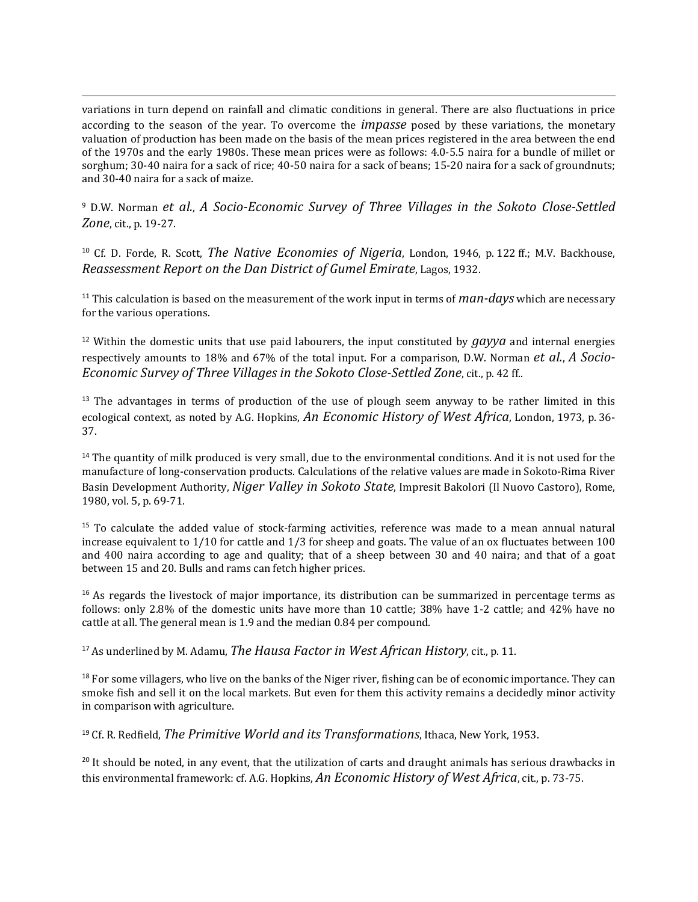variations in turn depend on rainfall and climatic conditions in general. There are also fluctuations in price according to the season of the year. To overcome the *impasse* posed by these variations, the monetary valuation of production has been made on the basis of the mean prices registered in the area between the end of the 1970s and the early 1980s. These mean prices were as follows: 4.0-5.5 naira for a bundle of millet or sorghum; 30-40 naira for a sack of rice; 40-50 naira for a sack of beans; 15-20 naira for a sack of groundnuts; and 30-40 naira for a sack of maize.

 $\overline{a}$ 

<span id="page-45-0"></span><sup>9</sup> D.W. Norman *et al.*, *A Socio-Economic Survey of Three Villages in the Sokoto Close-Settled Zone*, cit., p. 19-27.

<span id="page-45-1"></span><sup>10</sup> Cf. D. Forde, R. Scott, *The Native Economies of Nigeria*, London, 1946, p. 122 ff.; M.V. Backhouse, *Reassessment Report on the Dan District of Gumel Emirate*, Lagos, 1932.

<span id="page-45-2"></span><sup>11</sup> This calculation is based on the measurement of the work input in terms of *man-days* which are necessary for the various operations.

<span id="page-45-3"></span><sup>12</sup> Within the domestic units that use paid labourers, the input constituted by *gayya* and internal energies respectively amounts to 18% and 67% of the total input. For a comparison, D.W. Norman *et al.*, *A Socio-Economic Survey of Three Villages in the Sokoto Close-Settled Zone*, cit., p. 42 ff..

<span id="page-45-4"></span><sup>13</sup> The advantages in terms of production of the use of plough seem anyway to be rather limited in this ecological context, as noted by A.G. Hopkins, *An Economic History of West Africa*, London, 1973, p. 36- 37.

<span id="page-45-5"></span><sup>14</sup> The quantity of milk produced is very small, due to the environmental conditions. And it is not used for the manufacture of long-conservation products. Calculations of the relative values are made in Sokoto-Rima River Basin Development Authority, *Niger Valley in Sokoto State*, Impresit Bakolori (Il Nuovo Castoro), Rome, 1980, vol. 5, p. 69-71.

<span id="page-45-6"></span><sup>15</sup> To calculate the added value of stock-farming activities, reference was made to a mean annual natural increase equivalent to 1/10 for cattle and 1/3 for sheep and goats. The value of an ox fluctuates between 100 and 400 naira according to age and quality; that of a sheep between 30 and 40 naira; and that of a goat between 15 and 20. Bulls and rams can fetch higher prices.

<span id="page-45-7"></span> $16$  As regards the livestock of major importance, its distribution can be summarized in percentage terms as follows: only 2.8% of the domestic units have more than 10 cattle; 38% have 1-2 cattle; and 42% have no cattle at all. The general mean is 1.9 and the median 0.84 per compound.

<span id="page-45-8"></span><sup>17</sup> As underlined by M. Adamu, *The Hausa Factor in West African History*, cit., p. 11.

<span id="page-45-9"></span><sup>18</sup> For some villagers, who live on the banks of the Niger river, fishing can be of economic importance. They can smoke fish and sell it on the local markets. But even for them this activity remains a decidedly minor activity in comparison with agriculture.

<span id="page-45-10"></span><sup>19</sup> Cf. R. Redfield, *The Primitive World and its Transformations*, Ithaca, New York, 1953.

<span id="page-45-11"></span> $20$  It should be noted, in any event, that the utilization of carts and draught animals has serious drawbacks in this environmental framework: cf. A.G. Hopkins, *An Economic History of West Africa*, cit., p. 73-75.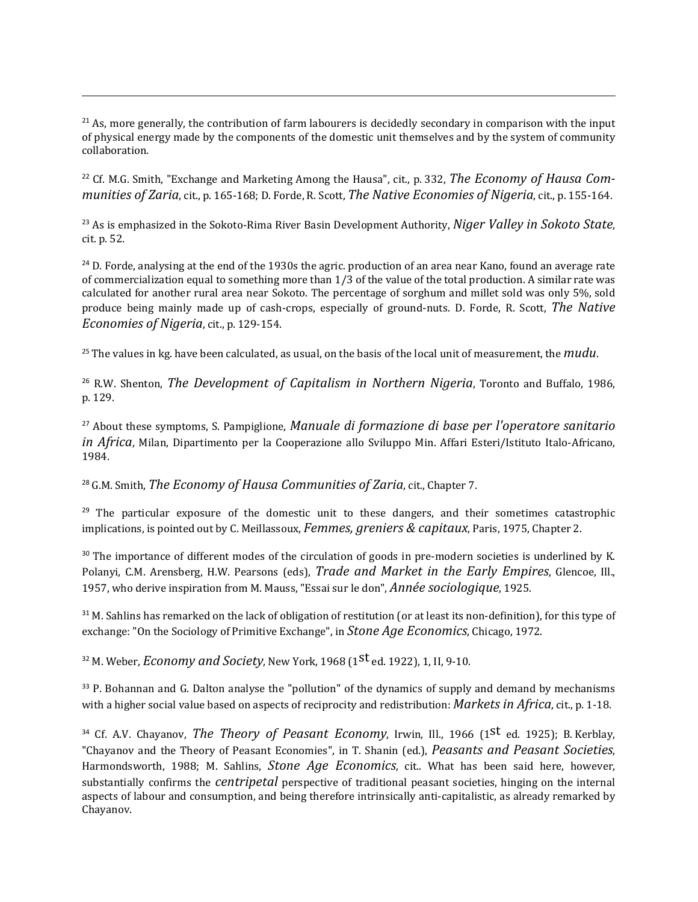<span id="page-46-0"></span><sup>21</sup> As, more generally, the contribution of farm labourers is decidedly secondary in comparison with the input of physical energy made by the components of the domestic unit themselves and by the system of community collaboration.

 $\overline{a}$ 

<span id="page-46-1"></span><sup>22</sup> Cf. M.G. Smith, "Exchange and Marketing Among the Hausa", cit., p. 332, *The Economy of Hausa Communities of Zaria*, cit., p. 165-168; D. Forde, R. Scott, *The Native Economies of Nigeria*, cit., p. 155-164.

<span id="page-46-2"></span><sup>23</sup> As is emphasized in the Sokoto-Rima River Basin Development Authority, *Niger Valley in Sokoto State*, cit. p. 52.

<span id="page-46-3"></span><sup>24</sup> D. Forde, analysing at the end of the 1930s the agric. production of an area near Kano, found an average rate of commercialization equal to something more than 1/3 of the value of the total production. A similar rate was calculated for another rural area near Sokoto. The percentage of sorghum and millet sold was only 5%, sold produce being mainly made up of cash-crops, especially of ground-nuts. D. Forde, R. Scott, *The Native Economies of Nigeria*, cit., p. 129-154.

<span id="page-46-4"></span><sup>25</sup> The values in kg. have been calculated, as usual, on the basis of the local unit of measurement, the *mudu*.

<span id="page-46-5"></span><sup>26</sup> R.W. Shenton, *The Development of Capitalism in Northern Nigeria*, Toronto and Buffalo, 1986, p. 129.

<span id="page-46-6"></span><sup>27</sup> About these symptoms, S. Pampiglione, *Manuale di formazione di base per l'operatore sanitario in Africa*, Milan, Dipartimento per la Cooperazione allo Sviluppo Min. Affari Esteri/Istituto Italo-Africano, 1984.

<span id="page-46-7"></span><sup>28</sup> G.M. Smith, *The Economy of Hausa Communities of Zaria*, cit., Chapter 7.

<span id="page-46-8"></span><sup>29</sup> The particular exposure of the domestic unit to these dangers, and their sometimes catastrophic implications, is pointed out by C. Meillassoux, *Femmes, greniers & capitaux*, Paris, 1975, Chapter 2.

<span id="page-46-9"></span><sup>30</sup> The importance of different modes of the circulation of goods in pre-modern societies is underlined by K. Polanyi, C.M. Arensberg, H.W. Pearsons (eds), *Trade and Market in the Early Empires*, Glencoe, Ill., 1957, who derive inspiration from M. Mauss, "Essai sur le don", *Année sociologique*, 1925.

<span id="page-46-10"></span><sup>31</sup> M. Sahlins has remarked on the lack of obligation of restitution (or at least its non-definition), for this type of exchange: "On the Sociology of Primitive Exchange", in *Stone Age Economics*, Chicago, 1972.

<span id="page-46-11"></span><sup>32</sup> M. Weber, *Economy and Society*, New York, 1968 (1st ed. 1922), 1, II, 9-10.

<span id="page-46-12"></span><sup>33</sup> P. Bohannan and G. Dalton analyse the "pollution" of the dynamics of supply and demand by mechanisms with a higher social value based on aspects of reciprocity and redistribution: *Markets in Africa*, cit., p. 1-18.

<span id="page-46-13"></span><sup>34</sup> Cf. A.V. Chayanov, *The Theory of Peasant Economy*, Irwin, Ill., 1966 (1st ed. 1925); B. Kerblay, "Chayanov and the Theory of Peasant Economies", in T. Shanin (ed.), *Peasants and Peasant Societies*, Harmondsworth, 1988; M. Sahlins, *Stone Age Economics*, cit.. What has been said here, however, substantially confirms the *centripetal* perspective of traditional peasant societies, hinging on the internal aspects of labour and consumption, and being therefore intrinsically anti-capitalistic, as already remarked by Chayanov.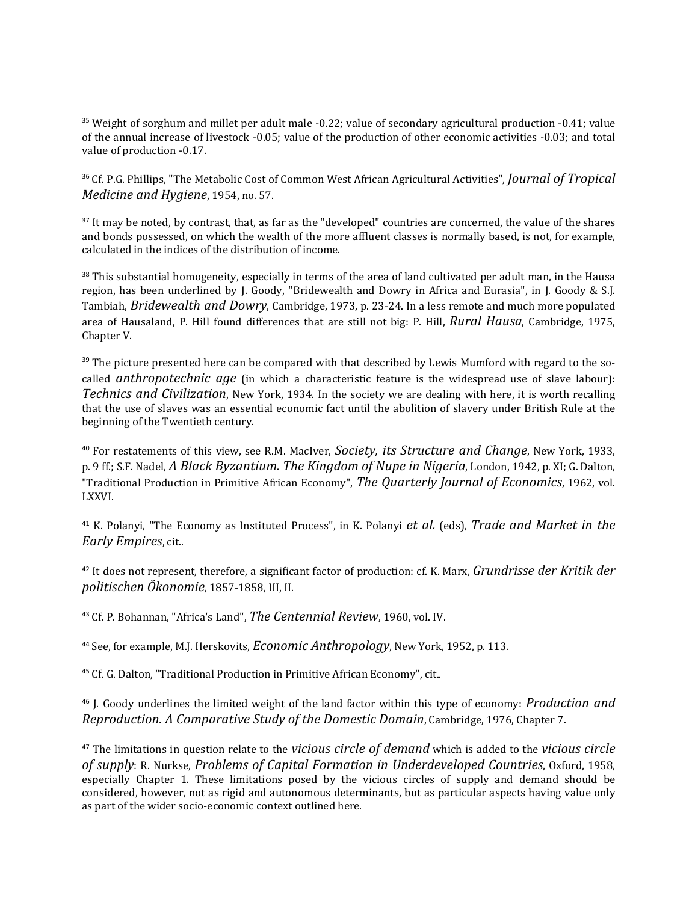<span id="page-47-0"></span><sup>35</sup> Weight of sorghum and millet per adult male -0.22; value of secondary agricultural production -0.41; value of the annual increase of livestock -0.05; value of the production of other economic activities -0.03; and total value of production -0.17.

 $\overline{a}$ 

<span id="page-47-1"></span><sup>36</sup> Cf. P.G. Phillips, "The Metabolic Cost of Common West African Agricultural Activities", *Journal of Tropical Medicine and Hygiene*, 1954, no. 57.

<span id="page-47-2"></span><sup>37</sup> It may be noted, by contrast, that, as far as the "developed" countries are concerned, the value of the shares and bonds possessed, on which the wealth of the more affluent classes is normally based, is not, for example, calculated in the indices of the distribution of income.

<span id="page-47-3"></span><sup>38</sup> This substantial homogeneity, especially in terms of the area of land cultivated per adult man, in the Hausa region, has been underlined by J. Goody, "Bridewealth and Dowry in Africa and Eurasia", in J. Goody & S.J. Tambiah, *Bridewealth and Dowry*, Cambridge, 1973, p. 23-24. In a less remote and much more populated area of Hausaland, P. Hill found differences that are still not big: P. Hill, *Rural Hausa*, Cambridge, 1975, Chapter V.

<span id="page-47-4"></span><sup>39</sup> The picture presented here can be compared with that described by Lewis Mumford with regard to the socalled *anthropotechnic age* (in which a characteristic feature is the widespread use of slave labour): *Technics and Civilization*, New York, 1934. In the society we are dealing with here, it is worth recalling that the use of slaves was an essential economic fact until the abolition of slavery under British Rule at the beginning of the Twentieth century.

<span id="page-47-5"></span><sup>40</sup> For restatements of this view, see R.M. MacIver, *Society, its Structure and Change*, New York, 1933, p. 9 ff.; S.F. Nadel, *A Black Byzantium. The Kingdom of Nupe in Nigeria*, London, 1942, p. XI; G. Dalton, "Traditional Production in Primitive African Economy", *The Quarterly Journal of Economics*, 1962, vol. LXXVI.

<span id="page-47-6"></span><sup>41</sup> K. Polanyi, "The Economy as Instituted Process", in K. Polanyi *et al.* (eds), *Trade and Market in the Early Empires*, cit..

<span id="page-47-7"></span><sup>42</sup> It does not represent, therefore, a significant factor of production: cf. K. Marx, *Grundrisse der Kritik der politischen Ökonomie*, 1857-1858, III, II.

<span id="page-47-8"></span><sup>43</sup> Cf. P. Bohannan, "Africa's Land", *The Centennial Review*, 1960, vol. IV.

<span id="page-47-9"></span><sup>44</sup> See, for example, M.J. Herskovits, *Economic Anthropology*, New York, 1952, p. 113.

<span id="page-47-10"></span><sup>45</sup> Cf. G. Dalton, "Traditional Production in Primitive African Economy", cit..

<span id="page-47-11"></span><sup>46</sup> J. Goody underlines the limited weight of the land factor within this type of economy: *Production and Reproduction. A Comparative Study of the Domestic Domain*, Cambridge, 1976, Chapter 7.

<span id="page-47-12"></span><sup>47</sup> The limitations in question relate to the *vicious circle of demand* which is added to the *vicious circle of supply*: R. Nurkse, *Problems of Capital Formation in Underdeveloped Countries*, Oxford, 1958, especially Chapter 1. These limitations posed by the vicious circles of supply and demand should be considered, however, not as rigid and autonomous determinants, but as particular aspects having value only as part of the wider socio-economic context outlined here.